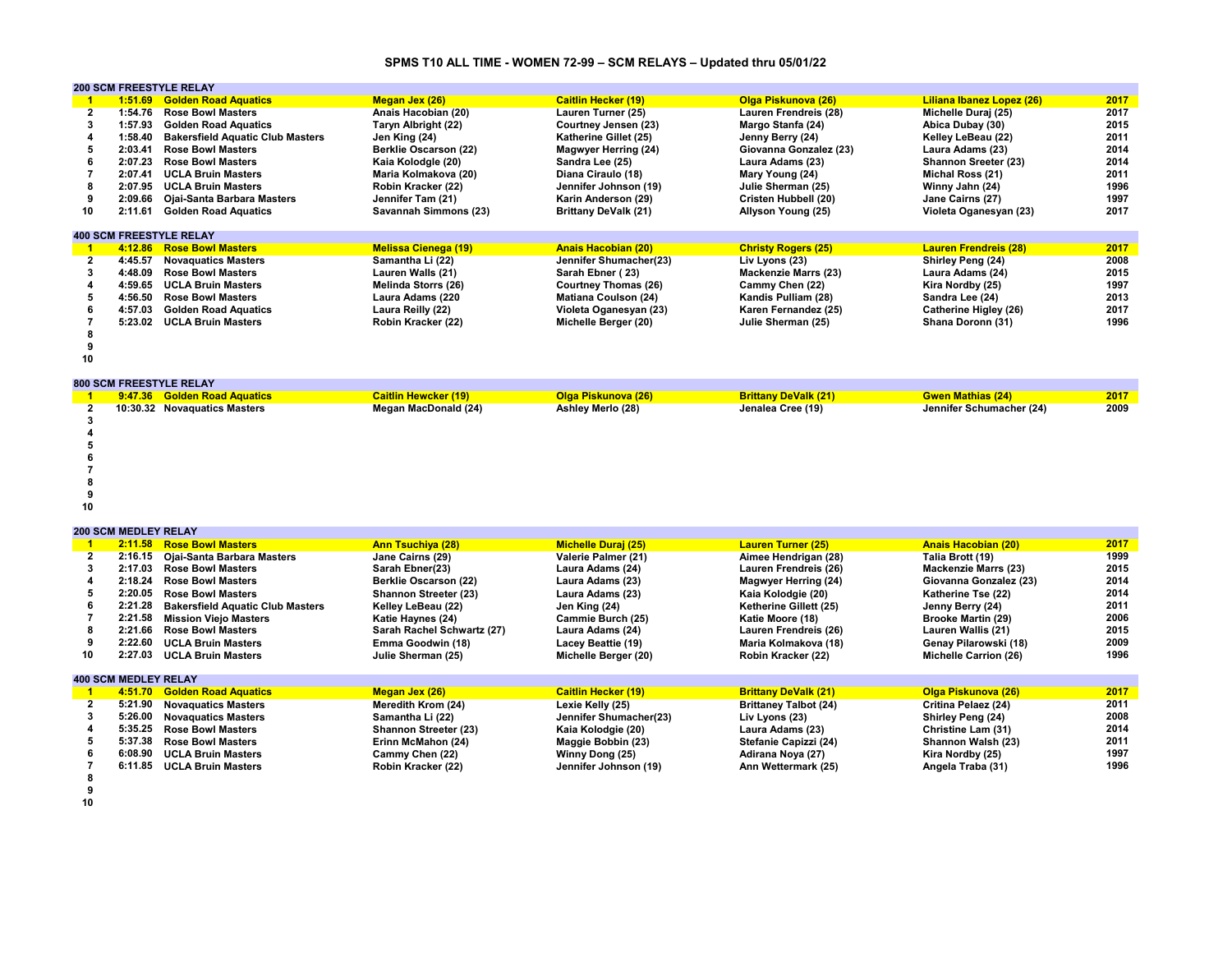# **SPMS T10 ALL TIME - WOMEN 72-99 – SCM RELAYS – Updated thru 05/01/22**

|    |         | <b>200 SCM FREESTYLE RELAY</b>          |                              |                             |                             |                              |      |
|----|---------|-----------------------------------------|------------------------------|-----------------------------|-----------------------------|------------------------------|------|
|    | 1:51.69 | <b>Golden Road Aquatics</b>             | Megan Jex (26)               | <b>Caitlin Hecker (19)</b>  | Olga Piskunova (26)         | Liliana Ibanez Lopez (26)    | 2017 |
|    | 1:54.76 | <b>Rose Bowl Masters</b>                | Anais Hacobian (20)          | Lauren Turner (25)          | Lauren Frendreis (28)       | Michelle Duraj (25)          | 2017 |
| 3  | 1:57.93 | <b>Golden Road Aquatics</b>             | Taryn Albright (22)          | Courtney Jensen (23)        | Margo Stanfa (24)           | Abica Dubay (30)             | 2015 |
|    | 1:58.40 | <b>Bakersfield Aquatic Club Masters</b> | Jen King (24)                | Katherine Gillet (25)       | Jenny Berry (24)            | Kelley LeBeau (22)           | 2011 |
|    | 2:03.41 | <b>Rose Bowl Masters</b>                | <b>Berklie Oscarson (22)</b> | Magwyer Herring (24)        | Giovanna Gonzalez (23)      | Laura Adams (23)             | 2014 |
|    | 2:07.23 | <b>Rose Bowl Masters</b>                | Kaia Kolodgle (20)           | Sandra Lee (25)             | Laura Adams (23)            | Shannon Sreeter (23)         | 2014 |
|    | 2:07.41 | <b>UCLA Bruin Masters</b>               | Maria Kolmakova (20)         | Diana Ciraulo (18)          | Mary Young (24)             | Michal Ross (21)             | 2011 |
| 8  | 2:07.95 | <b>UCLA Bruin Masters</b>               | Robin Kracker (22)           | Jennifer Johnson (19)       | Julie Sherman (25)          | Winny Jahn (24)              | 1996 |
| 9  | 2:09.66 | Ojai-Santa Barbara Masters              | Jennifer Tam (21)            | Karin Anderson (29)         | <b>Cristen Hubbell (20)</b> | Jane Cairns (27)             | 1997 |
| 10 | 2:11.61 | <b>Golden Road Aquatics</b>             | Savannah Simmons (23)        | <b>Brittany DeValk (21)</b> | Allyson Young (25)          | Violeta Oganesyan (23)       | 2017 |
|    |         | <b>400 SCM FREESTYLE RELAY</b>          |                              |                             |                             |                              |      |
|    | 4:12.86 | <b>Rose Bowl Masters</b>                | <b>Melissa Cienega (19)</b>  | <b>Anais Hacobian (20)</b>  | <b>Christy Rogers (25)</b>  | <b>Lauren Frendreis (28)</b> | 2017 |
|    | 4:45.57 | <b>Novaguatics Masters</b>              | Samantha Li (22)             | Jennifer Shumacher(23)      | Liv Lyons (23)              | Shirley Peng (24)            | 2008 |
| 3  | 4:48.09 | <b>Rose Bowl Masters</b>                | Lauren Walls (21)            | Sarah Ebner (23)            | <b>Mackenzie Marrs (23)</b> | Laura Adams (24)             | 2015 |
|    | 4:59.65 | <b>UCLA Bruin Masters</b>               | Melinda Storrs (26)          | <b>Courtney Thomas (26)</b> | Cammy Chen (22)             | Kira Nordby (25)             | 1997 |
| 5  | 4:56.50 | <b>Rose Bowl Masters</b>                | Laura Adams (220             | <b>Matiana Coulson (24)</b> | Kandis Pulliam (28)         | Sandra Lee (24)              | 2013 |
|    | 4:57.03 | <b>Golden Road Aquatics</b>             | Laura Reilly (22)            | Violeta Oganesyan (23)      | Karen Fernandez (25)        | Catherine Higley (26)        | 2017 |
|    | 5:23.02 | <b>UCLA Bruin Masters</b>               | Robin Kracker (22)           | Michelle Berger (20)        | Julie Sherman (25)          | Shana Doronn (31)            | 1996 |
|    |         |                                         |                              |                             |                             |                              |      |
|    |         |                                         |                              |                             |                             |                              |      |
| 10 |         |                                         |                              |                             |                             |                              |      |

**800 SCM FREESTYLE RELAY**

|    | 9:47.36 Golden Road Aquatics | <b>Caitlin Hewcker (19)</b> | <b>Olga Piskunova (26)</b> | <b>Brittany DeValk (21)</b> | <b>Gwen Mathias (24)</b> | 2017 |
|----|------------------------------|-----------------------------|----------------------------|-----------------------------|--------------------------|------|
|    | 10:30.32 Novaguatics Masters | Megan MacDonald (24)        | Ashley Merlo (28)          | Jenalea Cree (19)           | Jennifer Schumacher (24) | 2009 |
|    |                              |                             |                            |                             |                          |      |
|    |                              |                             |                            |                             |                          |      |
|    |                              |                             |                            |                             |                          |      |
|    |                              |                             |                            |                             |                          |      |
|    |                              |                             |                            |                             |                          |      |
|    |                              |                             |                            |                             |                          |      |
|    |                              |                             |                            |                             |                          |      |
| 10 |                              |                             |                            |                             |                          |      |

#### **200 SCM MEDLEY RELAY**

|    |                             | 2:11.58 Rose Bowl Masters               | <b>Ann Tsuchiya (28)</b>     | <b>Michelle Duraj (25)</b> | <b>Lauren Turner (25)</b>    | <b>Anais Hacobian (20)</b>   | 2017 |
|----|-----------------------------|-----------------------------------------|------------------------------|----------------------------|------------------------------|------------------------------|------|
|    |                             | 2:16.15 Ojai-Santa Barbara Masters      | Jane Cairns (29)             | Valerie Palmer (21)        | Aimee Hendrigan (28)         | Talia Brott (19)             | 1999 |
|    | 2:17.03                     | <b>Rose Bowl Masters</b>                | Sarah Ebner(23)              | Laura Adams (24)           | Lauren Frendreis (26)        | <b>Mackenzie Marrs (23)</b>  | 2015 |
|    | 2:18.24                     | <b>Rose Bowl Masters</b>                | <b>Berklie Oscarson (22)</b> | Laura Adams (23)           | Magwyer Herring (24)         | Giovanna Gonzalez (23)       | 2014 |
|    | 2:20.05                     | <b>Rose Bowl Masters</b>                | Shannon Streeter (23)        | Laura Adams (23)           | Kaia Kolodgie (20)           | Katherine Tse (22)           | 2014 |
|    | 2:21.28                     | <b>Bakersfield Aquatic Club Masters</b> | Kelley LeBeau (22)           | Jen King (24)              | Ketherine Gillett (25)       | Jenny Berry (24)             | 2011 |
|    | 2:21.58                     | <b>Mission Viejo Masters</b>            | Katie Haynes (24)            | Cammie Burch (25)          | Katie Moore (18)             | <b>Brooke Martin (29)</b>    | 2006 |
|    | 2:21.66                     | <b>Rose Bowl Masters</b>                | Sarah Rachel Schwartz (27)   | Laura Adams (24)           | Lauren Frendreis (26)        | Lauren Wallis (21)           | 2015 |
|    | 2:22.60                     | <b>UCLA Bruin Masters</b>               | Emma Goodwin (18)            | Lacey Beattie (19)         | Maria Kolmakova (18)         | Genay Pilarowski (18)        | 2009 |
| 10 | 2:27.03                     | <b>UCLA Bruin Masters</b>               | Julie Sherman (25)           | Michelle Berger (20)       | Robin Kracker (22)           | <b>Michelle Carrion (26)</b> | 1996 |
|    |                             |                                         |                              |                            |                              |                              |      |
|    | <b>400 SCM MEDLEY RELAY</b> |                                         |                              |                            |                              |                              |      |
|    | 4:51.70                     | <b>Golden Road Aquatics</b>             | <b>Megan Jex (26)</b>        | <b>Caitlin Hecker (19)</b> | <b>Brittany DeValk (21)</b>  | Olga Piskunova (26)          | 2017 |
|    | 5:21.90                     | <b>Novaguatics Masters</b>              | Meredith Krom (24)           | Lexie Kelly (25)           | <b>Brittaney Talbot (24)</b> | Critina Pelaez (24)          | 2011 |
|    | 5:26.00                     | <b>Novaguatics Masters</b>              | Samantha Li (22)             | Jennifer Shumacher(23)     | Liv Lyons (23)               | Shirley Peng (24)            | 2008 |
|    | 5:35.25                     | <b>Rose Bowl Masters</b>                | <b>Shannon Streeter (23)</b> | Kaia Kolodgie (20)         | Laura Adams (23)             | Christine Lam (31)           | 2014 |
|    | 5:37.38                     | <b>Rose Bowl Masters</b>                | Erinn McMahon (24)           | Maggie Bobbin (23)         | Stefanie Capizzi (24)        | Shannon Walsh (23)           | 2011 |
|    | 6:08.90                     | <b>UCLA Bruin Masters</b>               | Cammy Chen (22)              | Winny Dong (25)            | Adirana Noya (27)            | Kira Nordby (25)             | 1997 |
|    | 6:11.85                     | <b>UCLA Bruin Masters</b>               | Robin Kracker (22)           | Jennifer Johnson (19)      | Ann Wettermark (25)          | Angela Traba (31)            | 1996 |
|    |                             |                                         |                              |                            |                              |                              |      |

**8 9 10**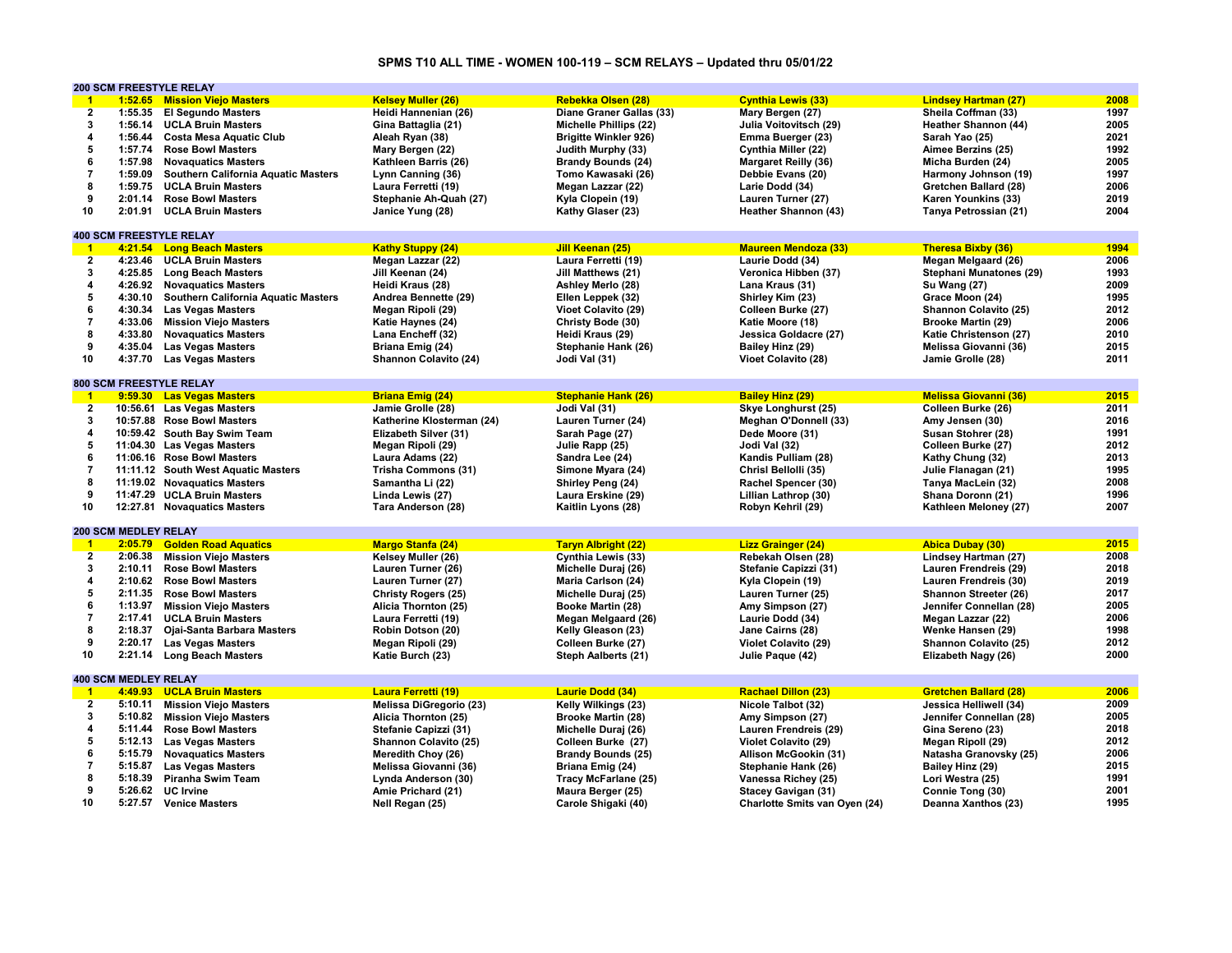## **SPMS T10 ALL TIME - WOMEN 100-119 – SCM RELAYS – Updated thru 05/01/22**

|                         |                             | <b>200 SCM FREESTYLE RELAY</b>             |                            |                              |                               |                              |      |
|-------------------------|-----------------------------|--------------------------------------------|----------------------------|------------------------------|-------------------------------|------------------------------|------|
| $-1$                    |                             | 1:52.65 Mission Viejo Masters              | <b>Kelsey Muller (26)</b>  | Rebekka Olsen (28)           | <b>Cynthia Lewis (33)</b>     | <b>Lindsey Hartman (27)</b>  | 2008 |
| $\overline{2}$          | 1:55.35                     | <b>El Segundo Masters</b>                  | Heidi Hannenian (26)       | Diane Graner Gallas (33)     | Mary Bergen (27)              | Sheila Coffman (33)          | 1997 |
| 3                       | 1:56.14                     | <b>UCLA Bruin Masters</b>                  | Gina Battaglia (21)        | Michelle Phillips (22)       | Julia Voitovitsch (29)        | Heather Shannon (44)         | 2005 |
| 4                       | 1:56.44                     | <b>Costa Mesa Aquatic Club</b>             | Aleah Ryan (38)            | <b>Brigitte Winkler 926)</b> | Emma Buerger (23)             | Sarah Yao (25)               | 2021 |
| 5                       | 1:57.74                     | <b>Rose Bowl Masters</b>                   | Mary Bergen (22)           | Judith Murphy (33)           | Cynthia Miller (22)           | Aimee Berzins (25)           | 1992 |
| 6                       | 1:57.98                     | <b>Novaguatics Masters</b>                 | Kathleen Barris (26)       | <b>Brandy Bounds (24)</b>    | <b>Margaret Reilly (36)</b>   | Micha Burden (24)            | 2005 |
| $\overline{7}$          | 1:59.09                     |                                            |                            | Tomo Kawasaki (26)           |                               |                              | 1997 |
|                         |                             | <b>Southern California Aquatic Masters</b> | Lynn Canning (36)          |                              | Debbie Evans (20)             | Harmony Johnson (19)         |      |
| 8                       | 1:59.75                     | <b>UCLA Bruin Masters</b>                  | Laura Ferretti (19)        | Megan Lazzar (22)            | Larie Dodd (34)               | Gretchen Ballard (28)        | 2006 |
| 9                       | 2:01.14                     | <b>Rose Bowl Masters</b>                   | Stephanie Ah-Quah (27)     | Kyla Clopein (19)            | Lauren Turner (27)            | Karen Younkins (33)          | 2019 |
| 10                      | 2:01.91                     | <b>UCLA Bruin Masters</b>                  | Janice Yung (28)           | Kathy Glaser (23)            | Heather Shannon (43)          | Tanya Petrossian (21)        | 2004 |
|                         |                             |                                            |                            |                              |                               |                              |      |
|                         |                             | <b>400 SCM FREESTYLE RELAY</b>             |                            |                              |                               |                              |      |
| $\overline{1}$          |                             | 4:21.54 Long Beach Masters                 | <b>Kathy Stuppy (24)</b>   | Jill Keenan (25)             | <b>Maureen Mendoza (33)</b>   | <b>Theresa Bixby (36)</b>    | 1994 |
| $\overline{2}$          |                             | 4:23.46 UCLA Bruin Masters                 | Megan Lazzar (22)          | Laura Ferretti (19)          | Laurie Dodd (34)              | Megan Melgaard (26)          | 2006 |
| 3                       |                             | 4:25.85 Long Beach Masters                 | Jill Keenan (24)           | Jill Matthews (21)           | Veronica Hibben (37)          | Stephani Munatones (29)      | 1993 |
| $\overline{\mathbf{4}}$ |                             | 4:26.92 Novaquatics Masters                | Heidi Kraus (28)           | Ashley Merlo (28)            | Lana Kraus (31)               | <b>Su Wang (27)</b>          | 2009 |
| 5                       | 4:30.10                     | Southern California Aquatic Masters        | Andrea Bennette (29)       | Ellen Leppek (32)            | Shirley Kim (23)              | Grace Moon (24)              | 1995 |
| 6                       | 4:30.34                     | <b>Las Vegas Masters</b>                   | Megan Ripoli (29)          | Vioet Colavito (29)          | Colleen Burke (27)            | Shannon Colavito (25)        | 2012 |
| $\overline{7}$          | 4:33.06                     | <b>Mission Viejo Masters</b>               | Katie Haynes (24)          | Christy Bode (30)            | Katie Moore (18)              | <b>Brooke Martin (29)</b>    | 2006 |
| 8                       | 4:33.80                     | <b>Novaquatics Masters</b>                 | Lana Encheff (32)          | Heidi Kraus (29)             | Jessica Goldacre (27)         | Katie Christenson (27)       | 2010 |
| 9                       | 4:35.04                     | <b>Las Vegas Masters</b>                   |                            |                              | Bailey Hinz (29)              | Melissa Giovanni (36)        | 2015 |
|                         |                             |                                            | Briana Emig (24)           | Stephanie Hank (26)          |                               |                              |      |
| 10                      | 4:37.70                     | <b>Las Vegas Masters</b>                   | Shannon Colavito (24)      | Jodi Val (31)                | Vioet Colavito (28)           | Jamie Grolle (28)            | 2011 |
|                         |                             |                                            |                            |                              |                               |                              |      |
|                         |                             | <b>800 SCM FREESTYLE RELAY</b>             |                            |                              |                               |                              |      |
| $-1$                    |                             | 9:59.30 Las Vegas Masters                  | <b>Briana Emig (24)</b>    | <b>Stephanie Hank (26)</b>   | <b>Bailey Hinz (29)</b>       | <b>Melissa Giovanni (36)</b> | 2015 |
| $\overline{2}$          |                             | 10:56.61 Las Vegas Masters                 | Jamie Grolle (28)          | Jodi Val (31)                | Skye Longhurst (25)           | Colleen Burke (26)           | 2011 |
| $\mathbf{3}$            |                             | 10:57.88 Rose Bowl Masters                 | Katherine Klosterman (24)  | Lauren Turner (24)           | Meghan O'Donnell (33)         | Amy Jensen (30)              | 2016 |
| $\overline{\mathbf{4}}$ |                             | 10:59.42 South Bay Swim Team               | Elizabeth Silver (31)      | Sarah Page (27)              | Dede Moore (31)               | Susan Stohrer (28)           | 1991 |
| 5                       |                             | 11:04.30 Las Vegas Masters                 | Megan Ripoli (29)          | Julie Rapp (25)              | Jodi Val (32)                 | Colleen Burke (27)           | 2012 |
| 6                       |                             | 11:06.16 Rose Bowl Masters                 | Laura Adams (22)           | Sandra Lee (24)              | Kandis Pulliam (28)           | Kathy Chung (32)             | 2013 |
| $\overline{7}$          |                             | 11:11.12 South West Aquatic Masters        | Trisha Commons (31)        | Simone Myara (24)            | Chrisl Bellolli (35)          | Julie Flanagan (21)          | 1995 |
| 8                       |                             | 11:19.02 Novaguatics Masters               | Samantha Li (22)           | Shirley Peng (24)            | Rachel Spencer (30)           | Tanya MacLein (32)           | 2008 |
| 9                       |                             | 11:47.29 UCLA Bruin Masters                | Linda Lewis (27)           | Laura Erskine (29)           | Lillian Lathrop (30)          | Shana Doronn (21)            | 1996 |
| 10                      |                             | 12:27.81 Novaquatics Masters               |                            |                              |                               | Kathleen Meloney (27)        | 2007 |
|                         |                             |                                            | Tara Anderson (28)         | Kaitlin Lyons (28)           | Robyn Kehril (29)             |                              |      |
|                         | <b>200 SCM MEDLEY RELAY</b> |                                            |                            |                              |                               |                              |      |
|                         |                             |                                            |                            |                              |                               |                              |      |
| $\overline{1}$          | 2:05.79                     | <b>Golden Road Aquatics</b>                | <b>Margo Stanfa (24)</b>   | <b>Taryn Albright (22)</b>   | <b>Lizz Grainger (24)</b>     | <b>Abica Dubay (30)</b>      | 2015 |
| $\overline{2}$          | 2:06.38                     | <b>Mission Viejo Masters</b>               | Kelsey Muller (26)         | <b>Cynthia Lewis (33)</b>    | Rebekah Olsen (28)            | <b>Lindsey Hartman (27)</b>  | 2008 |
| 3                       | 2:10.11                     | <b>Rose Bowl Masters</b>                   | Lauren Turner (26)         | Michelle Duraj (26)          | Stefanie Capizzi (31)         | Lauren Frendreis (29)        | 2018 |
| $\overline{\mathbf{4}}$ | 2:10.62                     | <b>Rose Bowl Masters</b>                   | Lauren Turner (27)         | Maria Carlson (24)           | Kyla Clopein (19)             | Lauren Frendreis (30)        | 2019 |
| 5                       | 2:11.35                     | <b>Rose Bowl Masters</b>                   | <b>Christy Rogers (25)</b> | Michelle Duraj (25)          | <b>Lauren Turner (25)</b>     | Shannon Streeter (26)        | 2017 |
| 6                       | 1:13.97                     | <b>Mission Viejo Masters</b>               | Alicia Thornton (25)       | Booke Martin (28)            | Amy Simpson (27)              | Jennifer Connellan (28)      | 2005 |
| $\overline{7}$          | 2:17.41                     | <b>UCLA Bruin Masters</b>                  | Laura Ferretti (19)        | Megan Melgaard (26)          | Laurie Dodd (34)              | Megan Lazzar (22)            | 2006 |
| 8                       | 2:18.37                     | <b>Ojai-Santa Barbara Masters</b>          | Robin Dotson (20)          | Kelly Gleason (23)           | Jane Cairns (28)              | Wenke Hansen (29)            | 1998 |
| 9                       |                             | 2:20.17 Las Vegas Masters                  | Megan Ripoli (29)          | Colleen Burke (27)           | Violet Colavito (29)          | Shannon Colavito (25)        | 2012 |
| 10                      |                             | 2:21.14 Long Beach Masters                 | Katie Burch (23)           | Steph Aalberts (21)          | Julie Paque (42)              | Elizabeth Nagy (26)          | 2000 |
|                         |                             |                                            |                            |                              |                               |                              |      |
|                         | <b>400 SCM MEDLEY RELAY</b> |                                            |                            |                              |                               |                              |      |
| $\overline{1}$          |                             | 4:49.93 UCLA Bruin Masters                 | <b>Laura Ferretti (19)</b> | <b>Laurie Dodd (34)</b>      | <b>Rachael Dillon (23)</b>    | <b>Gretchen Ballard (28)</b> | 2006 |
| $\overline{2}$          |                             |                                            |                            |                              |                               |                              | 2009 |
|                         |                             | 5:10.11 Mission Viejo Masters              | Melissa DiGregorio (23)    | Kelly Wilkings (23)          | Nicole Talbot (32)            | Jessica Helliwell (34)       |      |
| 3                       | 5:10.82                     | <b>Mission Viejo Masters</b>               | Alicia Thornton (25)       | <b>Brooke Martin (28)</b>    | Amy Simpson (27)              | Jennifer Connellan (28)      | 2005 |
| 4                       | 5:11.44                     | <b>Rose Bowl Masters</b>                   | Stefanie Capizzi (31)      | Michelle Duraj (26)          | Lauren Frendreis (29)         | Gina Sereno (23)             | 2018 |
| 5                       | 5:12.13                     | <b>Las Vegas Masters</b>                   | Shannon Colavito (25)      | Colleen Burke (27)           | Violet Colavito (29)          | Megan Ripoll (29)            | 2012 |
| 6                       | 5:15.79                     | <b>Novaquatics Masters</b>                 | Meredith Choy (26)         | <b>Brandy Bounds (25)</b>    | Allison McGookin (31)         | Natasha Granovsky (25)       | 2006 |
| $\overline{7}$          | 5:15.87                     | <b>Las Vegas Masters</b>                   | Melissa Giovanni (36)      | Briana Emig (24)             | Stephanie Hank (26)           | Bailey Hinz (29)             | 2015 |
| 8                       | 5:18.39                     | <b>Piranha Swim Team</b>                   | Lynda Anderson (30)        | <b>Tracy McFarlane (25)</b>  | Vanessa Richey (25)           | Lori Westra (25)             | 1991 |
| 9                       |                             | 5:26.62 UC Irvine                          | Amie Prichard (21)         | Maura Berger (25)            | Stacey Gavigan (31)           | Connie Tong (30)             | 2001 |
| 10                      |                             | 5:27.57 Venice Masters                     | Nell Regan (25)            | Carole Shigaki (40)          | Charlotte Smits van Oyen (24) | Deanna Xanthos (23)          | 1995 |
|                         |                             |                                            |                            |                              |                               |                              |      |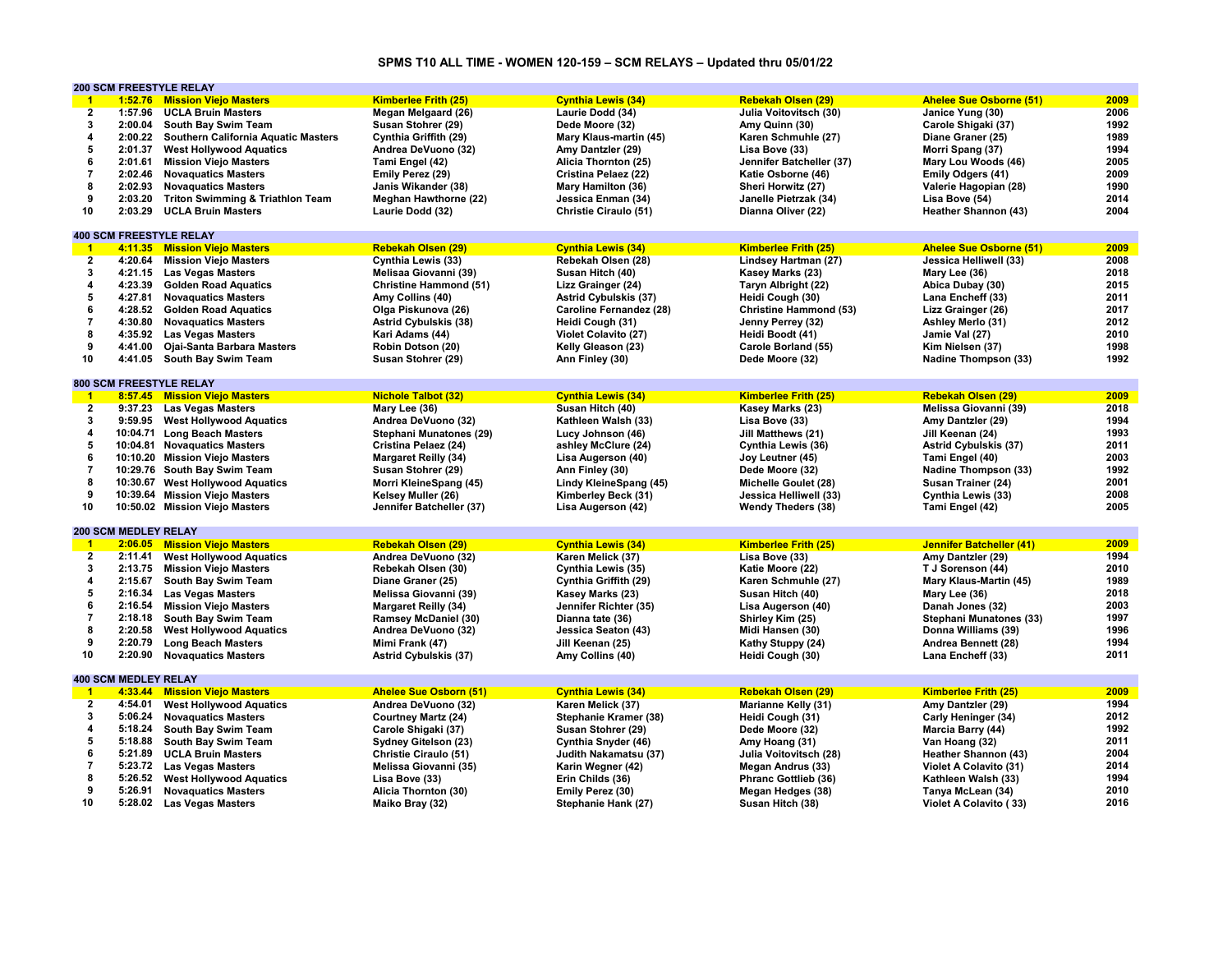## **SPMS T10 ALL TIME - WOMEN 120-159 – SCM RELAYS – Updated thru 05/01/22**

|                         |                             | <b>200 SCM FREESTYLE RELAY</b>              |                               |                              |                               |                                 |      |
|-------------------------|-----------------------------|---------------------------------------------|-------------------------------|------------------------------|-------------------------------|---------------------------------|------|
| $\blacksquare$ 1        |                             | 1:52.76 Mission Viejo Masters               | <b>Kimberlee Frith (25)</b>   | <b>Cynthia Lewis (34)</b>    | <b>Rebekah Olsen (29)</b>     | <b>Ahelee Sue Osborne (51)</b>  | 2009 |
| $\overline{2}$          | 1:57.96                     | <b>UCLA Bruin Masters</b>                   | Megan Melgaard (26)           | Laurie Dodd (34)             | Julia Voitovitsch (30)        | Janice Yung (30)                | 2006 |
| $\mathbf 3$             |                             | 2:00.04 South Bay Swim Team                 | Susan Stohrer (29)            | Dede Moore (32)              | Amy Quinn (30)                | Carole Shigaki (37)             | 1992 |
| 4                       | 2:00.22                     | Southern California Aquatic Masters         | Cynthia Griffith (29)         | Mary Klaus-martin (45)       | Karen Schmuhle (27)           | Diane Graner (25)               | 1989 |
| 5                       | 2:01.37                     | <b>West Hollywood Aquatics</b>              | Andrea DeVuono (32)           | Amy Dantzler (29)            | Lisa Bove (33)                | Morri Spang (37)                | 1994 |
| 6                       | 2:01.61                     | <b>Mission Viejo Masters</b>                | Tami Engel (42)               | Alicia Thornton (25)         | Jennifer Batcheller (37)      | Mary Lou Woods (46)             | 2005 |
| $\overline{7}$          | 2:02.46                     | <b>Novaquatics Masters</b>                  | Emily Perez (29)              | Cristina Pelaez (22)         | Katie Osborne (46)            | Emily Odgers (41)               | 2009 |
| 8                       | 2:02.93                     |                                             |                               |                              |                               |                                 | 1990 |
|                         |                             | <b>Novaquatics Masters</b>                  | Janis Wikander (38)           | Mary Hamilton (36)           | Sheri Horwitz (27)            | Valerie Hagopian (28)           |      |
| 9                       | 2:03.20                     | <b>Triton Swimming &amp; Triathlon Team</b> | <b>Meghan Hawthorne (22)</b>  | Jessica Enman (34)           | Janelle Pietrzak (34)         | Lisa Bove (54)                  | 2014 |
| 10                      | 2:03.29                     | <b>UCLA Bruin Masters</b>                   | Laurie Dodd (32)              | Christie Ciraulo (51)        | Dianna Oliver (22)            | Heather Shannon (43)            | 2004 |
|                         |                             |                                             |                               |                              |                               |                                 |      |
|                         |                             | <b>400 SCM FREESTYLE RELAY</b>              |                               |                              |                               |                                 |      |
| $\mathbf{1}$            |                             | 4:11.35 Mission Viejo Masters               | <b>Rebekah Olsen (29)</b>     | <b>Cynthia Lewis (34)</b>    | <b>Kimberlee Frith (25)</b>   | <b>Ahelee Sue Osborne (51)</b>  | 2009 |
| $\overline{2}$          |                             | 4:20.64 Mission Viejo Masters               | Cynthia Lewis (33)            | Rebekah Olsen (28)           | Lindsey Hartman (27)          | Jessica Helliwell (33)          | 2008 |
| 3                       |                             | 4:21.15 Las Vegas Masters                   | Melisaa Giovanni (39)         | Susan Hitch (40)             | Kasey Marks (23)              | Mary Lee (36)                   | 2018 |
| 4                       |                             | 4:23.39 Golden Road Aquatics                | <b>Christine Hammond (51)</b> | Lizz Grainger (24)           | Taryn Albright (22)           | Abica Dubay (30)                | 2015 |
| 5                       | 4:27.81                     | <b>Novaquatics Masters</b>                  | Amy Collins (40)              | <b>Astrid Cybulskis (37)</b> | Heidi Cough (30)              | Lana Encheff (33)               | 2011 |
| 6                       | 4:28.52                     | <b>Golden Road Aquatics</b>                 | Olga Piskunova (26)           | Caroline Fernandez (28)      | <b>Christine Hammond (53)</b> | Lizz Grainger (26)              | 2017 |
| 7                       | 4:30.80                     | <b>Novaguatics Masters</b>                  | <b>Astrid Cybulskis (38)</b>  | Heidi Cough (31)             | Jenny Perrey (32)             | Ashley Merlo (31)               | 2012 |
| 8                       |                             | 4:35.92 Las Vegas Masters                   | Kari Adams (44)               | Violet Colavito (27)         | Heidi Boodt (41)              | Jamie Val (27)                  | 2010 |
| 9                       | 4:41.00                     | Ojai-Santa Barbara Masters                  | Robin Dotson (20)             | Kelly Gleason (23)           | Carole Borland (55)           | Kim Nielsen (37)                | 1998 |
| 10                      | 4:41.05                     | South Bay Swim Team                         | Susan Stohrer (29)            | Ann Finley (30)              | Dede Moore (32)               | <b>Nadine Thompson (33)</b>     | 1992 |
|                         |                             |                                             |                               |                              |                               |                                 |      |
|                         |                             | <b>800 SCM FREESTYLE RELAY</b>              |                               |                              |                               |                                 |      |
| $\blacksquare$          |                             | 8:57.45 Mission Vielo Masters               | <b>Nichole Talbot (32)</b>    | <b>Cynthia Lewis (34)</b>    | <b>Kimberlee Frith (25)</b>   | <b>Rebekah Olsen (29)</b>       | 2009 |
| $\overline{2}$          |                             | 9:37.23 Las Vegas Masters                   | Mary Lee (36)                 | Susan Hitch (40)             | Kasey Marks (23)              | Melissa Giovanni (39)           | 2018 |
| 3                       |                             | 9:59.95 West Hollywood Aquatics             | Andrea DeVuono (32)           | Kathleen Walsh (33)          | Lisa Bove (33)                | Amy Dantzler (29)               | 1994 |
| $\overline{\mathbf{4}}$ |                             |                                             |                               |                              |                               |                                 | 1993 |
|                         |                             | 10:04.71 Long Beach Masters                 | Stephani Munatones (29)       | Lucy Johnson (46)            | Jill Matthews (21)            | Jill Keenan (24)                |      |
| $\sqrt{5}$              |                             | 10:04.81 Novaquatics Masters                | Cristina Pelaez (24)          | ashley McClure (24)          | Cynthia Lewis (36)            | <b>Astrid Cybulskis (37)</b>    | 2011 |
| 6                       |                             | 10:10.20 Mission Viejo Masters              | <b>Margaret Reilly (34)</b>   | Lisa Augerson (40)           | Joy Leutner (45)              | Tami Engel (40)                 | 2003 |
| $\overline{7}$          |                             | 10:29.76 South Bay Swim Team                | Susan Stohrer (29)            | Ann Finley (30)              | Dede Moore (32)               | <b>Nadine Thompson (33)</b>     | 1992 |
| 8                       |                             | 10:30.67 West Hollywood Aquatics            | Morri KleineSpang (45)        | Lindy KleineSpang (45)       | Michelle Goulet (28)          | Susan Trainer (24)              | 2001 |
| 9                       |                             | 10:39.64 Mission Viejo Masters              | Kelsey Muller (26)            | Kimberley Beck (31)          | Jessica Helliwell (33)        | Cynthia Lewis (33)              | 2008 |
| 10                      |                             | 10:50.02 Mission Viejo Masters              | Jennifer Batcheller (37)      | Lisa Augerson (42)           | <b>Wendy Theders (38)</b>     | Tami Engel (42)                 | 2005 |
|                         |                             |                                             |                               |                              |                               |                                 |      |
|                         | <b>200 SCM MEDLEY RELAY</b> |                                             |                               |                              |                               |                                 |      |
| $\mathbf{1}$            |                             | 2:06.05 Mission Viejo Masters               | <b>Rebekah Olsen (29)</b>     | <b>Cynthia Lewis (34)</b>    | <b>Kimberlee Frith (25)</b>   | <b>Jennifer Batcheller (41)</b> | 2009 |
| $\overline{2}$          |                             | 2:11.41 West Hollywood Aquatics             | Andrea DeVuono (32)           | Karen Melick (37)            | Lisa Bove (33)                | Amy Dantzler (29)               | 1994 |
| 3                       | 2:13.75                     | <b>Mission Viejo Masters</b>                | Rebekah Olsen (30)            | Cynthia Lewis (35)           | Katie Moore (22)              | T J Sorenson (44)               | 2010 |
| $\overline{4}$          | 2:15.67                     | South Bay Swim Team                         | Diane Graner (25)             | Cynthia Griffith (29)        | Karen Schmuhle (27)           | Mary Klaus-Martin (45)          | 1989 |
| 5                       | 2:16.34                     | <b>Las Vegas Masters</b>                    | Melissa Giovanni (39)         | Kasey Marks (23)             | Susan Hitch (40)              | Mary Lee (36)                   | 2018 |
| 6                       | 2:16.54                     | <b>Mission Viejo Masters</b>                | <b>Margaret Reilly (34)</b>   | Jennifer Richter (35)        | Lisa Augerson (40)            | Danah Jones (32)                | 2003 |
| $\bf 7$                 | 2:18.18                     | South Bay Swim Team                         | Ramsey McDaniel (30)          | Dianna tate (36)             | Shirley Kim (25)              | Stephani Munatones (33)         | 1997 |
| 8                       | 2:20.58                     | <b>West Hollywood Aquatics</b>              | Andrea DeVuono (32)           | Jessica Seaton (43)          | Midi Hansen (30)              | Donna Williams (39)             | 1996 |
| 9                       | 2:20.79                     | <b>Long Beach Masters</b>                   | Mimi Frank (47)               | Jill Keenan (25)             | Kathy Stuppy (24)             | Andrea Bennett (28)             | 1994 |
| 10                      |                             | 2:20.90 Novaquatics Masters                 | <b>Astrid Cybulskis (37)</b>  | Amy Collins (40)             | Heidi Cough (30)              | Lana Encheff (33)               | 2011 |
|                         |                             |                                             |                               |                              |                               |                                 |      |
|                         | <b>400 SCM MEDLEY RELAY</b> |                                             |                               |                              |                               |                                 |      |
| $\blacksquare$          |                             | 4:33.44 Mission Viejo Masters               | <b>Ahelee Sue Osborn (51)</b> | <b>Cynthia Lewis (34)</b>    | <b>Rebekah Olsen (29)</b>     | <b>Kimberlee Frith (25)</b>     | 2009 |
| $\overline{2}$          | 4:54.01                     | <b>West Hollywood Aquatics</b>              | Andrea DeVuono (32)           | Karen Melick (37)            | Marianne Kelly (31)           | Amy Dantzler (29)               | 1994 |
| 3                       | 5:06.24                     | <b>Novaguatics Masters</b>                  | <b>Courtney Martz (24)</b>    | Stephanie Kramer (38)        | Heidi Cough (31)              | Carly Heninger (34)             | 2012 |
| 4                       | 5:18.24                     | South Bay Swim Team                         | Carole Shigaki (37)           | Susan Stohrer (29)           | Dede Moore (32)               | Marcia Barry (44)               | 1992 |
|                         |                             |                                             |                               |                              |                               |                                 |      |
| 5                       | 5:18.88                     | South Bay Swim Team                         | Sydney Gitelson (23)          | Cynthia Snyder (46)          | Amy Hoang (31)                | Van Hoang (32)                  | 2011 |
| 6                       | 5:21.89                     | <b>UCLA Bruin Masters</b>                   | Christie Ciraulo (51)         | Judith Nakamatsu (37)        | Julia Voitovitsch (28)        | Heather Shannon (43)            | 2004 |
| $\overline{7}$          |                             | 5:23.72 Las Vegas Masters                   | Melissa Giovanni (35)         | Karin Wegner (42)            | <b>Megan Andrus (33)</b>      | <b>Violet A Colavito (31)</b>   | 2014 |
| 8                       | 5:26.52                     | <b>West Hollywood Aquatics</b>              | Lisa Bove (33)                | Erin Childs (36)             | Phranc Gottlieb (36)          | Kathleen Walsh (33)             | 1994 |
| 9                       | 5:26.91                     | <b>Novaguatics Masters</b>                  | Alicia Thornton (30)          | Emily Perez (30)             | Megan Hedges (38)             | Tanya McLean (34)               | 2010 |
| 10                      |                             | 5:28.02 Las Vegas Masters                   | Maiko Bray (32)               | Stephanie Hank (27)          | Susan Hitch (38)              | Violet A Colavito (33)          | 2016 |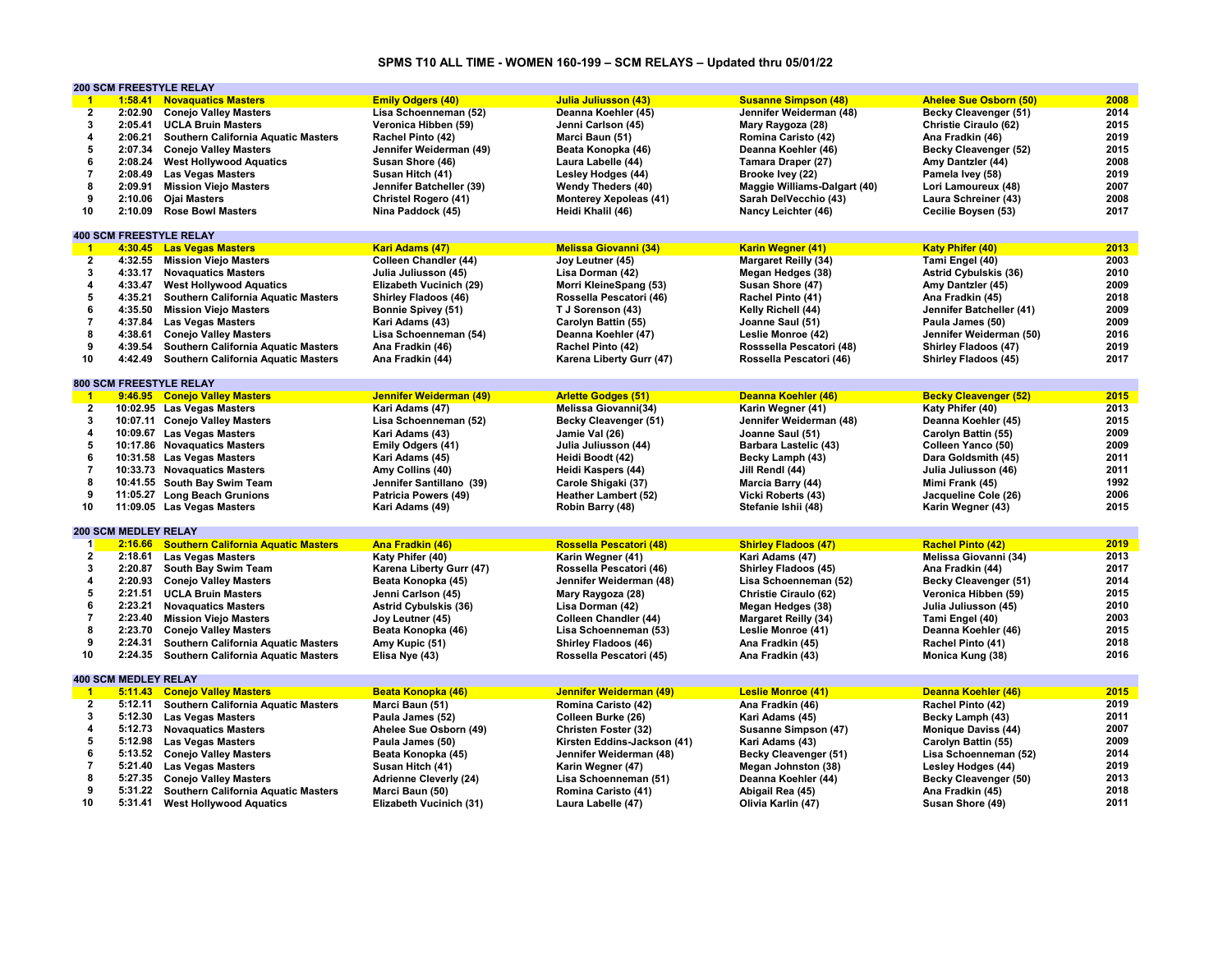## **SPMS T10 ALL TIME - WOMEN 160-199 – SCM RELAYS – Updated thru 05/01/22**

|                         |                             | <b>200 SCM FREESTYLE RELAY</b>              |                               |                               |                              |                               |      |
|-------------------------|-----------------------------|---------------------------------------------|-------------------------------|-------------------------------|------------------------------|-------------------------------|------|
| $^{\circ}$ 1            | 1:58.41                     | <b>Novaquatics Masters</b>                  | <b>Emily Odgers (40)</b>      | <b>Julia Juliusson (43)</b>   | <b>Susanne Simpson (48)</b>  | <b>Ahelee Sue Osborn (50)</b> | 2008 |
| $\overline{2}$          | 2:02.90                     | <b>Conejo Valley Masters</b>                | Lisa Schoenneman (52)         | Deanna Koehler (45)           | Jennifer Weiderman (48)      | Becky Cleavenger (51)         | 2014 |
| $\mathbf{3}$            | 2:05.41                     | <b>UCLA Bruin Masters</b>                   | Veronica Hibben (59)          | Jenni Carlson (45)            | Mary Raygoza (28)            | Christie Ciraulo (62)         | 2015 |
| 4                       | 2:06.21                     | Southern California Aquatic Masters         | Rachel Pinto (42)             | Marci Baun (51)               | Romina Caristo (42)          | Ana Fradkin (46)              | 2019 |
| 5                       |                             | 2:07.34 Conejo Valley Masters               | Jennifer Weiderman (49)       | Beata Konopka (46)            | Deanna Koehler (46)          | Becky Cleavenger (52)         | 2015 |
| 6                       | 2:08.24                     | <b>West Hollywood Aquatics</b>              | Susan Shore (46)              | Laura Labelle (44)            | Tamara Draper (27)           | Amy Dantzler (44)             | 2008 |
| $\overline{7}$          |                             |                                             |                               |                               |                              |                               | 2019 |
|                         | 2:08.49                     | <b>Las Vegas Masters</b>                    | Susan Hitch (41)              | Lesley Hodges (44)            | Brooke Ivey (22)             | Pamela Ivey (58)              |      |
| 8                       | 2:09.91                     | <b>Mission Viejo Masters</b>                | Jennifer Batcheller (39)      | <b>Wendy Theders (40)</b>     | Maggie Williams-Dalgart (40) | Lori Lamoureux (48)           | 2007 |
| 9                       | 2:10.06                     | <b>Ojai Masters</b>                         | Christel Rogero (41)          | <b>Monterey Xepoleas (41)</b> | Sarah DelVecchio (43)        | Laura Schreiner (43)          | 2008 |
| 10                      | 2:10.09                     | <b>Rose Bowl Masters</b>                    | Nina Paddock (45)             | Heidi Khalil (46)             | Nancy Leichter (46)          | Cecilie Boysen (53)           | 2017 |
|                         |                             |                                             |                               |                               |                              |                               |      |
|                         |                             | <b>400 SCM FREESTYLE RELAY</b>              |                               |                               |                              |                               |      |
| $\blacksquare$          |                             | 4:30.45 Las Vegas Masters                   | Kari Adams (47)               | <b>Melissa Giovanni (34)</b>  | <b>Karin Wegner (41)</b>     | <b>Katy Phifer (40)</b>       | 2013 |
| $\overline{2}$          |                             | 4:32.55 Mission Viejo Masters               | Colleen Chandler (44)         | Joy Leutner (45)              | <b>Margaret Reilly (34)</b>  | Tami Engel (40)               | 2003 |
| 3                       | 4:33.17                     | <b>Novaquatics Masters</b>                  | Julia Juliusson (45)          | Lisa Dorman (42)              | Megan Hedges (38)            | <b>Astrid Cybulskis (36)</b>  | 2010 |
| $\overline{\mathbf{4}}$ |                             | 4:33.47 West Hollywood Aquatics             | Elizabeth Vucinich (29)       | Morri KleineSpang (53)        | Susan Shore (47)             | Amy Dantzler (45)             | 2009 |
| 5                       | 4:35.21                     | <b>Southern California Aquatic Masters</b>  | <b>Shirley Fladoos (46)</b>   | Rossella Pescatori (46)       | Rachel Pinto (41)            | Ana Fradkin (45)              | 2018 |
| 6                       | 4:35.50                     | <b>Mission Viejo Masters</b>                |                               |                               |                              |                               | 2009 |
| $\overline{7}$          | 4:37.84                     |                                             | Bonnie Spivey (51)            | T J Sorenson (43)             | Kelly Richell (44)           | Jennifer Batcheller (41)      | 2009 |
|                         |                             | <b>Las Vegas Masters</b>                    | Kari Adams (43)               | Carolyn Battin (55)           | Joanne Saul (51)             | Paula James (50)              |      |
| 8                       |                             | 4:38.61 Conejo Valley Masters               | Lisa Schoenneman (54)         | Deanna Koehler (47)           | Leslie Monroe (42)           | Jennifer Weiderman (50)       | 2016 |
| 9                       | 4:39.54                     | Southern California Aquatic Masters         | Ana Fradkin (46)              | Rachel Pinto (42)             | Rosssella Pescatori (48)     | Shirley Fladoos (47)          | 2019 |
| 10                      | 4:42.49                     | Southern California Aquatic Masters         | Ana Fradkin (44)              | Karena Liberty Gurr (47)      | Rossella Pescatori (46)      | Shirley Fladoos (45)          | 2017 |
|                         |                             |                                             |                               |                               |                              |                               |      |
|                         |                             | <b>800 SCM FREESTYLE RELAY</b>              |                               |                               |                              |                               |      |
| $-1$                    |                             | 9:46.95 Conejo Valley Masters               | Jennifer Weiderman (49)       | <b>Arlette Godges (51)</b>    | Deanna Koehler (46)          | <b>Becky Cleavenger (52)</b>  | 2015 |
| $\overline{2}$          |                             | 10:02.95 Las Vegas Masters                  | Kari Adams (47)               | Melissa Giovanni(34)          | Karin Wegner (41)            | Katy Phifer (40)              | 2013 |
| 3                       |                             | 10:07.11 Conejo Valley Masters              | Lisa Schoenneman (52)         | Becky Cleavenger (51)         | Jennifer Weiderman (48)      | Deanna Koehler (45)           | 2015 |
| 4                       |                             | 10:09.67 Las Vegas Masters                  | Kari Adams (43)               | Jamie Val (26)                | Joanne Saul (51)             | Carolyn Battin (55)           | 2009 |
| 5                       |                             | 10:17.86 Novaguatics Masters                | Emily Odgers (41)             | Julia Juliusson (44)          | <b>Barbara Lastelic (43)</b> | Colleen Yanco (50)            | 2009 |
| 6                       |                             | 10:31.58 Las Vegas Masters                  |                               | Heidi Boodt (42)              |                              |                               | 2011 |
|                         |                             |                                             | Kari Adams (45)               |                               | Becky Lamph (43)             | Dara Goldsmith (45)           |      |
| $\overline{7}$          |                             | 10:33.73 Novaquatics Masters                | Amy Collins (40)              | Heidi Kaspers (44)            | Jill Rendl (44)              | Julia Juliusson (46)          | 2011 |
| 8                       |                             | 10:41.55 South Bay Swim Team                | Jennifer Santillano (39)      | Carole Shigaki (37)           | Marcia Barry (44)            | Mimi Frank (45)               | 1992 |
| 9                       |                             | 11:05.27 Long Beach Grunions                | Patricia Powers (49)          | <b>Heather Lambert (52)</b>   | Vicki Roberts (43)           | Jacqueline Cole (26)          | 2006 |
| 10                      |                             | 11:09.05 Las Vegas Masters                  | Kari Adams (49)               | Robin Barry (48)              | Stefanie Ishii (48)          | Karin Wegner (43)             | 2015 |
|                         |                             |                                             |                               |                               |                              |                               |      |
|                         | <b>200 SCM MEDLEY RELAY</b> |                                             |                               |                               |                              |                               |      |
| $\mathbf{1}$            | 2:16.66                     | <b>Southern California Aquatic Masters</b>  | Ana Fradkin (46)              | Rossella Pescatori (48)       | <b>Shirley Fladoos (47)</b>  | <b>Rachel Pinto (42)</b>      | 2019 |
| $2^{r}$                 |                             | 2:18.61 Las Vegas Masters                   | Katy Phifer (40)              | Karin Wegner (41)             | Kari Adams (47)              | Melissa Giovanni (34)         | 2013 |
| 3                       |                             | 2:20.87 South Bay Swim Team                 | Karena Liberty Gurr (47)      | Rossella Pescatori (46)       | Shirley Fladoos (45)         | Ana Fradkin (44)              | 2017 |
| $\overline{\mathbf{4}}$ | 2:20.93                     | <b>Conejo Valley Masters</b>                | Beata Konopka (45)            | Jennifer Weiderman (48)       | Lisa Schoenneman (52)        | Becky Cleavenger (51)         | 2014 |
| ${\bf 5}$               | 2:21.51                     | <b>UCLA Bruin Masters</b>                   | Jenni Carlson (45)            | Mary Raygoza (28)             | Christie Ciraulo (62)        | Veronica Hibben (59)          | 2015 |
| 6                       | 2:23.21                     |                                             |                               |                               |                              |                               | 2010 |
| $\overline{7}$          |                             | <b>Novaquatics Masters</b>                  | <b>Astrid Cybulskis (36)</b>  | Lisa Dorman (42)              | Megan Hedges (38)            | Julia Juliusson (45)          | 2003 |
|                         | 2:23.40                     | <b>Mission Viejo Masters</b>                | Joy Leutner (45)              | Colleen Chandler (44)         | <b>Margaret Reilly (34)</b>  | Tami Engel (40)               |      |
| 8                       | 2:23.70                     | <b>Conejo Valley Masters</b>                | Beata Konopka (46)            | Lisa Schoenneman (53)         | Leslie Monroe (41)           | Deanna Koehler (46)           | 2015 |
| 9                       | 2:24.31                     | <b>Southern California Aquatic Masters</b>  | Amy Kupic (51)                | <b>Shirley Fladoos (46)</b>   | Ana Fradkin (45)             | Rachel Pinto (41)             | 2018 |
| 10                      | 2:24.35                     | <b>Southern California Aquatic Masters</b>  | Elisa Nye (43)                | Rossella Pescatori (45)       | Ana Fradkin (43)             | Monica Kung (38)              | 2016 |
|                         |                             |                                             |                               |                               |                              |                               |      |
|                         | <b>400 SCM MEDLEY RELAY</b> |                                             |                               |                               |                              |                               |      |
| $\blacktriangleleft$    |                             | 5:11.43 Conejo Valley Masters               | Beata Konopka (46)            | Jennifer Weiderman (49)       | <b>Leslie Monroe (41)</b>    | Deanna Koehler (46)           | 2015 |
| $\overline{2}$          | 5:12.11                     | Southern California Aquatic Masters         | Marci Baun (51)               | Romina Caristo (42)           | Ana Fradkin (46)             | Rachel Pinto (42)             | 2019 |
| 3                       | 5:12.30                     | <b>Las Vegas Masters</b>                    | Paula James (52)              | Colleen Burke (26)            | Kari Adams (45)              | Becky Lamph (43)              | 2011 |
| $\overline{\mathbf{4}}$ |                             | 5:12.73 Novaquatics Masters                 | Ahelee Sue Osborn (49)        | Christen Foster (32)          | Susanne Simpson (47)         | <b>Monique Daviss (44)</b>    | 2007 |
| 5                       |                             | 5:12.98 Las Vegas Masters                   | Paula James (50)              | Kirsten Eddins-Jackson (41)   | Kari Adams (43)              | Carolyn Battin (55)           | 2009 |
| 6                       |                             | 5:13.52 Conejo Valley Masters               | Beata Konopka (45)            | Jennifer Weiderman (48)       | Becky Cleavenger (51)        | Lisa Schoenneman (52)         | 2014 |
| $\overline{7}$          | 5:21.40                     | <b>Las Vegas Masters</b>                    | Susan Hitch (41)              | Karin Wegner (47)             |                              |                               | 2019 |
| 8                       |                             |                                             |                               |                               | Megan Johnston (38)          | Lesley Hodges (44)            |      |
|                         | 5:27.35                     | <b>Conejo Valley Masters</b>                | <b>Adrienne Cleverly (24)</b> | Lisa Schoenneman (51)         | Deanna Koehler (44)          | Becky Cleavenger (50)         | 2013 |
| 9                       |                             | 5:31.22 Southern California Aquatic Masters | Marci Baun (50)               | Romina Caristo (41)           | Abigail Rea (45)             | Ana Fradkin (45)              | 2018 |
| 10                      |                             | 5:31.41 West Hollywood Aquatics             | Elizabeth Vucinich (31)       | Laura Labelle (47)            | Olivia Karlin (47)           | Susan Shore (49)              | 2011 |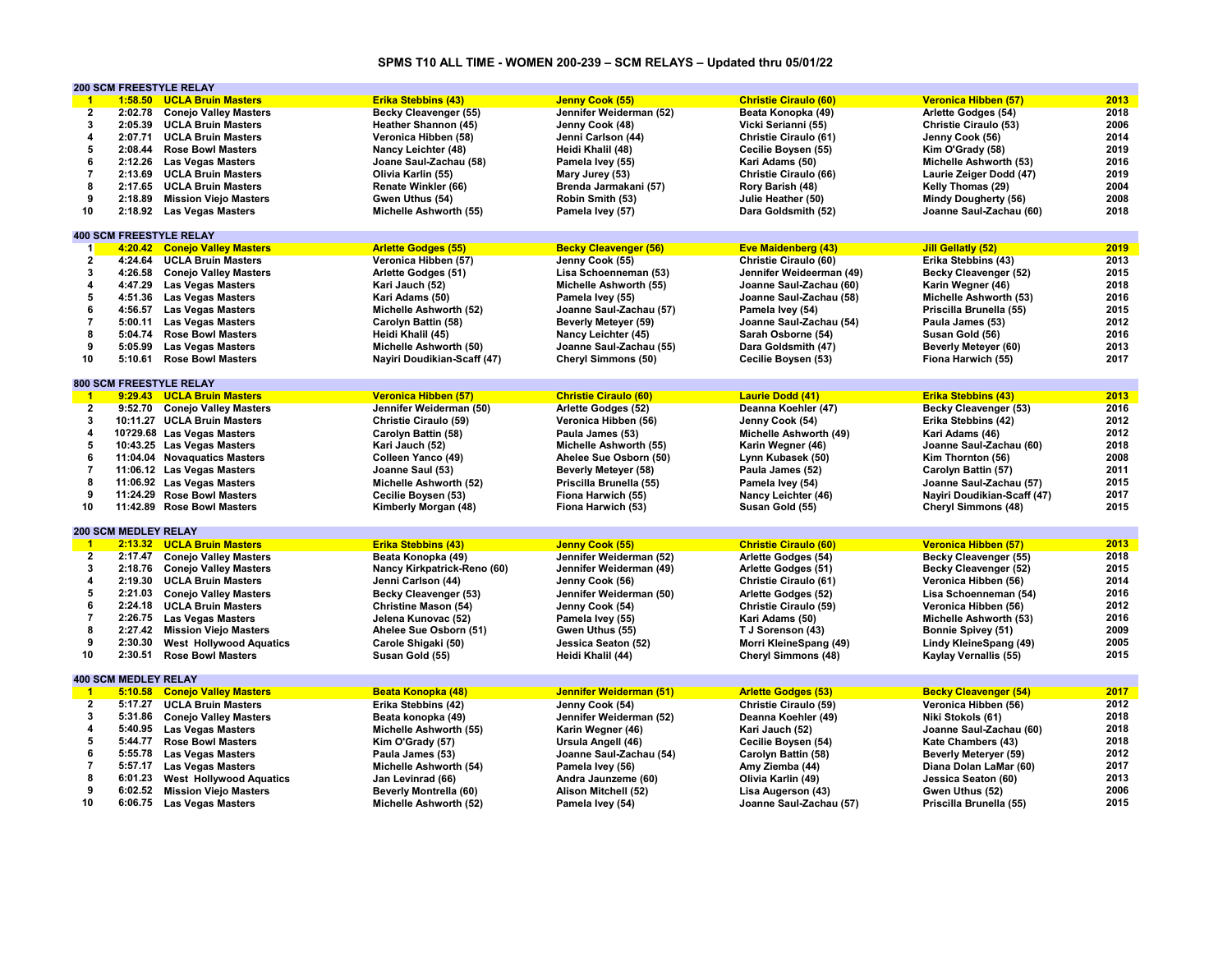## **SPMS T10 ALL TIME - WOMEN 200-239 – SCM RELAYS – Updated thru 05/01/22**

|                         | 200 SCM FREESTYLE RELAY        |                                |                               |                              |                              |                              |      |
|-------------------------|--------------------------------|--------------------------------|-------------------------------|------------------------------|------------------------------|------------------------------|------|
| $-1$                    | 1:58.50                        | <b>UCLA Bruin Masters</b>      | <b>Erika Stebbins (43)</b>    | Jenny Cook (55)              | <b>Christie Ciraulo (60)</b> | Veronica Hibben (57)         | 2013 |
| $\overline{2}$          | 2:02.78                        | <b>Conejo Valley Masters</b>   | Becky Cleavenger (55)         | Jennifer Weiderman (52)      | Beata Konopka (49)           | Arlette Godges (54)          | 2018 |
| 3                       | 2:05.39                        | <b>UCLA Bruin Masters</b>      | Heather Shannon (45)          | Jenny Cook (48)              | Vicki Serianni (55)          | Christie Ciraulo (53)        | 2006 |
| 4                       | 2:07.71                        | <b>UCLA Bruin Masters</b>      | Veronica Hibben (58)          | Jenni Carlson (44)           | Christie Ciraulo (61)        | Jenny Cook (56)              | 2014 |
| 5                       | 2:08.44                        | <b>Rose Bowl Masters</b>       | Nancy Leichter (48)           | Heidi Khalil (48)            | Cecilie Boysen (55)          | Kim O'Grady (58)             | 2019 |
| 6                       | 2:12.26                        | <b>Las Vegas Masters</b>       | Joane Saul-Zachau (58)        | Pamela Ivey (55)             | Kari Adams (50)              | Michelle Ashworth (53)       | 2016 |
|                         |                                |                                |                               |                              |                              |                              |      |
| $\overline{\mathbf{7}}$ | 2:13.69                        | <b>UCLA Bruin Masters</b>      | Olivia Karlin (55)            | Mary Jurey (53)              | Christie Ciraulo (66)        | Laurie Zeiger Dodd (47)      | 2019 |
| 8                       | 2:17.65                        | <b>UCLA Bruin Masters</b>      | Renate Winkler (66)           | Brenda Jarmakani (57)        | Rory Barish (48)             | Kelly Thomas (29)            | 2004 |
| 9                       | 2:18.89                        | <b>Mission Viejo Masters</b>   | Gwen Uthus (54)               | Robin Smith (53)             | Julie Heather (50)           | Mindy Dougherty (56)         | 2008 |
| 10                      |                                | 2:18.92 Las Vegas Masters      | Michelle Ashworth (55)        | Pamela Ivey (57)             | Dara Goldsmith (52)          | Joanne Saul-Zachau (60)      | 2018 |
|                         |                                |                                |                               |                              |                              |                              |      |
|                         | <b>400 SCM FREESTYLE RELAY</b> |                                |                               |                              |                              |                              |      |
| $\mathbf{1}$            | 4:20.42                        | <b>Conejo Valley Masters</b>   | <b>Arlette Godges (55)</b>    | <b>Becky Cleavenger (56)</b> | <b>Eve Maidenberg (43)</b>   | <b>Jill Gellatly (52)</b>    | 2019 |
| $\overline{2}$          | 4:24.64                        | <b>UCLA Bruin Masters</b>      | Veronica Hibben (57)          | Jenny Cook (55)              | Christie Ciraulo (60)        | Erika Stebbins (43)          | 2013 |
| 3                       | 4:26.58                        | <b>Conejo Valley Masters</b>   | Arlette Godges (51)           | Lisa Schoenneman (53)        | Jennifer Weideerman (49)     | Becky Cleavenger (52)        | 2015 |
|                         |                                |                                |                               |                              |                              |                              |      |
| 4                       | 4:47.29                        | <b>Las Vegas Masters</b>       | Kari Jauch (52)               | Michelle Ashworth (55)       | Joanne Saul-Zachau (60)      | Karin Wegner (46)            | 2018 |
| 5                       | 4:51.36                        | <b>Las Vegas Masters</b>       | Kari Adams (50)               | Pamela Ivey (55)             | Joanne Saul-Zachau (58)      | Michelle Ashworth (53)       | 2016 |
| 6                       | 4:56.57                        | <b>Las Vegas Masters</b>       | Michelle Ashworth (52)        | Joanne Saul-Zachau (57)      | Pamela Ivey (54)             | Priscilla Brunella (55)      | 2015 |
| $\overline{\mathbf{7}}$ |                                | 5:00.11 Las Vegas Masters      | Carolyn Battin (58)           | Beverly Meteyer (59)         | Joanne Saul-Zachau (54)      | Paula James (53)             | 2012 |
| 8                       | 5:04.74                        | <b>Rose Bowl Masters</b>       | Heidi Khalil (45)             | Nancy Leichter (45)          | Sarah Osborne (54)           | Susan Gold (56)              | 2016 |
| 9                       | 5:05.99                        | <b>Las Vegas Masters</b>       | Michelle Ashworth (50)        | Joanne Saul-Zachau (55)      | Dara Goldsmith (47)          | Beverly Meteyer (60)         | 2013 |
| 10                      | 5:10.61                        | <b>Rose Bowl Masters</b>       | Nayiri Doudikian-Scaff (47)   | <b>Cheryl Simmons (50)</b>   | Cecilie Boysen (53)          | Fiona Harwich (55)           | 2017 |
|                         |                                |                                |                               |                              |                              |                              |      |
|                         | 800 SCM FREESTYLE RELAY        |                                |                               |                              |                              |                              |      |
| $-1$                    |                                | 9:29.43 UCLA Bruin Masters     | Veronica Hibben (57)          | <b>Christie Ciraulo (60)</b> | <b>Laurie Dodd (41)</b>      | <b>Erika Stebbins (43)</b>   | 2013 |
| $\overline{2}$          |                                |                                |                               |                              |                              |                              |      |
|                         |                                | 9:52.70 Conejo Valley Masters  | Jennifer Weiderman (50)       | Arlette Godges (52)          | Deanna Koehler (47)          | Becky Cleavenger (53)        | 2016 |
| 3                       |                                | 10:11.27 UCLA Bruin Masters    | <b>Christie Ciraulo (59)</b>  | Veronica Hibben (56)         | Jenny Cook (54)              | Erika Stebbins (42)          | 2012 |
| 4                       |                                | 10?29.68 Las Vegas Masters     | Carolyn Battin (58)           | Paula James (53)             | Michelle Ashworth (49)       | Kari Adams (46)              | 2012 |
| ${\bf 5}$               |                                | 10:43.25 Las Vegas Masters     | Kari Jauch (52)               | Michelle Ashworth (55)       | Karin Wegner (46)            | Joanne Saul-Zachau (60)      | 2018 |
| 6                       |                                | 11:04.04 Novaquatics Masters   | Colleen Yanco (49)            | Ahelee Sue Osborn (50)       | Lynn Kubasek (50)            | Kim Thornton (56)            | 2008 |
| $\overline{7}$          |                                | 11:06.12 Las Vegas Masters     | Joanne Saul (53)              | <b>Beverly Meteyer (58)</b>  | Paula James (52)             | Carolyn Battin (57)          | 2011 |
| 8                       |                                | 11:06.92 Las Vegas Masters     | Michelle Ashworth (52)        | Priscilla Brunella (55)      | Pamela Ivey (54)             | Joanne Saul-Zachau (57)      | 2015 |
| 9                       |                                | 11:24.29 Rose Bowl Masters     | Cecilie Boysen (53)           | Fiona Harwich (55)           | Nancy Leichter (46)          | Nayiri Doudikian-Scaff (47)  | 2017 |
| 10                      |                                | 11:42.89 Rose Bowl Masters     | Kimberly Morgan (48)          | Fiona Harwich (53)           | Susan Gold (55)              | <b>Cheryl Simmons (48)</b>   | 2015 |
|                         |                                |                                |                               |                              |                              |                              |      |
|                         | <b>200 SCM MEDLEY RELAY</b>    |                                |                               |                              |                              |                              |      |
|                         |                                |                                |                               |                              |                              |                              |      |
| $\mathbf{1}$            |                                | 2:13.32 UCLA Bruin Masters     | <b>Erika Stebbins (43)</b>    | Jenny Cook (55)              | <b>Christie Ciraulo (60)</b> | <b>Veronica Hibben (57)</b>  | 2013 |
| $\overline{2}$          | 2:17.47                        | <b>Conejo Valley Masters</b>   | Beata Konopka (49)            | Jennifer Weiderman (52)      | Arlette Godges (54)          | <b>Becky Cleavenger (55)</b> | 2018 |
| 3                       | 2:18.76                        | <b>Conejo Valley Masters</b>   | Nancy Kirkpatrick-Reno (60)   | Jennifer Weiderman (49)      | Arlette Godges (51)          | Becky Cleavenger (52)        | 2015 |
| 4                       | 2:19.30                        | <b>UCLA Bruin Masters</b>      | Jenni Carlson (44)            | Jenny Cook (56)              | Christie Ciraulo (61)        | Veronica Hibben (56)         | 2014 |
| 5                       | 2:21.03                        | <b>Conejo Valley Masters</b>   | Becky Cleavenger (53)         | Jennifer Weiderman (50)      | Arlette Godges (52)          | Lisa Schoenneman (54)        | 2016 |
| 6                       | 2:24.18                        | <b>UCLA Bruin Masters</b>      | <b>Christine Mason (54)</b>   | Jenny Cook (54)              | Christie Ciraulo (59)        | Veronica Hibben (56)         | 2012 |
| $\overline{\mathbf{7}}$ | 2:26.75                        | <b>Las Vegas Masters</b>       | Jelena Kunovac (52)           | Pamela Ivey (55)             | Kari Adams (50)              | Michelle Ashworth (53)       | 2016 |
| 8                       | 2:27.42                        | <b>Mission Viejo Masters</b>   | Ahelee Sue Osborn (51)        | Gwen Uthus (55)              | T J Sorenson (43)            | <b>Bonnie Spivey (51)</b>    | 2009 |
| 9                       | 2:30.30                        | <b>West Hollywood Aquatics</b> | Carole Shigaki (50)           | Jessica Seaton (52)          | Morri KleineSpang (49)       | Lindy KleineSpang (49)       | 2005 |
| 10                      | 2:30.51                        | <b>Rose Bowl Masters</b>       | Susan Gold (55)               | Heidi Khalil (44)            | <b>Cheryl Simmons (48)</b>   |                              | 2015 |
|                         |                                |                                |                               |                              |                              | Kaylay Vernallis (55)        |      |
|                         |                                |                                |                               |                              |                              |                              |      |
|                         | <b>400 SCM MEDLEY RELAY</b>    |                                |                               |                              |                              |                              |      |
| $-1$                    | 5:10.58                        | <b>Conejo Valley Masters</b>   | Beata Konopka (48)            | Jennifer Weiderman (51)      | <b>Arlette Godges (53)</b>   | <b>Becky Cleavenger (54)</b> | 2017 |
| $\overline{2}$          | 5:17.27                        | <b>UCLA Bruin Masters</b>      | Erika Stebbins (42)           | Jenny Cook (54)              | Christie Ciraulo (59)        | Veronica Hibben (56)         | 2012 |
| 3                       | 5:31.86                        | <b>Conejo Valley Masters</b>   | Beata konopka (49)            | Jennifer Weiderman (52)      | Deanna Koehler (49)          | Niki Stokols (61)            | 2018 |
| 4                       |                                | 5:40.95 Las Vegas Masters      | Michelle Ashworth (55)        | Karin Wegner (46)            | Kari Jauch (52)              | Joanne Saul-Zachau (60)      | 2018 |
| 5                       | 5:44.77                        | <b>Rose Bowl Masters</b>       | Kim O'Grady (57)              | Ursula Angell (46)           | Cecilie Boysen (54)          | Kate Chambers (43)           | 2018 |
| 6                       | 5:55.78                        | <b>Las Vegas Masters</b>       | Paula James (53)              | Joanne Saul-Zachau (54)      | Carolyn Battin (58)          | Beverly Meteryer (59)        | 2012 |
| $\overline{\mathbf{7}}$ | 5:57.17                        | <b>Las Vegas Masters</b>       | Michelle Ashworth (54)        | Pamela Ivey (56)             | Amy Ziemba (44)              | Diana Dolan LaMar (60)       | 2017 |
| 8                       | 6:01.23                        | <b>West Hollywood Aquatics</b> | Jan Levinrad (66)             | Andra Jaunzeme (60)          | Olivia Karlin (49)           | Jessica Seaton (60)          | 2013 |
| 9                       | 6:02.52                        | <b>Mission Viejo Masters</b>   | <b>Beverly Montrella (60)</b> | Alison Mitchell (52)         | Lisa Augerson (43)           | Gwen Uthus (52)              | 2006 |
| 10                      |                                |                                |                               |                              |                              |                              | 2015 |
|                         |                                | 6:06.75 Las Vegas Masters      | Michelle Ashworth (52)        | Pamela Ivey (54)             | Joanne Saul-Zachau (57)      | Priscilla Brunella (55)      |      |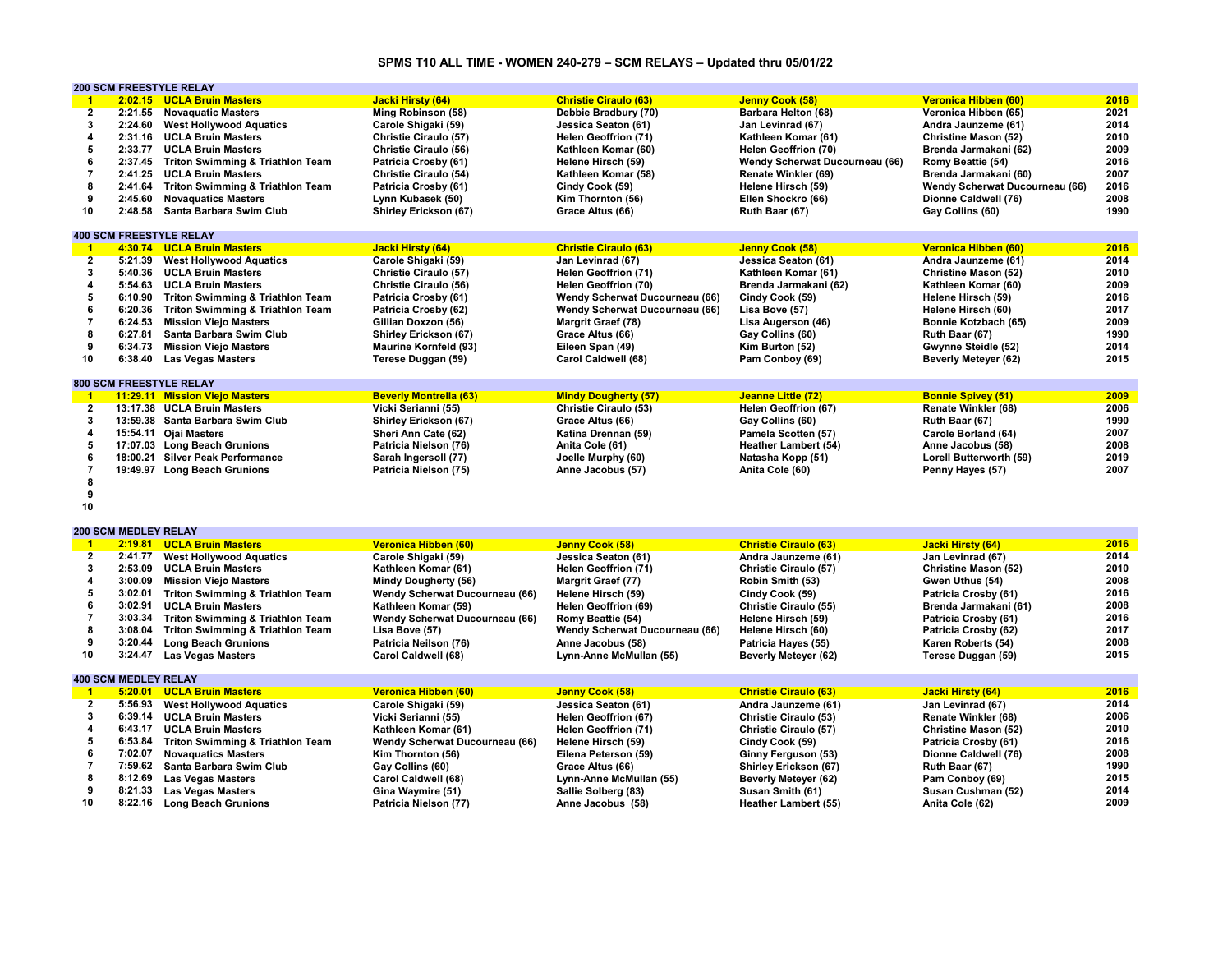## **SPMS T10 ALL TIME - WOMEN 240-279 – SCM RELAYS – Updated thru 05/01/22**

|                         | <b>200 SCM FREESTYLE RELAY</b> |                                             |                                |                                |                                |                                |      |
|-------------------------|--------------------------------|---------------------------------------------|--------------------------------|--------------------------------|--------------------------------|--------------------------------|------|
| $\overline{1}$          |                                | 2:02.15 UCLA Bruin Masters                  | Jacki Hirsty (64)              | <b>Christie Ciraulo (63)</b>   | Jenny Cook (58)                | Veronica Hibben (60)           | 2016 |
| $\overline{2}$          | 2:21.55                        | <b>Novaguatic Masters</b>                   | Ming Robinson (58)             | Debbie Bradbury (70)           | Barbara Helton (68)            | Veronica Hibben (65)           | 2021 |
| 3                       | 2:24.60                        | <b>West Hollywood Aquatics</b>              | Carole Shigaki (59)            | Jessica Seaton (61)            | Jan Levinrad (67)              | Andra Jaunzeme (61)            | 2014 |
| $\overline{\mathbf{4}}$ | 2:31.16                        | <b>UCLA Bruin Masters</b>                   | Christie Ciraulo (57)          | <b>Helen Geoffrion (71)</b>    | Kathleen Komar (61)            | <b>Christine Mason (52)</b>    | 2010 |
| 5                       | 2:33.77                        | <b>UCLA Bruin Masters</b>                   | Christie Ciraulo (56)          | Kathleen Komar (60)            | <b>Helen Geoffrion (70)</b>    | Brenda Jarmakani (62)          | 2009 |
| 6                       | 2:37.45                        | <b>Triton Swimming &amp; Triathlon Team</b> | Patricia Crosby (61)           | Helene Hirsch (59)             | Wendy Scherwat Ducourneau (66) | Romy Beattie (54)              | 2016 |
| $\overline{7}$          |                                |                                             |                                |                                |                                |                                |      |
|                         | 2:41.25                        | <b>UCLA Bruin Masters</b>                   | Christie Ciraulo (54)          | Kathleen Komar (58)            | Renate Winkler (69)            | Brenda Jarmakani (60)          | 2007 |
| 8                       | 2:41.64                        | <b>Triton Swimming &amp; Triathlon Team</b> | Patricia Crosby (61)           | Cindy Cook (59)                | Helene Hirsch (59)             | Wendy Scherwat Ducourneau (66) | 2016 |
| 9                       | 2:45.60                        | <b>Novaquatics Masters</b>                  | Lynn Kubasek (50)              | Kim Thornton (56)              | Ellen Shockro (66)             | Dionne Caldwell (76)           | 2008 |
| 10                      | 2:48.58                        | Santa Barbara Swim Club                     | <b>Shirley Erickson (67)</b>   | Grace Altus (66)               | Ruth Baar (67)                 | Gay Collins (60)               | 1990 |
|                         |                                |                                             |                                |                                |                                |                                |      |
|                         | <b>400 SCM FREESTYLE RELAY</b> |                                             |                                |                                |                                |                                |      |
| $\blacktriangleleft$    |                                | 4:30.74 UCLA Bruin Masters                  | <b>Jacki Hirsty (64)</b>       | <b>Christie Ciraulo (63)</b>   | <b>Jenny Cook (58)</b>         | <b>Veronica Hibben (60)</b>    | 2016 |
| $\overline{2}$          | 5:21.39                        | <b>West Hollywood Aquatics</b>              | Carole Shigaki (59)            | Jan Levinrad (67)              | Jessica Seaton (61)            | Andra Jaunzeme (61)            | 2014 |
| 3                       | 5:40.36                        | <b>UCLA Bruin Masters</b>                   | Christie Ciraulo (57)          | <b>Helen Geoffrion (71)</b>    | Kathleen Komar (61)            | <b>Christine Mason (52)</b>    | 2010 |
| $\overline{\mathbf{4}}$ | 5:54.63                        | <b>UCLA Bruin Masters</b>                   | Christie Ciraulo (56)          | Helen Geoffrion (70)           | Brenda Jarmakani (62)          | Kathleen Komar (60)            | 2009 |
| 5                       | 6:10.90                        | <b>Triton Swimming &amp; Triathlon Team</b> | Patricia Crosby (61)           | Wendy Scherwat Ducourneau (66) | Cindy Cook (59)                | Helene Hirsch (59)             | 2016 |
| 6                       | 6:20.36                        | <b>Triton Swimming &amp; Triathlon Team</b> | Patricia Crosby (62)           | Wendy Scherwat Ducourneau (66) | Lisa Bove (57)                 | Helene Hirsch (60)             | 2017 |
| $\overline{7}$          | 6:24.53                        | <b>Mission Viejo Masters</b>                | Gillian Doxzon (56)            | Margrit Graef (78)             | Lisa Augerson (46)             | Bonnie Kotzbach (65)           | 2009 |
| 8                       |                                |                                             |                                |                                |                                |                                |      |
|                         | 6:27.81                        | Santa Barbara Swim Club                     | Shirley Erickson (67)          | Grace Altus (66)               | Gay Collins (60)               | Ruth Baar (67)                 | 1990 |
| 9                       | 6:34.73                        | <b>Mission Viejo Masters</b>                | <b>Maurine Kornfeld (93)</b>   | Eileen Span (49)               | Kim Burton (52)                | Gwynne Steidle (52)            | 2014 |
| 10                      | 6:38.40                        | <b>Las Vegas Masters</b>                    | Terese Duggan (59)             | Carol Caldwell (68)            | Pam Conboy (69)                | <b>Beverly Metever (62)</b>    | 2015 |
|                         |                                |                                             |                                |                                |                                |                                |      |
|                         | <b>800 SCM FREESTYLE RELAY</b> |                                             |                                |                                |                                |                                |      |
| $\blacksquare$          |                                | 11:29.11 Mission Viejo Masters              | <b>Beverly Montrella (63)</b>  | <b>Mindy Dougherty (57)</b>    | Jeanne Little (72)             | <b>Bonnie Spivey (51)</b>      | 2009 |
| $\overline{2}$          |                                | 13:17.38 UCLA Bruin Masters                 | Vicki Serianni (55)            | Christie Ciraulo (53)          | Helen Geoffrion (67)           | Renate Winkler (68)            | 2006 |
| 3                       |                                | 13:59.38 Santa Barbara Swim Club            | Shirley Erickson (67)          | Grace Altus (66)               | Gay Collins (60)               | Ruth Baar (67)                 | 1990 |
| 4                       |                                | 15:54.11 Ojai Masters                       | Sheri Ann Cate (62)            | Katina Drennan (59)            | Pamela Scotten (57)            | Carole Borland (64)            | 2007 |
| 5                       |                                | 17:07.03 Long Beach Grunions                | Patricia Nielson (76)          | Anita Cole (61)                | <b>Heather Lambert (54)</b>    | Anne Jacobus (58)              | 2008 |
| 6                       |                                | 18:00.21 Silver Peak Performance            | Sarah Ingersoll (77)           | Joelle Murphy (60)             | Natasha Kopp (51)              | Lorell Butterworth (59)        | 2019 |
| $\overline{7}$          |                                | 19:49.97 Long Beach Grunions                | Patricia Nielson (75)          | Anne Jacobus (57)              | Anita Cole (60)                | Penny Hayes (57)               | 2007 |
| 8                       |                                |                                             |                                |                                |                                |                                |      |
| 9                       |                                |                                             |                                |                                |                                |                                |      |
| 10                      |                                |                                             |                                |                                |                                |                                |      |
|                         |                                |                                             |                                |                                |                                |                                |      |
|                         |                                |                                             |                                |                                |                                |                                |      |
|                         | <b>200 SCM MEDLEY RELAY</b>    |                                             |                                |                                |                                |                                |      |
| $\blacksquare$          |                                | 2:19.81 UCLA Bruin Masters                  | Veronica Hibben (60)           | Jenny Cook (58)                | <b>Christie Ciraulo (63)</b>   | <b>Jacki Hirsty (64)</b>       | 2016 |
| $\overline{2}$          | 2:41.77                        | <b>West Hollywood Aquatics</b>              | Carole Shigaki (59)            | Jessica Seaton (61)            | Andra Jaunzeme (61)            | Jan Levinrad (67)              | 2014 |
| 3                       | 2:53.09                        | <b>UCLA Bruin Masters</b>                   | Kathleen Komar (61)            | <b>Helen Geoffrion (71)</b>    | Christie Ciraulo (57)          | <b>Christine Mason (52)</b>    | 2010 |
| $\overline{\mathbf{4}}$ | 3:00.09                        | <b>Mission Viejo Masters</b>                | <b>Mindy Dougherty (56)</b>    | <b>Margrit Graef (77)</b>      | Robin Smith (53)               | Gwen Uthus (54)                | 2008 |
| 5                       | 3:02.01                        | <b>Triton Swimming &amp; Triathlon Team</b> | Wendy Scherwat Ducourneau (66) | Helene Hirsch (59)             | Cindy Cook (59)                | Patricia Crosby (61)           | 2016 |
| 6                       | 3:02.91                        | <b>UCLA Bruin Masters</b>                   | Kathleen Komar (59)            | Helen Geoffrion (69)           | Christie Ciraulo (55)          | Brenda Jarmakani (61)          | 2008 |
| $\overline{7}$          | 3:03.34                        | <b>Triton Swimming &amp; Triathlon Team</b> | Wendy Scherwat Ducourneau (66) | Romy Beattie (54)              | Helene Hirsch (59)             | Patricia Crosby (61)           | 2016 |
| 8                       | 3:08.04                        | <b>Triton Swimming &amp; Triathlon Team</b> | Lisa Bove (57)                 | Wendy Scherwat Ducourneau (66) | Helene Hirsch (60)             | Patricia Crosby (62)           | 2017 |
| 9                       | 3:20.44                        | <b>Long Beach Grunions</b>                  | Patricia Neilson (76)          | Anne Jacobus (58)              | Patricia Hayes (55)            | Karen Roberts (54)             | 2008 |
| 10                      | 3:24.47                        | <b>Las Vegas Masters</b>                    | Carol Caldwell (68)            | Lynn-Anne McMullan (55)        | <b>Beverly Meteyer (62)</b>    | Terese Duggan (59)             | 2015 |
|                         |                                |                                             |                                |                                |                                |                                |      |
|                         | <b>400 SCM MEDLEY RELAY</b>    |                                             |                                |                                |                                |                                |      |
|                         |                                |                                             |                                |                                |                                |                                | 2016 |
| $\blacktriangleleft$    |                                | 5:20.01 UCLA Bruin Masters                  | Veronica Hibben (60)           | Jenny Cook (58)                | <b>Christie Ciraulo (63)</b>   | Jacki Hirsty (64)              |      |
| $\mathbf{2}$            | 5:56.93                        | <b>West Hollywood Aquatics</b>              | Carole Shigaki (59)            | Jessica Seaton (61)            | Andra Jaunzeme (61)            | Jan Levinrad (67)              | 2014 |
| 3                       | 6:39.14                        | <b>UCLA Bruin Masters</b>                   | Vicki Serianni (55)            | Helen Geoffrion (67)           | Christie Ciraulo (53)          | Renate Winkler (68)            | 2006 |
| $\overline{4}$          | 6:43.17                        | <b>UCLA Bruin Masters</b>                   | Kathleen Komar (61)            | <b>Helen Geoffrion (71)</b>    | Christie Ciraulo (57)          | <b>Christine Mason (52)</b>    | 2010 |
| 5                       | 6:53.84                        | <b>Triton Swimming &amp; Triathlon Team</b> | Wendy Scherwat Ducourneau (66) | Helene Hirsch (59)             | Cindy Cook (59)                | Patricia Crosby (61)           | 2016 |
| 6                       | 7:02.07                        | <b>Novaquatics Masters</b>                  | Kim Thornton (56)              | Eilena Peterson (59)           | Ginny Ferguson (53)            | Dionne Caldwell (76)           | 2008 |
| $\overline{7}$          | 7:59.62                        | Santa Barbara Swim Club                     | Gay Collins (60)               | Grace Altus (66)               | Shirley Erickson (67)          | Ruth Baar (67)                 | 1990 |
| 8                       | 8:12.69                        | <b>Las Vegas Masters</b>                    | Carol Caldwell (68)            | Lynn-Anne McMullan (55)        | Beverly Meteyer (62)           | Pam Conboy (69)                | 2015 |
| 9                       | 8:21.33                        | <b>Las Vegas Masters</b>                    | Gina Waymire (51)              | Sallie Solberg (83)            | Susan Smith (61)               | Susan Cushman (52)             | 2014 |
| 10                      | 8:22.16                        | <b>Long Beach Grunions</b>                  | Patricia Nielson (77)          | Anne Jacobus (58)              | <b>Heather Lambert (55)</b>    | Anita Cole (62)                | 2009 |
|                         |                                |                                             |                                |                                |                                |                                |      |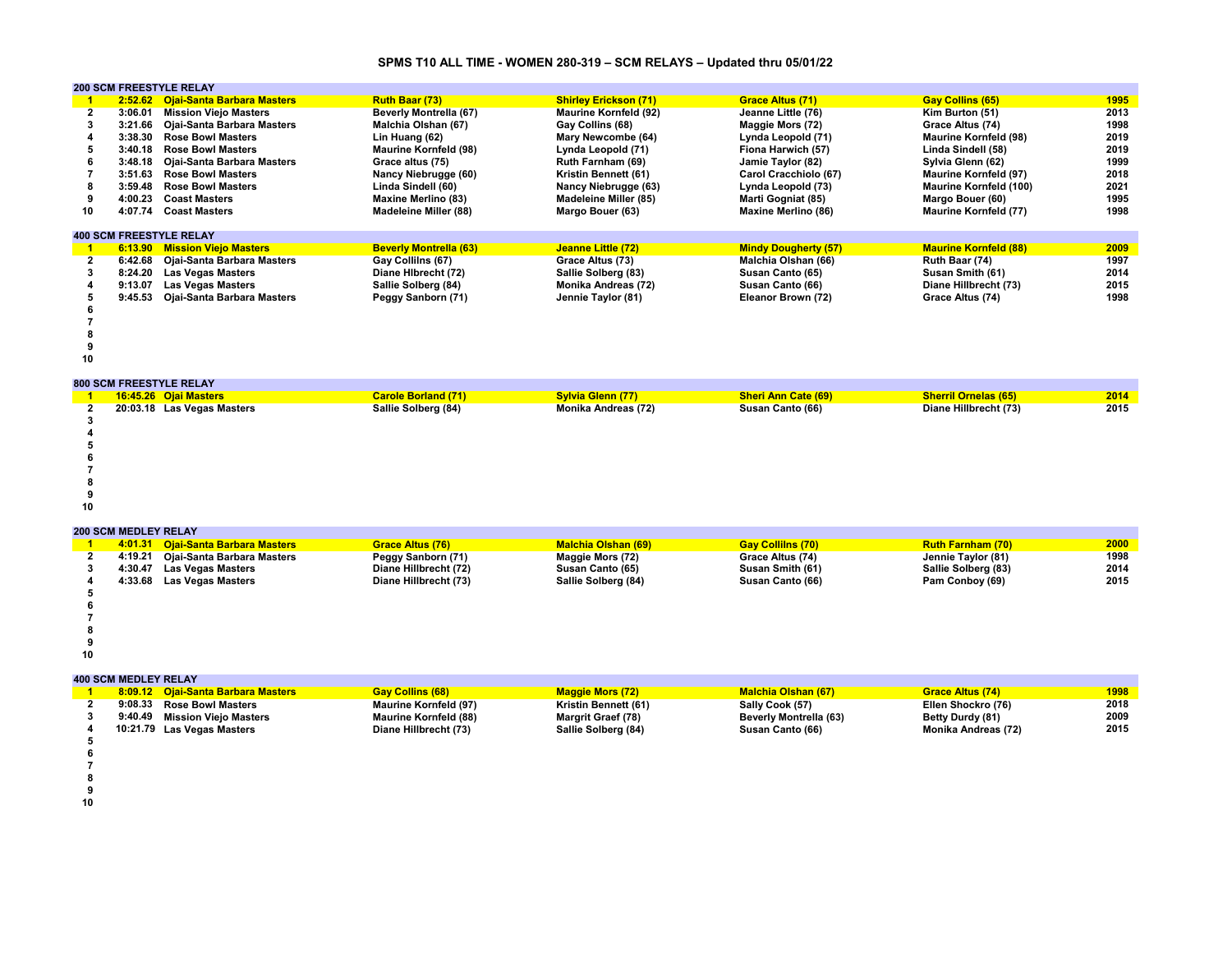## **SPMS T10 ALL TIME - WOMEN 280-319 – SCM RELAYS – Updated thru 05/01/22**

|    |         | <b>200 SCM FREESTYLE RELAY</b>     |                               |                              |                             |                               |      |
|----|---------|------------------------------------|-------------------------------|------------------------------|-----------------------------|-------------------------------|------|
|    |         | 2:52.62 Ojai-Santa Barbara Masters | <b>Ruth Baar (73)</b>         | <b>Shirley Erickson (71)</b> | <b>Grace Altus (71)</b>     | <b>Gay Collins (65)</b>       | 1995 |
| 2  | 3:06.01 | <b>Mission Vieio Masters</b>       | <b>Beverly Montrella (67)</b> | <b>Maurine Kornfeld (92)</b> | Jeanne Little (76)          | Kim Burton (51)               | 2013 |
|    | 3:21.66 | Ojai-Santa Barbara Masters         | Malchia Olshan (67)           | Gay Collins (68)             | Maggie Mors (72)            | Grace Altus (74)              | 1998 |
|    | 3:38.30 | <b>Rose Bowl Masters</b>           | Lin Huang (62)                | Mary Newcombe (64)           | Lynda Leopold (71)          | <b>Maurine Kornfeld (98)</b>  | 2019 |
|    | 3:40.18 | <b>Rose Bowl Masters</b>           | <b>Maurine Kornfeld (98)</b>  | Lynda Leopold (71)           | Fiona Harwich (57)          | Linda Sindell (58)            | 2019 |
|    | 3:48.18 | Ojai-Santa Barbara Masters         | Grace altus (75)              | <b>Ruth Farnham (69)</b>     | Jamie Taylor (82)           | Sylvia Glenn (62)             | 1999 |
|    | 3:51.63 | <b>Rose Bowl Masters</b>           | Nancy Niebrugge (60)          | Kristin Bennett (61)         | Carol Cracchiolo (67)       | <b>Maurine Kornfeld (97)</b>  | 2018 |
|    | 3:59.48 | <b>Rose Bowl Masters</b>           | Linda Sindell (60)            | Nancy Niebrugge (63)         | Lynda Leopold (73)          | <b>Maurine Kornfeld (100)</b> | 2021 |
|    | 4:00.23 | <b>Coast Masters</b>               | <b>Maxine Merlino (83)</b>    | <b>Madeleine Miller (85)</b> | Marti Gogniat (85)          | Margo Bouer (60)              | 1995 |
| 10 | 4:07.74 | <b>Coast Masters</b>               | <b>Madeleine Miller (88)</b>  | Margo Bouer (63)             | <b>Maxine Merlino (86)</b>  | <b>Maurine Kornfeld (77)</b>  | 1998 |
|    |         | <b>400 SCM FREESTYLE RELAY</b>     |                               |                              |                             |                               |      |
|    |         | 6:13.90 Mission Viejo Masters      | <b>Beverly Montrella (63)</b> | Jeanne Little (72)           | <b>Mindy Dougherty (57)</b> | <b>Maurine Kornfeld (88)</b>  | 2009 |
| 2  | 6:42.68 | Ojai-Santa Barbara Masters         | Gay Collilns (67)             | Grace Altus (73)             | Malchia Olshan (66)         | Ruth Baar (74)                | 1997 |
|    | 8:24.20 | <b>Las Vegas Masters</b>           | Diane Hibrecht (72)           | Sallie Solberg (83)          | Susan Canto (65)            | Susan Smith (61)              | 2014 |
|    | 9:13.07 | <b>Las Vegas Masters</b>           | Sallie Solberg (84)           | Monika Andreas (72)          | Susan Canto (66)            | Diane Hillbrecht (73)         | 2015 |
|    | 9:45.53 | Oiai-Santa Barbara Masters         | Peggy Sanborn (71)            | Jennie Taylor (81)           | Eleanor Brown (72)          | Grace Altus (74)              | 1998 |

- **7**
- 
- 
- 

**800 SCM FREESTYLE RELAY**

|  | 800 SUM FREESTYLE RELAY    |                            |                          |                            |                             |      |
|--|----------------------------|----------------------------|--------------------------|----------------------------|-----------------------------|------|
|  | 16:45.26 Ojai Masters      | <b>Carole Borland (71)</b> | <b>Sylvia Glenn (77)</b> | <b>Sheri Ann Cate (69)</b> | <b>Sherril Ornelas (65)</b> | 2014 |
|  | 20:03.18 Las Vegas Masters | Sallie Solberg (84)        | Monika Andreas (72)      | Susan Canto (66)           | Diane Hillbrecht (73)       | 2015 |
|  |                            |                            |                          |                            |                             |      |
|  |                            |                            |                          |                            |                             |      |
|  |                            |                            |                          |                            |                             |      |
|  |                            |                            |                          |                            |                             |      |
|  |                            |                            |                          |                            |                             |      |
|  |                            |                            |                          |                            |                             |      |
|  |                            |                            |                          |                            |                             |      |

#### **200 SCM MEDLEY RELAY**

|  | 4:01.31 Oiai-Santa Barbara Masters | <b>Grace Altus (76)</b> | <b>Malchia Olshan (69)</b> | <b>Gay Collilns (70)</b> | <b>Ruth Farnham (70)</b> | 2000 |  |  |  |  |  |
|--|------------------------------------|-------------------------|----------------------------|--------------------------|--------------------------|------|--|--|--|--|--|
|  | 4:19.21 Ojai-Santa Barbara Masters | Peggy Sanborn (71)      | Maggie Mors (72)           | Grace Altus (74)         | Jennie Taylor (81)       | 1998 |  |  |  |  |  |
|  | 4:30.47 Las Vegas Masters          | Diane Hillbrecht (72)   | Susan Canto (65)           | Susan Smith (61)         | Sallie Solberg (83)      | 2014 |  |  |  |  |  |
|  | 4:33.68 Las Vegas Masters          | Diane Hillbrecht (73)   | Sallie Solberg (84)        | Susan Canto (66)         | Pam Conboy (69)          | 2015 |  |  |  |  |  |
|  |                                    |                         |                            |                          |                          |      |  |  |  |  |  |
|  |                                    |                         |                            |                          |                          |      |  |  |  |  |  |
|  |                                    |                         |                            |                          |                          |      |  |  |  |  |  |

- **8**
- 
- 

|  | 8:09.12 Ojai-Santa Barbara Masters | <b>Gav Collins (68)</b>      | <b>Maggie Mors (72)</b>   | <b>Malchia Olshan (67)</b> | <b>Grace Altus (74)</b> | <b>1998</b> |
|--|------------------------------------|------------------------------|---------------------------|----------------------------|-------------------------|-------------|
|  | 9:08.33 Rose Bowl Masters          | <b>Maurine Kornfeld (97)</b> | Kristin Bennett (61)      | Sally Cook (57)            | Ellen Shockro (76)      | 2018        |
|  | 9:40.49 Mission Viejo Masters      | <b>Maurine Kornfeld (88)</b> | <b>Margrit Graef (78)</b> | Beverly Montrella (63)     | Betty Durdy (81)        | 2009        |
|  | 10:21.79 Las Vegas Masters         | Diane Hillbrecht (73)        | Sallie Solberg (84)       | Susan Canto (66)           | Monika Andreas (72)     | 2015        |
|  |                                    |                              |                           |                            |                         |             |
|  |                                    |                              |                           |                            |                         |             |

- 
- 
- 
-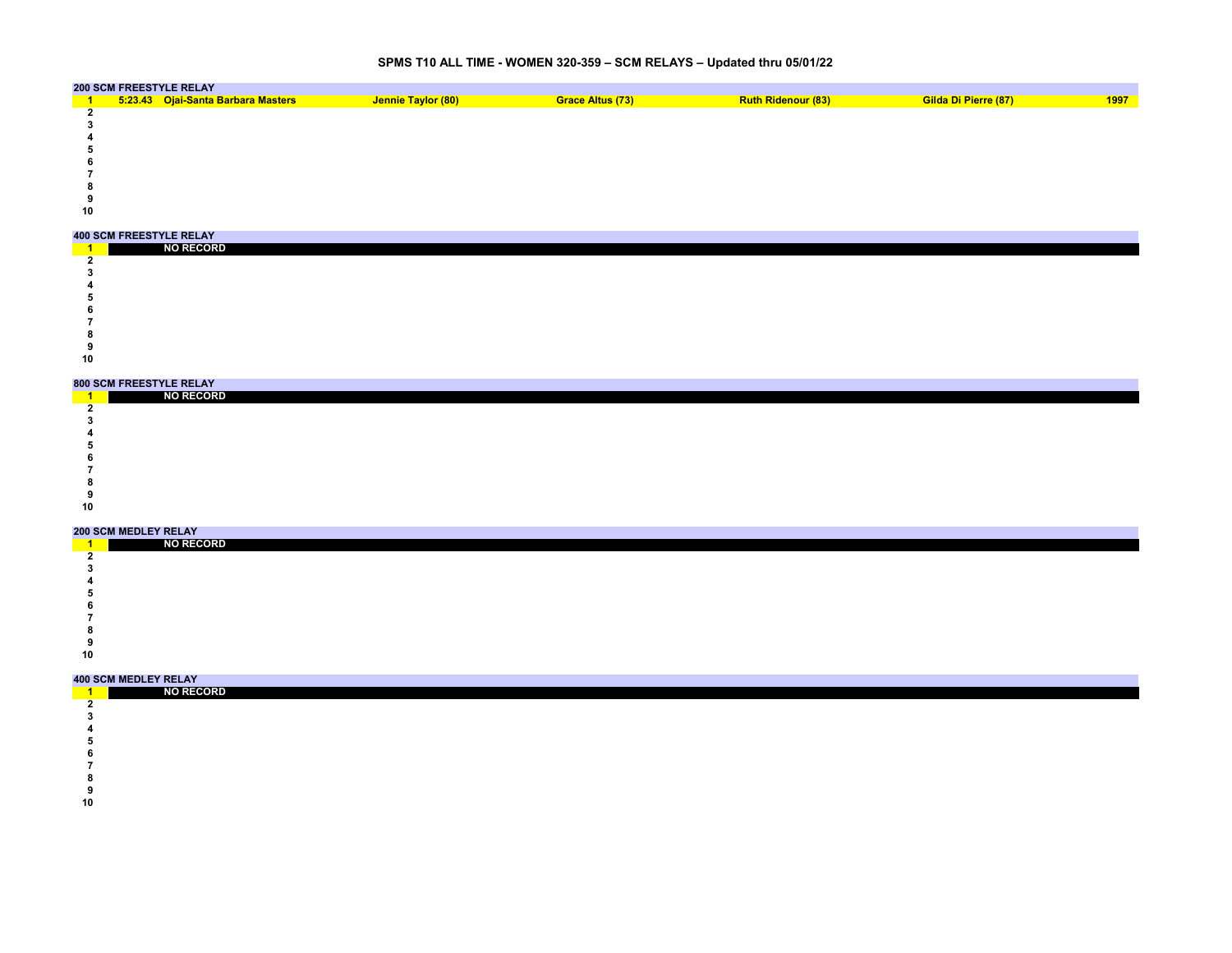# **SPMS T10 ALL TIME - WOMEN 320-359 – SCM RELAYS – Updated thru 05/01/22**

|    | <b>200 SCM FREESTYLE RELAY</b>     |                    |                  |                           |                      |      |
|----|------------------------------------|--------------------|------------------|---------------------------|----------------------|------|
|    | 5:23.43 Ojai-Santa Barbara Masters | Jennie Taylor (80) | Grace Altus (73) | <b>Ruth Ridenour (83)</b> | Gilda Di Pierre (87) | 1997 |
|    |                                    |                    |                  |                           |                      |      |
|    |                                    |                    |                  |                           |                      |      |
|    |                                    |                    |                  |                           |                      |      |
|    |                                    |                    |                  |                           |                      |      |
|    |                                    |                    |                  |                           |                      |      |
|    |                                    |                    |                  |                           |                      |      |
|    |                                    |                    |                  |                           |                      |      |
|    |                                    |                    |                  |                           |                      |      |
| 10 |                                    |                    |                  |                           |                      |      |

|    | <b>400 SCM FREESTYLE RELAY</b> |  |
|----|--------------------------------|--|
|    | <b>NO RECORD</b>               |  |
|    |                                |  |
|    |                                |  |
|    |                                |  |
|    |                                |  |
|    |                                |  |
|    |                                |  |
|    |                                |  |
|    |                                |  |
| 10 |                                |  |

### **800 SCM FREESTYLE RELAY**

|    | <b>ONA AAM LIVEEALLEE IVEENT</b> |  |  |  |  |  |  |
|----|----------------------------------|--|--|--|--|--|--|
|    | <b>NO RECORD</b>                 |  |  |  |  |  |  |
|    |                                  |  |  |  |  |  |  |
|    |                                  |  |  |  |  |  |  |
|    |                                  |  |  |  |  |  |  |
|    |                                  |  |  |  |  |  |  |
|    |                                  |  |  |  |  |  |  |
|    |                                  |  |  |  |  |  |  |
|    |                                  |  |  |  |  |  |  |
|    |                                  |  |  |  |  |  |  |
| 10 |                                  |  |  |  |  |  |  |
|    |                                  |  |  |  |  |  |  |

### **200 SCM MEDLEY RELAY**

|    | 200 SCM MEDEEI KEEAT |  |  |  |  |  |  |
|----|----------------------|--|--|--|--|--|--|
|    | <b>NO RECORD</b>     |  |  |  |  |  |  |
|    |                      |  |  |  |  |  |  |
|    |                      |  |  |  |  |  |  |
|    |                      |  |  |  |  |  |  |
|    |                      |  |  |  |  |  |  |
|    |                      |  |  |  |  |  |  |
|    |                      |  |  |  |  |  |  |
|    |                      |  |  |  |  |  |  |
|    |                      |  |  |  |  |  |  |
| 10 |                      |  |  |  |  |  |  |

| _____ | <b>NO RECORD</b> |
|-------|------------------|
|       |                  |
|       |                  |
|       |                  |
|       |                  |
|       |                  |

- 
- 
- 
-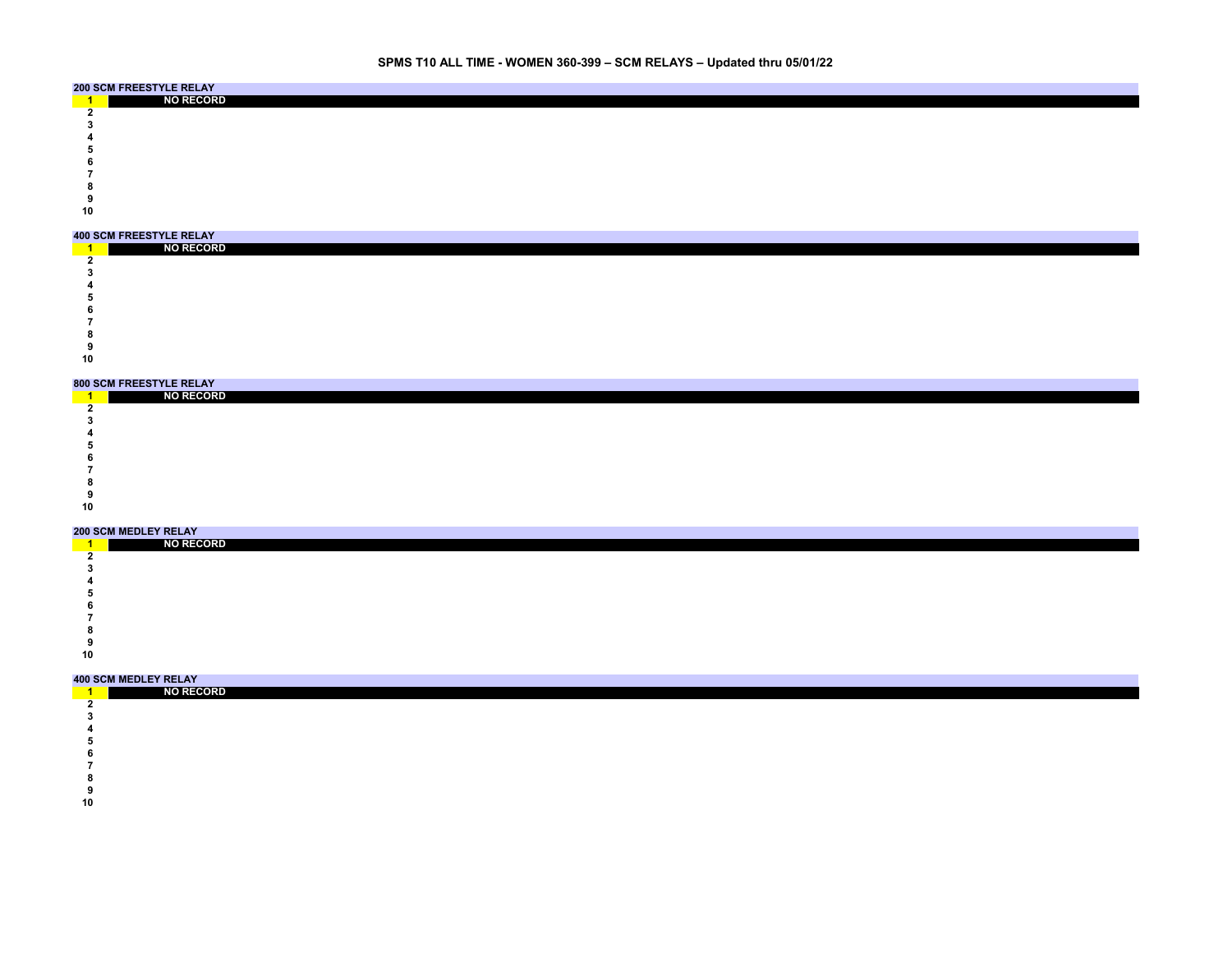# **SPMS T10 ALL TIME - WOMEN 360-399 – SCM RELAYS – Updated thru 05/01/22**

|    | <b>200 SCM FREESTYLE RELAY</b> |  |
|----|--------------------------------|--|
|    | <b>NO RECORD</b>               |  |
|    |                                |  |
|    |                                |  |
|    |                                |  |
|    |                                |  |
|    |                                |  |
|    |                                |  |
|    |                                |  |
|    |                                |  |
| 10 |                                |  |

| <b>400 SCM FREESTYLE RELAY</b> |  |  |
|--------------------------------|--|--|
| <b>NO RECORD</b>               |  |  |
|                                |  |  |
|                                |  |  |
|                                |  |  |
|                                |  |  |
|                                |  |  |
|                                |  |  |
|                                |  |  |
|                                |  |  |
| 10                             |  |  |

### **800 SCM FREESTYLE RELAY**

|    | <b>ONA AAM LIVEEALLEE IVEENT</b> |  |  |  |  |  |  |
|----|----------------------------------|--|--|--|--|--|--|
|    | <b>NO RECORD</b>                 |  |  |  |  |  |  |
|    |                                  |  |  |  |  |  |  |
|    |                                  |  |  |  |  |  |  |
|    |                                  |  |  |  |  |  |  |
|    |                                  |  |  |  |  |  |  |
|    |                                  |  |  |  |  |  |  |
|    |                                  |  |  |  |  |  |  |
|    |                                  |  |  |  |  |  |  |
|    |                                  |  |  |  |  |  |  |
| 10 |                                  |  |  |  |  |  |  |
|    |                                  |  |  |  |  |  |  |

### **200 SCM MEDLEY RELAY**

|    | <b>ZUU JUM MEDLEI NELAI</b> |  |  |  |  |  |  |
|----|-----------------------------|--|--|--|--|--|--|
|    | <b>NO RECORD</b>            |  |  |  |  |  |  |
|    |                             |  |  |  |  |  |  |
|    |                             |  |  |  |  |  |  |
|    |                             |  |  |  |  |  |  |
|    |                             |  |  |  |  |  |  |
|    |                             |  |  |  |  |  |  |
|    |                             |  |  |  |  |  |  |
|    |                             |  |  |  |  |  |  |
|    |                             |  |  |  |  |  |  |
| 10 |                             |  |  |  |  |  |  |

| NO RECORD |  |  |  |  |  |  |
|-----------|--|--|--|--|--|--|
|           |  |  |  |  |  |  |
|           |  |  |  |  |  |  |
|           |  |  |  |  |  |  |
|           |  |  |  |  |  |  |
|           |  |  |  |  |  |  |

- 
- 
- 
-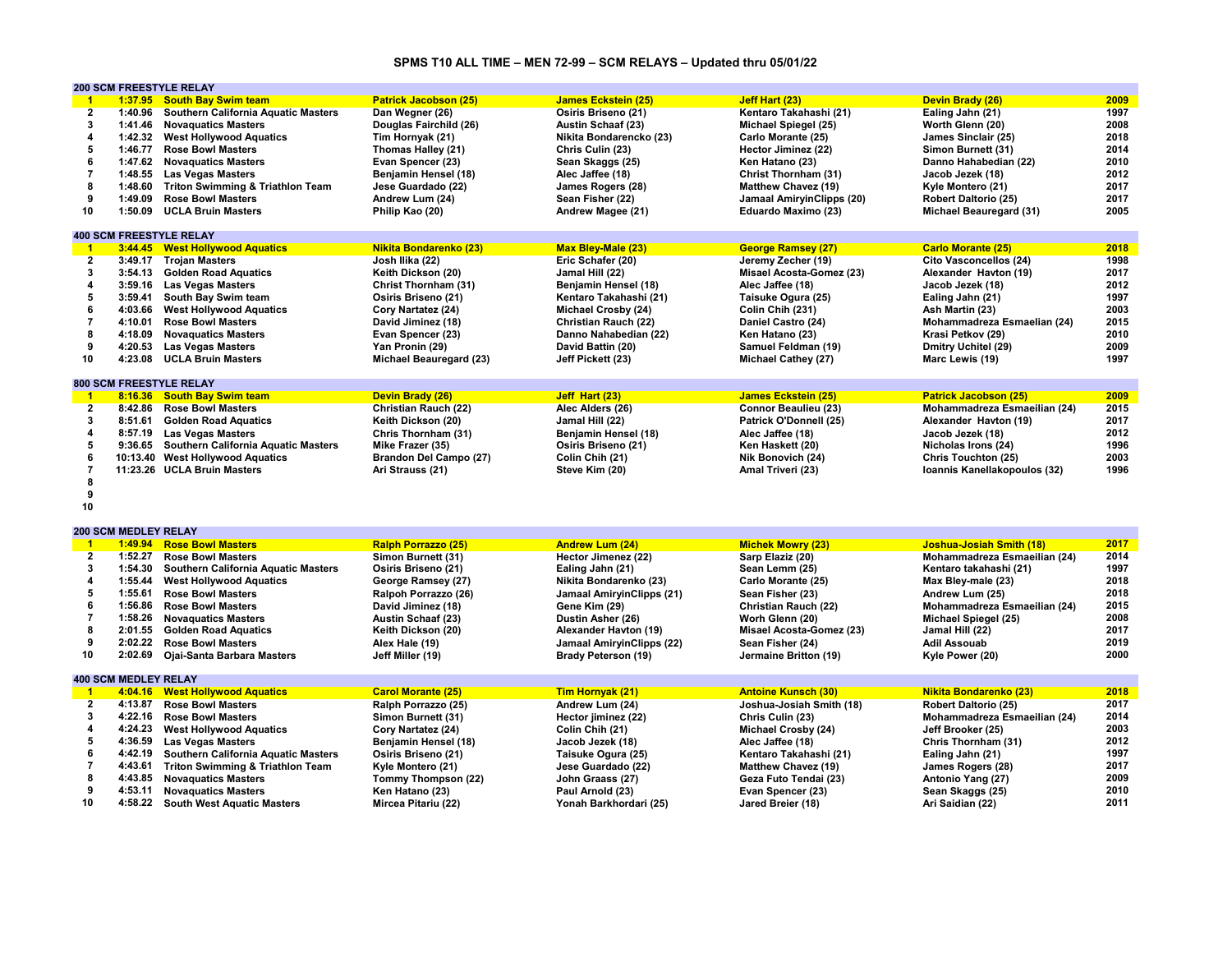# **SPMS T10 ALL TIME – MEN 72-99 – SCM RELAYS – Updated thru 05/01/22**

|                         | <b>200 SCM FREESTYLE RELAY</b> |                                                                  |                                        |                                            |                                        |                                      |              |
|-------------------------|--------------------------------|------------------------------------------------------------------|----------------------------------------|--------------------------------------------|----------------------------------------|--------------------------------------|--------------|
| $\blacksquare$          |                                | 1:37.95 South Bay Swim team                                      | <b>Patrick Jacobson (25)</b>           | <b>James Eckstein (25)</b>                 | Jeff Hart (23)                         | Devin Brady (26)                     | 2009         |
| $\overline{2}$          | 1:40.96                        | Southern California Aquatic Masters                              | Dan Wegner (26)                        | Osiris Briseno (21)                        | Kentaro Takahashi (21)                 | Ealing Jahn (21)                     | 1997         |
| 3                       | 1:41.46                        | <b>Novaguatics Masters</b>                                       | Douglas Fairchild (26)                 | <b>Austin Schaaf (23)</b>                  | Michael Spiegel (25)                   | Worth Glenn (20)                     | 2008         |
| $\boldsymbol{4}$        | 1:42.32                        | <b>West Hollywood Aquatics</b>                                   | Tim Hornyak (21)                       | Nikita Bondarencko (23)                    | Carlo Morante (25)                     | James Sinclair (25)                  | 2018         |
| 5                       | 1:46.77                        | <b>Rose Bowl Masters</b>                                         | Thomas Halley (21)                     | Chris Culin (23)                           | Hector Jiminez (22)                    | Simon Burnett (31)                   | 2014         |
| 6                       | 1:47.62                        | <b>Novaguatics Masters</b>                                       | Evan Spencer (23)                      | Sean Skaggs (25)                           | Ken Hatano (23)                        | Danno Hahabedian (22)                | 2010         |
| $\overline{7}$          | 1:48.55                        | <b>Las Vegas Masters</b>                                         | Benjamin Hensel (18)                   | Alec Jaffee (18)                           | Christ Thornham (31)                   | Jacob Jezek (18)                     | 2012         |
| 8                       |                                |                                                                  |                                        |                                            |                                        |                                      | 2017         |
|                         | 1:48.60                        | <b>Triton Swimming &amp; Triathlon Team</b>                      | Jese Guardado (22)                     | James Rogers (28)                          | <b>Matthew Chavez (19)</b>             | Kyle Montero (21)                    |              |
| 9                       | 1:49.09                        | <b>Rose Bowl Masters</b>                                         | Andrew Lum (24)                        | Sean Fisher (22)                           | Jamaal AmiryinClipps (20)              | Robert Daltorio (25)                 | 2017         |
| 10                      | 1:50.09                        | <b>UCLA Bruin Masters</b>                                        | Philip Kao (20)                        | Andrew Magee (21)                          | Eduardo Maximo (23)                    | Michael Beauregard (31)              | 2005         |
|                         |                                |                                                                  |                                        |                                            |                                        |                                      |              |
|                         |                                | <b>400 SCM FREESTYLE RELAY</b>                                   |                                        |                                            |                                        |                                      |              |
| $\mathbf{1}$            |                                | 3:44.45 West Hollywood Aquatics                                  | <b>Nikita Bondarenko (23)</b>          | <b>Max Bley-Male (23)</b>                  | <b>George Ramsey (27)</b>              | <b>Carlo Morante (25)</b>            | 2018         |
| $\overline{2}$          | 3:49.17                        | <b>Trojan Masters</b>                                            | Josh Ilika (22)                        | Eric Schafer (20)                          | Jeremy Zecher (19)                     | <b>Cito Vasconcellos (24)</b>        | 1998         |
| 3                       | 3:54.13                        | <b>Golden Road Aquatics</b>                                      | Keith Dickson (20)                     | Jamal Hill (22)                            | Misael Acosta-Gomez (23)               | Alexander Havton (19)                | 2017         |
| 4                       | 3:59.16                        | <b>Las Vegas Masters</b>                                         | Christ Thornham (31)                   | Benjamin Hensel (18)                       | Alec Jaffee (18)                       | Jacob Jezek (18)                     | 2012         |
| 5                       | 3:59.41                        | South Bay Swim team                                              | Osiris Briseno (21)                    | Kentaro Takahashi (21)                     | Taisuke Ogura (25)                     | Ealing Jahn (21)                     | 1997         |
| 6                       | 4:03.66                        | <b>West Hollywood Aquatics</b>                                   | Cory Nartatez (24)                     | Michael Crosby (24)                        | Colin Chih (231)                       | Ash Martin (23)                      | 2003         |
| $\overline{7}$          | 4:10.01                        | <b>Rose Bowl Masters</b>                                         | David Jiminez (18)                     | Christian Rauch (22)                       | Daniel Castro (24)                     | Mohammadreza Esmaelian (24)          | 2015         |
| 8                       | 4:18.09                        | <b>Novaguatics Masters</b>                                       | Evan Spencer (23)                      | Danno Nahabedian (22)                      | Ken Hatano (23)                        | Krasi Petkov (29)                    | 2010         |
| 9                       | 4:20.53                        | <b>Las Vegas Masters</b>                                         | Yan Pronin (29)                        | David Battin (20)                          | Samuel Feldman (19)                    | Dmitry Uchitel (29)                  | 2009         |
| 10                      | 4:23.08                        | <b>UCLA Bruin Masters</b>                                        | Michael Beauregard (23)                | Jeff Pickett (23)                          | Michael Cathey (27)                    | Marc Lewis (19)                      | 1997         |
|                         |                                |                                                                  |                                        |                                            |                                        |                                      |              |
|                         |                                | <b>800 SCM FREESTYLE RELAY</b>                                   |                                        |                                            |                                        |                                      |              |
| $\blacksquare$          |                                | 8:16.36 South Bay Swim team                                      | Devin Brady (26)                       | Jeff Hart (23)                             | <b>James Eckstein (25)</b>             | <b>Patrick Jacobson (25)</b>         | 2009         |
| $\overline{2}$          |                                | 8:42.86 Rose Bowl Masters                                        | Christian Rauch (22)                   | Alec Alders (26)                           | Connor Beaulieu (23)                   | Mohammadreza Esmaeilian (24)         | 2015         |
| 3                       | 8:51.61                        | <b>Golden Road Aquatics</b>                                      | Keith Dickson (20)                     | Jamal Hill (22)                            | Patrick O'Donnell (25)                 | Alexander Havton (19)                | 2017         |
| 4                       | 8:57.19                        | <b>Las Vegas Masters</b>                                         | Chris Thornham (31)                    | Benjamin Hensel (18)                       | Alec Jaffee (18)                       | Jacob Jezek (18)                     | 2012         |
| 5                       | 9:36.65                        |                                                                  | Mike Frazer (35)                       | Osiris Briseno (21)                        |                                        |                                      | 1996         |
| 6                       |                                | Southern California Aquatic Masters                              |                                        |                                            | Ken Haskett (20)                       | Nicholas Irons (24)                  | 2003         |
|                         |                                | 10:13.40 West Hollywood Aquatics                                 | Brandon Del Campo (27)                 | Colin Chih (21)                            | Nik Bonovich (24)                      | Chris Touchton (25)                  | 1996         |
| $\overline{7}$          |                                | 11:23.26 UCLA Bruin Masters                                      | Ari Strauss (21)                       |                                            |                                        |                                      |              |
|                         |                                |                                                                  |                                        | Steve Kim (20)                             | Amal Triveri (23)                      | Ioannis Kanellakopoulos (32)         |              |
| 8                       |                                |                                                                  |                                        |                                            |                                        |                                      |              |
| 9                       |                                |                                                                  |                                        |                                            |                                        |                                      |              |
| 10                      |                                |                                                                  |                                        |                                            |                                        |                                      |              |
|                         |                                |                                                                  |                                        |                                            |                                        |                                      |              |
|                         | <b>200 SCM MEDLEY RELAY</b>    |                                                                  |                                        |                                            |                                        |                                      |              |
| $\mathbf{1}$            |                                | 1:49.94 Rose Bowl Masters                                        | <b>Ralph Porrazzo (25)</b>             | <b>Andrew Lum (24)</b>                     | <b>Michek Mowry (23)</b>               | Joshua-Josiah Smith (18)             | 2017         |
| $\overline{2}$          | 1:52.27                        | <b>Rose Bowl Masters</b>                                         | Simon Burnett (31)                     | Hector Jimenez (22)                        | Sarp Elaziz (20)                       | Mohammadreza Esmaeilian (24)         | 2014         |
| 3                       | 1:54.30                        | <b>Southern California Aquatic Masters</b>                       | Osiris Briseno (21)                    | Ealing Jahn (21)                           | Sean Lemm (25)                         | Kentaro takahashi (21)               | 1997         |
| $\overline{4}$          | 1:55.44                        | <b>West Hollywood Aquatics</b>                                   | George Ramsey (27)                     | Nikita Bondarenko (23)                     | Carlo Morante (25)                     | Max Bley-male (23)                   | 2018         |
| 5                       | 1:55.61                        | <b>Rose Bowl Masters</b>                                         | Ralpoh Porrazzo (26)                   | <b>Jamaal AmiryinClipps (21)</b>           | Sean Fisher (23)                       | Andrew Lum (25)                      | 2018         |
| 6                       | 1:56.86                        | <b>Rose Bowl Masters</b>                                         | David Jiminez (18)                     | Gene Kim (29)                              | Christian Rauch (22)                   | Mohammadreza Esmaeilian (24)         | 2015         |
| $\overline{7}$          | 1:58.26                        | <b>Novaquatics Masters</b>                                       | <b>Austin Schaaf (23)</b>              | Dustin Asher (26)                          | Worh Glenn (20)                        | Michael Spiegel (25)                 | 2008         |
| 8                       | 2:01.55                        | <b>Golden Road Aquatics</b>                                      | Keith Dickson (20)                     | Alexander Havton (19)                      | Misael Acosta-Gomez (23)               | Jamal Hill (22)                      | 2017         |
| 9                       | 2:02.22                        | <b>Rose Bowl Masters</b>                                         | Alex Hale (19)                         |                                            | Sean Fisher (24)                       | <b>Adil Assouab</b>                  | 2019         |
| 10                      |                                |                                                                  |                                        | Jamaal AmiryinClipps (22)                  |                                        |                                      | 2000         |
|                         | 2:02.69                        | Ojai-Santa Barbara Masters                                       | Jeff Miller (19)                       | <b>Brady Peterson (19)</b>                 | Jermaine Britton (19)                  | Kyle Power (20)                      |              |
|                         | <b>400 SCM MEDLEY RELAY</b>    |                                                                  |                                        |                                            |                                        |                                      |              |
| $\blacksquare$          |                                | 4:04.16 West Hollywood Aquatics                                  | <b>Carol Morante (25)</b>              | Tim Hornyak (21)                           | <b>Antoine Kunsch (30)</b>             | <b>Nikita Bondarenko (23)</b>        | 2018         |
| $\overline{2}$          | 4:13.87                        | <b>Rose Bowl Masters</b>                                         | Ralph Porrazzo (25)                    | Andrew Lum (24)                            | Joshua-Josiah Smith (18)               | <b>Robert Daltorio (25)</b>          | 2017         |
|                         |                                |                                                                  |                                        |                                            |                                        |                                      |              |
| 3                       | 4:22.16                        | <b>Rose Bowl Masters</b>                                         | Simon Burnett (31)                     | Hector jiminez (22)                        | Chris Culin (23)                       | Mohammadreza Esmaeilian (24)         | 2014         |
| $\overline{\mathbf{4}}$ | 4:24.23                        | <b>West Hollywood Aquatics</b>                                   | Cory Nartatez (24)                     | Colin Chih (21)                            | Michael Crosby (24)                    | Jeff Brooker (25)                    | 2003         |
| 5                       | 4:36.59                        | <b>Las Vegas Masters</b>                                         | Benjamin Hensel (18)                   | Jacob Jezek (18)                           | Alec Jaffee (18)                       | Chris Thornham (31)                  | 2012         |
| 6                       | 4:42.19                        | Southern California Aquatic Masters                              | Osiris Briseno (21)                    | Taisuke Ogura (25)                         | Kentaro Takahashi (21)                 | Ealing Jahn (21)                     | 1997         |
| $\overline{7}$          | 4:43.61                        | <b>Triton Swimming &amp; Triathlon Team</b>                      | Kyle Montero (21)                      | Jese Guardado (22)                         | <b>Matthew Chavez (19)</b>             | James Rogers (28)                    | 2017         |
| 8                       | 4:43.85                        | <b>Novaquatics Masters</b>                                       | Tommy Thompson (22)                    | John Graass (27)                           | Geza Futo Tendai (23)                  | Antonio Yang (27)                    | 2009         |
| 9<br>10                 | 4:53.11                        | <b>Novaguatics Masters</b><br>4:58.22 South West Aquatic Masters | Ken Hatano (23)<br>Mircea Pitariu (22) | Paul Arnold (23)<br>Yonah Barkhordari (25) | Evan Spencer (23)<br>Jared Breier (18) | Sean Skaggs (25)<br>Ari Saidian (22) | 2010<br>2011 |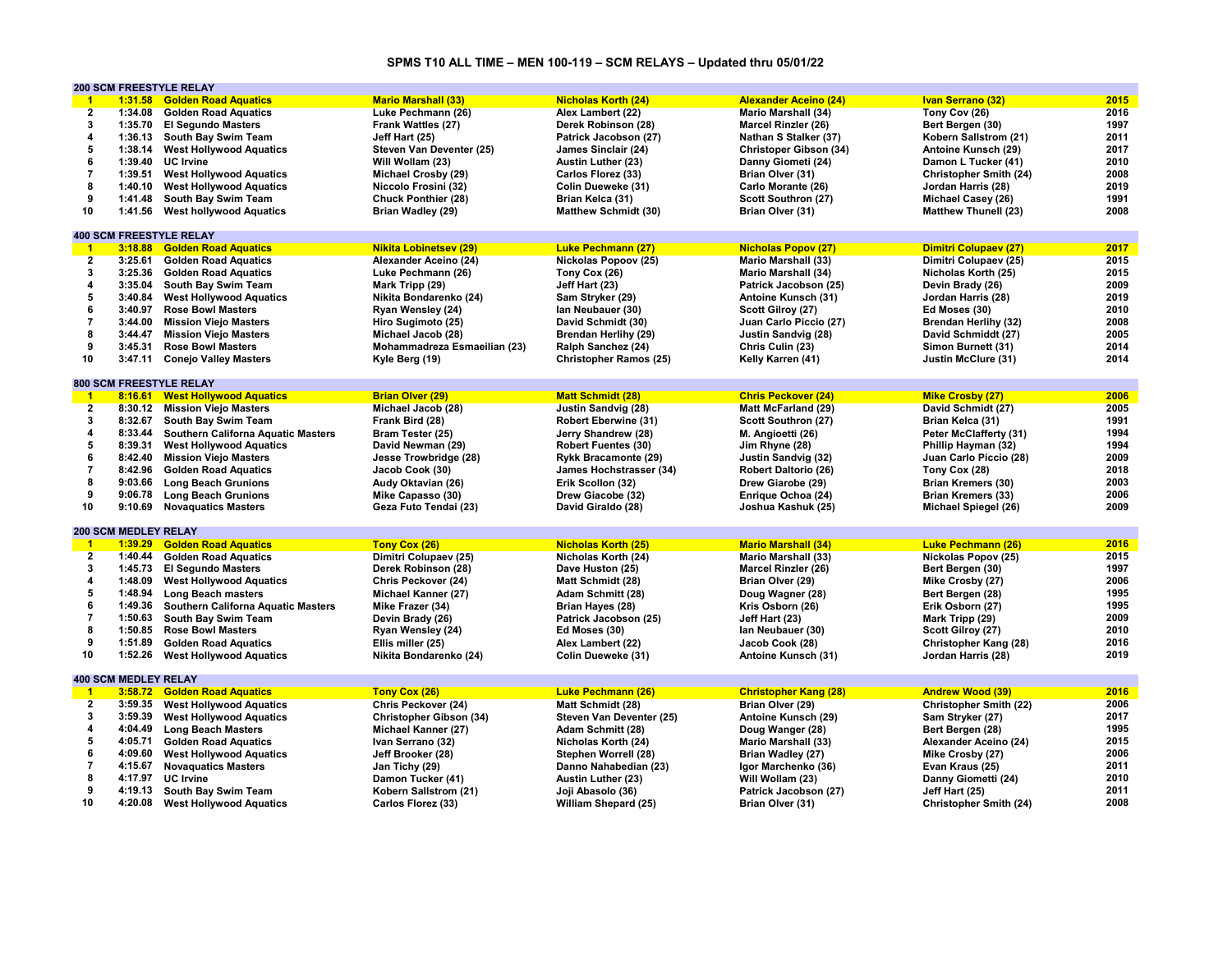# **SPMS T10 ALL TIME – MEN 100-119 – SCM RELAYS – Updated thru 05/01/22**

|                         |                             | <b>200 SCM FREESTYLE RELAY</b>            |                               |                               |                              |                               |      |
|-------------------------|-----------------------------|-------------------------------------------|-------------------------------|-------------------------------|------------------------------|-------------------------------|------|
| $\blacksquare$          | 1:31.58                     | <b>Golden Road Aquatics</b>               | <b>Mario Marshall (33)</b>    | <b>Nicholas Korth (24)</b>    | <b>Alexander Aceino (24)</b> | <b>Ivan Serrano (32)</b>      | 2015 |
| $\overline{2}$          | 1:34.08                     | <b>Golden Road Aquatics</b>               | Luke Pechmann (26)            | Alex Lambert (22)             | <b>Mario Marshall (34)</b>   | Tony Cov (26)                 | 2016 |
| 3                       | 1:35.70                     | <b>El Segundo Masters</b>                 | Frank Wattles (27)            | Derek Robinson (28)           | <b>Marcel Rinzler (26)</b>   | Bert Bergen (30)              | 1997 |
| 4                       | 1:36.13                     | South Bay Swim Team                       | Jeff Hart (25)                | Patrick Jacobson (27)         | Nathan S Stalker (37)        | Kobern Sallstrom (21)         | 2011 |
| 5                       | 1:38.14                     | <b>West Hollywood Aquatics</b>            | Steven Van Deventer (25)      | James Sinclair (24)           | Christoper Gibson (34)       | Antoine Kunsch (29)           | 2017 |
| 6                       | 1:39.40                     | <b>UC</b> Irvine                          | Will Wollam (23)              | <b>Austin Luther (23)</b>     | Danny Giometi (24)           | Damon L Tucker (41)           | 2010 |
| $\overline{7}$          | 1:39.51                     | <b>West Hollywood Aquatics</b>            | Michael Crosby (29)           | Carlos Florez (33)            | Brian Olver (31)             | <b>Christopher Smith (24)</b> | 2008 |
|                         |                             |                                           |                               |                               |                              |                               |      |
| 8                       | 1:40.10                     | <b>West Hollywood Aquatics</b>            | Niccolo Frosini (32)          | Colin Dueweke (31)            | Carlo Morante (26)           | Jordan Harris (28)            | 2019 |
| 9                       | 1:41.48                     | South Bay Swim Team                       | <b>Chuck Ponthier (28)</b>    | Brian Kelca (31)              | Scott Southron (27)          | Michael Casey (26)            | 1991 |
| 10                      | 1:41.56                     | <b>West hollywood Aquatics</b>            | Brian Wadley (29)             | <b>Matthew Schmidt (30)</b>   | Brian Olver (31)             | <b>Matthew Thunell (23)</b>   | 2008 |
|                         |                             |                                           |                               |                               |                              |                               |      |
|                         |                             | <b>400 SCM FREESTYLE RELAY</b>            |                               |                               |                              |                               |      |
| $\mathbf{1}$            | 3:18.88                     | <b>Golden Road Aquatics</b>               | <b>Nikita Lobinetsev (29)</b> | <b>Luke Pechmann (27)</b>     | <b>Nicholas Popov (27)</b>   | <b>Dimitri Colupaev (27)</b>  | 2017 |
| $\overline{2}$          | 3:25.61                     | <b>Golden Road Aquatics</b>               | Alexander Aceino (24)         | Nickolas Popoov (25)          | <b>Mario Marshall (33)</b>   | Dimitri Colupaev (25)         | 2015 |
| 3                       | 3:25.36                     | <b>Golden Road Aquatics</b>               | Luke Pechmann (26)            | Tony Cox (26)                 | <b>Mario Marshall (34)</b>   | Nicholas Korth (25)           | 2015 |
| 4                       | 3:35.04                     | South Bay Swim Team                       | Mark Tripp (29)               | Jeff Hart (23)                | Patrick Jacobson (25)        | Devin Brady (26)              | 2009 |
| 5                       | 3:40.84                     | <b>West Hollywood Aquatics</b>            | Nikita Bondarenko (24)        | Sam Stryker (29)              | Antoine Kunsch (31)          | Jordan Harris (28)            | 2019 |
| 6                       | 3:40.97                     | <b>Rose Bowl Masters</b>                  | Ryan Wensley (24)             | Ian Neubauer (30)             | Scott Gilroy (27)            | Ed Moses (30)                 | 2010 |
| $\overline{\mathbf{7}}$ | 3:44.00                     |                                           |                               |                               |                              |                               | 2008 |
|                         |                             | <b>Mission Viejo Masters</b>              | Hiro Sugimoto (25)            | David Schmidt (30)            | Juan Carlo Piccio (27)       | <b>Brendan Herlihy (32)</b>   |      |
| 8                       | 3:44.47                     | <b>Mission Viejo Masters</b>              | Michael Jacob (28)            | <b>Brendan Herlihy (29)</b>   | <b>Justin Sandvig (28)</b>   | David Schmiddt (27)           | 2005 |
| 9                       | 3:45.31                     | <b>Rose Bowl Masters</b>                  | Mohammadreza Esmaeilian (23)  | Ralph Sanchez (24)            | Chris Culin (23)             | Simon Burnett (31)            | 2014 |
| 10                      | 3:47.11                     | <b>Conejo Valley Masters</b>              | Kyle Berg (19)                | <b>Christopher Ramos (25)</b> | Kelly Karren (41)            | Justin McClure (31)           | 2014 |
|                         |                             |                                           |                               |                               |                              |                               |      |
|                         |                             | <b>800 SCM FREESTYLE RELAY</b>            |                               |                               |                              |                               |      |
| $-1$                    |                             | 8:16.61 West Hollywood Aquatics           | <b>Brian Olver (29)</b>       | <b>Matt Schmidt (28)</b>      | <b>Chris Peckover (24)</b>   | <b>Mike Crosby (27)</b>       | 2006 |
| $\overline{2}$          |                             | 8:30.12 Mission Viejo Masters             | Michael Jacob (28)            | Justin Sandvig (28)           | <b>Matt McFarland (29)</b>   | David Schmidt (27)            | 2005 |
| 3                       | 8:32.67                     | South Bay Swim Team                       | Frank Bird (28)               | <b>Robert Eberwine (31)</b>   | Scott Southron (27)          | Brian Kelca (31)              | 1991 |
| $\overline{\mathbf{4}}$ | 8:33.44                     | Southern Californa Aquatic Masters        | Bram Tester (25)              | Jerry Shandrew (28)           | M. Angioetti (26)            | Peter McClafferty (31)        | 1994 |
| 5                       | 8:39.31                     | <b>West Hollywood Aquatics</b>            | David Newman (29)             | <b>Robert Fuentes (30)</b>    | Jim Rhyne (28)               | Phillip Hayman (32)           | 1994 |
| 6                       | 8:42.40                     | <b>Mission Viejo Masters</b>              | Jesse Trowbridge (28)         | Rykk Bracamonte (29)          | Justin Sandvig (32)          | Juan Carlo Piccio (28)        | 2009 |
| $\overline{7}$          | 8:42.96                     | <b>Golden Road Aquatics</b>               | Jacob Cook (30)               | James Hochstrasser (34)       | <b>Robert Daltorio (26)</b>  | Tony Cox (28)                 | 2018 |
|                         |                             |                                           |                               |                               |                              |                               |      |
| 8                       | 9:03.66                     | <b>Long Beach Grunions</b>                | Audy Oktavian (26)            | Erik Scollon (32)             | Drew Giarobe (29)            | <b>Brian Kremers (30)</b>     | 2003 |
| 9                       | 9:06.78                     | <b>Long Beach Grunions</b>                | Mike Capasso (30)             | Drew Giacobe (32)             | Enrique Ochoa (24)           | <b>Brian Kremers (33)</b>     | 2006 |
| 10                      |                             | 9:10.69 Novaquatics Masters               | Geza Futo Tendai (23)         | David Giraldo (28)            | Joshua Kashuk (25)           | Michael Spiegel (26)          | 2009 |
|                         |                             |                                           |                               |                               |                              |                               |      |
|                         | <b>200 SCM MEDLEY RELAY</b> |                                           |                               |                               |                              |                               |      |
| $\blacksquare$          | 1:39.29                     | <b>Golden Road Aquatics</b>               | Tony Cox (26)                 | <b>Nicholas Korth (25)</b>    | <b>Mario Marshall (34)</b>   | <b>Luke Pechmann (26)</b>     | 2016 |
| $\overline{2}$          | 1:40.44                     | <b>Golden Road Aquatics</b>               | Dimitri Colupaev (25)         | Nicholas Korth (24)           | <b>Mario Marshall (33)</b>   | Nickolas Popov (25)           | 2015 |
| 3                       | 1:45.73                     | <b>El Segundo Masters</b>                 | Derek Robinson (28)           | Dave Huston (25)              | Marcel Rinzler (26)          | Bert Bergen (30)              | 1997 |
| 4                       | 1:48.09                     | <b>West Hollywood Aquatics</b>            | Chris Peckover (24)           | Matt Schmidt (28)             | Brian Olver (29)             | Mike Crosby (27)              | 2006 |
| 5                       | 1:48.94                     | Long Beach masters                        | Michael Kanner (27)           | Adam Schmitt (28)             | Doug Wagner (28)             | Bert Bergen (28)              | 1995 |
| 6                       | 1:49.36                     | <b>Southern Californa Aquatic Masters</b> | Mike Frazer (34)              | Brian Hayes (28)              | Kris Osborn (26)             | Erik Osborn (27)              | 1995 |
| $\overline{7}$          | 1:50.63                     | South Bay Swim Team                       | Devin Brady (26)              | Patrick Jacobson (25)         | Jeff Hart (23)               | Mark Tripp (29)               | 2009 |
| 8                       | 1:50.85                     | <b>Rose Bowl Masters</b>                  | Ryan Wensley (24)             | Ed Moses (30)                 | lan Neubauer (30)            | Scott Gilroy (27)             | 2010 |
| 9                       | 1:51.89                     | <b>Golden Road Aquatics</b>               | Ellis miller (25)             | Alex Lambert (22)             | Jacob Cook (28)              | Christopher Kang (28)         | 2016 |
| 10                      |                             |                                           |                               |                               |                              |                               | 2019 |
|                         | 1:52.26                     | <b>West Hollywood Aquatics</b>            | Nikita Bondarenko (24)        | Colin Dueweke (31)            | Antoine Kunsch (31)          | Jordan Harris (28)            |      |
|                         |                             |                                           |                               |                               |                              |                               |      |
|                         | <b>400 SCM MEDLEY RELAY</b> |                                           |                               |                               |                              |                               |      |
| $\mathbf{1}$            | 3:58.72                     | <b>Golden Road Aquatics</b>               | Tony Cox (26)                 | <b>Luke Pechmann (26)</b>     | <b>Christopher Kang (28)</b> | <b>Andrew Wood (39)</b>       | 2016 |
| $\overline{2}$          | 3:59.35                     | <b>West Hollywood Aquatics</b>            | Chris Peckover (24)           | Matt Schmidt (28)             | Brian Olver (29)             | <b>Christopher Smith (22)</b> | 2006 |
| 3                       | 3:59.39                     | <b>West Hollywood Aquatics</b>            | Christopher Gibson (34)       | Steven Van Deventer (25)      | Antoine Kunsch (29)          | Sam Stryker (27)              | 2017 |
| 4                       | 4:04.49                     | <b>Long Beach Masters</b>                 | Michael Kanner (27)           | Adam Schmitt (28)             | Doug Wanger (28)             | Bert Bergen (28)              | 1995 |
| 5                       | 4:05.71                     | <b>Golden Road Aquatics</b>               | Ivan Serrano (32)             | Nicholas Korth (24)           | <b>Mario Marshall (33)</b>   | Alexander Aceino (24)         | 2015 |
| 6                       | 4:09.60                     | <b>West Hollywood Aquatics</b>            | Jeff Brooker (28)             | Stephen Worrell (28)          | Brian Wadley (27)            | Mike Crosby (27)              | 2006 |
| $\overline{7}$          | 4:15.67                     | <b>Novaguatics Masters</b>                | Jan Tichy (29)                | Danno Nahabedian (23)         | Igor Marchenko (36)          | Evan Kraus (25)               | 2011 |
| 8                       | 4:17.97                     | <b>UC</b> Irvine                          | Damon Tucker (41)             | <b>Austin Luther (23)</b>     | Will Wollam (23)             | Danny Giometti (24)           | 2010 |
| 9                       | 4:19.13                     | South Bay Swim Team                       | Kobern Sallstrom (21)         | Joji Abasolo (36)             | Patrick Jacobson (27)        | Jeff Hart (25)                | 2011 |
| 10                      | 4:20.08                     |                                           |                               |                               |                              |                               | 2008 |
|                         |                             | <b>West Hollywood Aquatics</b>            | Carlos Florez (33)            | William Shepard (25)          | Brian Olver (31)             | <b>Christopher Smith (24)</b> |      |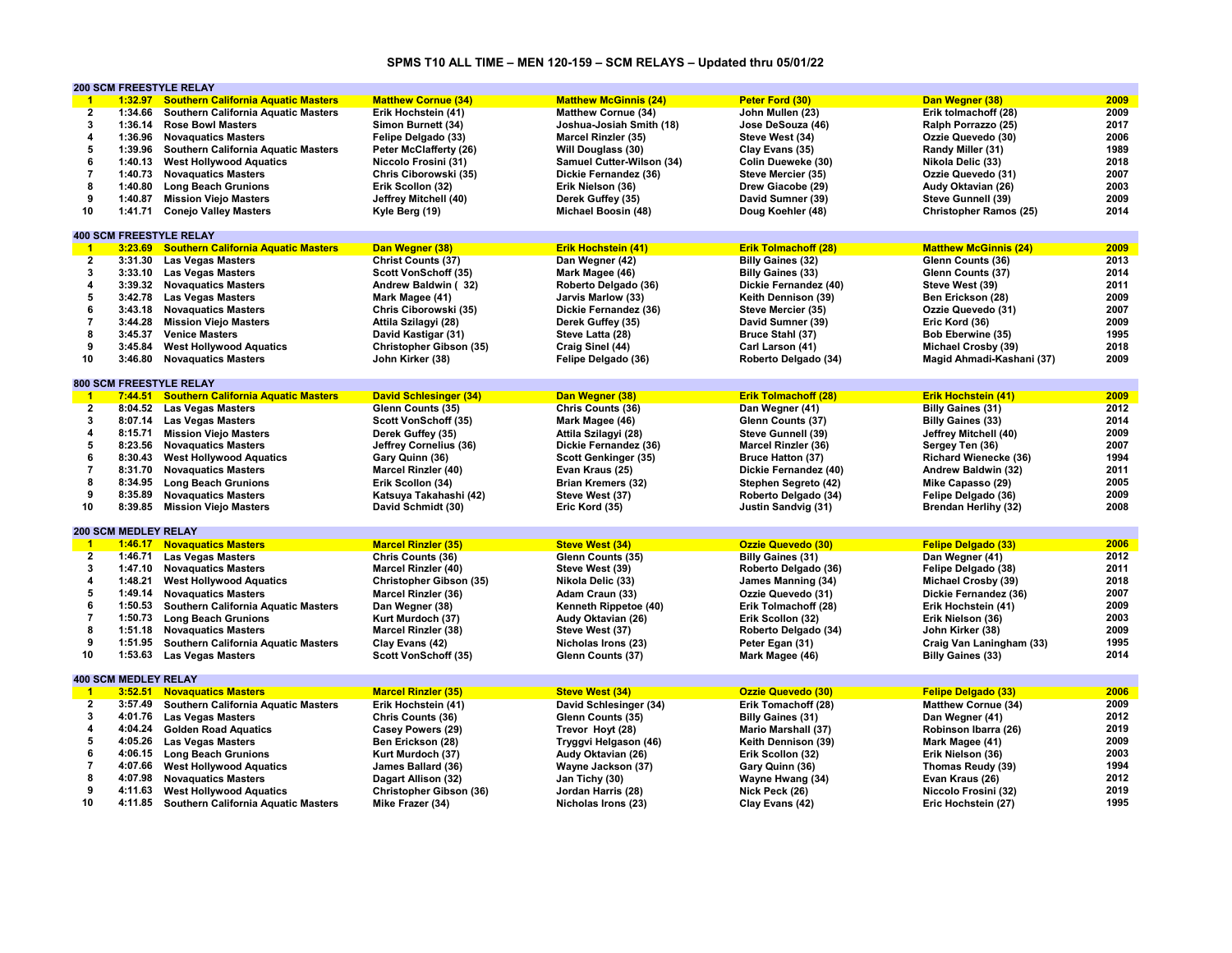# **SPMS T10 ALL TIME – MEN 120-159 – SCM RELAYS – Updated thru 05/01/22**

|                | <b>200 SCM FREESTYLE RELAY</b> |                                             |                                |                              |                             |                               |      |
|----------------|--------------------------------|---------------------------------------------|--------------------------------|------------------------------|-----------------------------|-------------------------------|------|
| $\overline{1}$ | 1:32.97                        | <b>Southern California Aquatic Masters</b>  | <b>Matthew Cornue (34)</b>     | <b>Matthew McGinnis (24)</b> | Peter Ford (30)             | Dan Wegner (38)               | 2009 |
| $\overline{2}$ | 1:34.66                        | <b>Southern California Aquatic Masters</b>  | Erik Hochstein (41)            | <b>Matthew Cornue (34)</b>   | John Mullen (23)            | Erik tolmachoff (28)          | 2009 |
| 3              | 1:36.14                        | <b>Rose Bowl Masters</b>                    | Simon Burnett (34)             | Joshua-Josiah Smith (18)     | Jose DeSouza (46)           | Ralph Porrazzo (25)           | 2017 |
| 4              | 1:36.96                        | <b>Novaquatics Masters</b>                  | Felipe Delgado (33)            | <b>Marcel Rinzler (35)</b>   | Steve West (34)             | Ozzie Quevedo (30)            | 2006 |
| 5              | 1:39.96                        | Southern California Aquatic Masters         | Peter McClafferty (26)         | Will Douglass (30)           | Clay Evans (35)             | Randy Miller (31)             | 1989 |
| 6              | 1:40.13                        | <b>West Hollywood Aquatics</b>              | Niccolo Frosini (31)           | Samuel Cutter-Wilson (34)    | Colin Dueweke (30)          | Nikola Delic (33)             | 2018 |
| $\overline{7}$ | 1:40.73                        | <b>Novaguatics Masters</b>                  | Chris Ciborowski (35)          | Dickie Fernandez (36)        | Steve Mercier (35)          | Ozzie Quevedo (31)            | 2007 |
| 8              | 1:40.80                        | <b>Long Beach Grunions</b>                  | Erik Scollon (32)              | Erik Nielson (36)            | Drew Giacobe (29)           | Audy Oktavian (26)            | 2003 |
| 9              | 1:40.87                        | <b>Mission Viejo Masters</b>                | Jeffrey Mitchell (40)          | Derek Guffey (35)            | David Sumner (39)           | Steve Gunnell (39)            | 2009 |
| 10             |                                |                                             |                                |                              |                             |                               | 2014 |
|                | 1:41.71                        | <b>Conejo Valley Masters</b>                | Kyle Berg (19)                 | Michael Boosin (48)          | Doug Koehler (48)           | <b>Christopher Ramos (25)</b> |      |
|                |                                |                                             |                                |                              |                             |                               |      |
|                | <b>400 SCM FREESTYLE RELAY</b> |                                             |                                |                              |                             |                               |      |
| $\overline{1}$ | 3:23.69                        | <b>Southern California Aquatic Masters</b>  | Dan Wegner (38)                | <b>Erik Hochstein (41)</b>   | <b>Erik Tolmachoff (28)</b> | <b>Matthew McGinnis (24)</b>  | 2009 |
| $\mathbf{2}$   | 3:31.30                        | <b>Las Vegas Masters</b>                    | <b>Christ Counts (37)</b>      | Dan Wegner (42)              | <b>Billy Gaines (32)</b>    | Glenn Counts (36)             | 2013 |
| 3              | 3:33.10                        | <b>Las Vegas Masters</b>                    | Scott VonSchoff (35)           | Mark Magee (46)              | <b>Billy Gaines (33)</b>    | Glenn Counts (37)             | 2014 |
| $\overline{4}$ |                                | 3:39.32 Novaguatics Masters                 | Andrew Baldwin (32)            | Roberto Delgado (36)         | Dickie Fernandez (40)       | Steve West (39)               | 2011 |
| 5              | 3:42.78                        | <b>Las Vegas Masters</b>                    | Mark Magee (41)                | Jarvis Marlow (33)           | Keith Dennison (39)         | Ben Erickson (28)             | 2009 |
| 6              | 3:43.18                        | <b>Novaquatics Masters</b>                  | Chris Ciborowski (35)          | Dickie Fernandez (36)        | Steve Mercier (35)          | Ozzie Quevedo (31)            | 2007 |
| $\overline{7}$ | 3:44.28                        | <b>Mission Viejo Masters</b>                | Attila Szilagyi (28)           | Derek Guffey (35)            | David Sumner (39)           | Eric Kord (36)                | 2009 |
| 8              | 3:45.37                        | <b>Venice Masters</b>                       | David Kastigar (31)            | Steve Latta (28)             | Bruce Stahl (37)            | Bob Eberwine (35)             | 1995 |
| 9              | 3:45.84                        | <b>West Hollywood Aquatics</b>              | Christopher Gibson (35)        | Craig Sinel (44)             | Carl Larson (41)            | Michael Crosby (39)           | 2018 |
| 10             | 3:46.80                        | <b>Novaquatics Masters</b>                  | John Kirker (38)               | Felipe Delgado (36)          | Roberto Delgado (34)        | Magid Ahmadi-Kashani (37)     | 2009 |
|                |                                |                                             |                                |                              |                             |                               |      |
|                | <b>800 SCM FREESTYLE RELAY</b> |                                             |                                |                              |                             |                               |      |
| $\overline{1}$ |                                | 7:44.51 Southern California Aquatic Masters | <b>David Schlesinger (34)</b>  | Dan Wegner (38)              | <b>Erik Tolmachoff (28)</b> | <b>Erik Hochstein (41)</b>    | 2009 |
| $\mathbf{2}$   |                                | 8:04.52 Las Vegas Masters                   | Glenn Counts (35)              | Chris Counts (36)            | Dan Wegner (41)             | <b>Billy Gaines (31)</b>      | 2012 |
| 3              | 8:07.14                        | <b>Las Vegas Masters</b>                    | Scott VonSchoff (35)           | Mark Magee (46)              | Glenn Counts (37)           | <b>Billy Gaines (33)</b>      | 2014 |
| $\overline{4}$ | 8:15.71                        | <b>Mission Viejo Masters</b>                | Derek Guffey (35)              | Attila Szilagyi (28)         | Steve Gunnell (39)          | Jeffrey Mitchell (40)         | 2009 |
| 5              | 8:23.56                        | <b>Novaquatics Masters</b>                  | Jeffrey Cornelius (36)         | Dickie Fernandez (36)        | Marcel Rinzler (36)         | Sergey Ten (36)               | 2007 |
| 6              |                                |                                             |                                |                              |                             | <b>Richard Wienecke (36)</b>  | 1994 |
|                | 8:30.43                        | <b>West Hollywood Aquatics</b>              | Gary Quinn (36)                | Scott Genkinger (35)         | <b>Bruce Hatton (37)</b>    |                               |      |
| $\overline{7}$ | 8:31.70                        | <b>Novaguatics Masters</b>                  | <b>Marcel Rinzler (40)</b>     | Evan Kraus (25)              | Dickie Fernandez (40)       | Andrew Baldwin (32)           | 2011 |
| 8              | 8:34.95                        | <b>Long Beach Grunions</b>                  | Erik Scollon (34)              | <b>Brian Kremers (32)</b>    | Stephen Segreto (42)        | Mike Capasso (29)             | 2005 |
| 9              | 8:35.89                        | <b>Novaquatics Masters</b>                  | Katsuya Takahashi (42)         | Steve West (37)              | Roberto Delgado (34)        | Felipe Delgado (36)           | 2009 |
| 10             | 8:39.85                        | <b>Mission Viejo Masters</b>                | David Schmidt (30)             | Eric Kord (35)               | Justin Sandvig (31)         | <b>Brendan Herlihy (32)</b>   | 2008 |
|                |                                |                                             |                                |                              |                             |                               |      |
|                | <b>200 SCM MEDLEY RELAY</b>    |                                             |                                |                              |                             |                               |      |
| $\overline{1}$ |                                | <b>1:46.17 Novaquatics Masters</b>          | <b>Marcel Rinzler (35)</b>     | <b>Steve West (34)</b>       | <b>Ozzie Quevedo (30)</b>   | <b>Felipe Delgado (33)</b>    | 2006 |
| $\overline{2}$ | 1:46.71                        | <b>Las Vegas Masters</b>                    | Chris Counts (36)              | Glenn Counts (35)            | <b>Billy Gaines (31)</b>    | Dan Wegner (41)               | 2012 |
| 3              | 1:47.10                        | <b>Novaquatics Masters</b>                  | <b>Marcel Rinzler (40)</b>     | Steve West (39)              | Roberto Delgado (36)        | Felipe Delgado (38)           | 2011 |
| 4              | 1:48.21                        | <b>West Hollywood Aquatics</b>              | Christopher Gibson (35)        | Nikola Delic (33)            | James Manning (34)          | Michael Crosby (39)           | 2018 |
| 5              | 1:49.14                        | <b>Novaguatics Masters</b>                  | <b>Marcel Rinzler (36)</b>     | Adam Craun (33)              | Ozzie Quevedo (31)          | Dickie Fernandez (36)         | 2007 |
| 6              | 1:50.53                        | <b>Southern California Aquatic Masters</b>  | Dan Wegner (38)                | Kenneth Rippetoe (40)        | Erik Tolmachoff (28)        | Erik Hochstein (41)           | 2009 |
| $\overline{7}$ | 1:50.73                        | <b>Long Beach Grunions</b>                  | Kurt Murdoch (37)              | Audy Oktavian (26)           | Erik Scollon (32)           | Erik Nielson (36)             | 2003 |
| 8              | 1:51.18                        | <b>Novaguatics Masters</b>                  | <b>Marcel Rinzler (38)</b>     | Steve West (37)              | Roberto Delgado (34)        | John Kirker (38)              | 2009 |
| 9              | 1:51.95                        | Southern California Aquatic Masters         | Clay Evans (42)                | Nicholas Irons (23)          | Peter Egan (31)             | Craig Van Laningham (33)      | 1995 |
| 10             | 1:53.63                        | <b>Las Vegas Masters</b>                    | Scott VonSchoff (35)           | Glenn Counts (37)            | Mark Magee (46)             | <b>Billy Gaines (33)</b>      | 2014 |
|                |                                |                                             |                                |                              |                             |                               |      |
|                | <b>400 SCM MEDLEY RELAY</b>    |                                             |                                |                              |                             |                               |      |
| $\mathbf{1}$   |                                | 3:52.51 Novaguatics Masters                 | <b>Marcel Rinzler (35)</b>     | <b>Steve West (34)</b>       | <b>Ozzie Quevedo (30)</b>   | <b>Felipe Delgado (33)</b>    | 2006 |
| $\overline{2}$ | 3:57.49                        |                                             |                                |                              |                             |                               | 2009 |
|                |                                | Southern California Aquatic Masters         | Erik Hochstein (41)            | David Schlesinger (34)       | Erik Tomachoff (28)         | <b>Matthew Cornue (34)</b>    |      |
| $\mathbf{3}$   | 4:01.76                        | <b>Las Vegas Masters</b>                    | Chris Counts (36)              | Glenn Counts (35)            | <b>Billy Gaines (31)</b>    | Dan Wegner (41)               | 2012 |
| 4              | 4:04.24                        | <b>Golden Road Aquatics</b>                 | Casey Powers (29)              | Trevor Hoyt (28)             | <b>Mario Marshall (37)</b>  | Robinson Ibarra (26)          | 2019 |
| 5              | 4:05.26                        | <b>Las Vegas Masters</b>                    | Ben Erickson (28)              | Tryggvi Helgason (46)        | Keith Dennison (39)         | Mark Magee (41)               | 2009 |
| 6              | 4:06.15                        | <b>Long Beach Grunions</b>                  | Kurt Murdoch (37)              | Audy Oktavian (26)           | Erik Scollon (32)           | Erik Nielson (36)             | 2003 |
| $\overline{7}$ | 4:07.66                        | <b>West Hollywood Aquatics</b>              | James Ballard (36)             | Wayne Jackson (37)           | Gary Quinn (36)             | Thomas Reudy (39)             | 1994 |
| 8              | 4:07.98                        | <b>Novaquatics Masters</b>                  | Dagart Allison (32)            | Jan Tichy (30)               | Wayne Hwang (34)            | Evan Kraus (26)               | 2012 |
| 9              | 4:11.63                        | <b>West Hollywood Aquatics</b>              | <b>Christopher Gibson (36)</b> | Jordan Harris (28)           | Nick Peck (26)              | Niccolo Frosini (32)          | 2019 |
| 10             | 4:11.85                        | <b>Southern California Aquatic Masters</b>  | Mike Frazer (34)               | Nicholas Irons (23)          | Clay Evans (42)             | Eric Hochstein (27)           | 1995 |
|                |                                |                                             |                                |                              |                             |                               |      |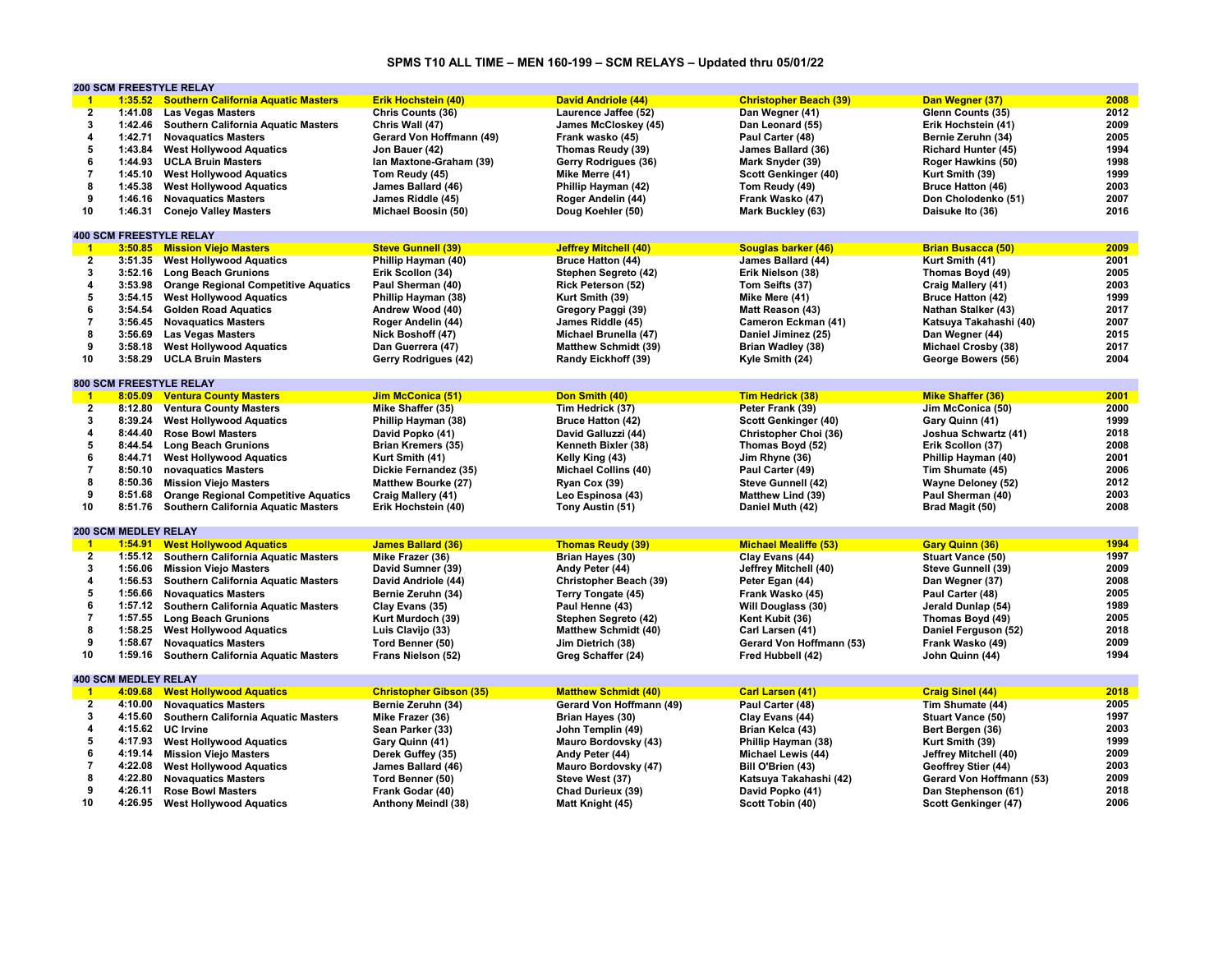# **SPMS T10 ALL TIME – MEN 160-199 – SCM RELAYS – Updated thru 05/01/22**

|                         |                             | <b>200 SCM FREESTYLE RELAY</b>              |                                |                              |                               |                            |      |
|-------------------------|-----------------------------|---------------------------------------------|--------------------------------|------------------------------|-------------------------------|----------------------------|------|
| $\overline{1}$          |                             | 1:35.52 Southern California Aquatic Masters | <b>Erik Hochstein (40)</b>     | <b>David Andriole (44)</b>   | <b>Christopher Beach (39)</b> | Dan Wegner (37)            | 2008 |
| $\overline{2}$          | 1:41.08                     | <b>Las Vegas Masters</b>                    | Chris Counts (36)              | Laurence Jaffee (52)         | Dan Wegner (41)               | Glenn Counts (35)          | 2012 |
| 3                       | 1:42.46                     | Southern California Aquatic Masters         | Chris Wall (47)                | James McCloskey (45)         | Dan Leonard (55)              | Erik Hochstein (41)        | 2009 |
| 4                       | 1:42.71                     | <b>Novaquatics Masters</b>                  | Gerard Von Hoffmann (49)       | Frank wasko (45)             | Paul Carter (48)              | Bernie Zeruhn (34)         | 2005 |
| 5                       | 1:43.84                     | <b>West Hollywood Aquatics</b>              | Jon Bauer (42)                 | Thomas Reudy (39)            | James Ballard (36)            | <b>Richard Hunter (45)</b> | 1994 |
| 6                       | 1:44.93                     | <b>UCLA Bruin Masters</b>                   | Ian Maxtone-Graham (39)        | Gerry Rodrigues (36)         | Mark Snyder (39)              | Roger Hawkins (50)         | 1998 |
| $\overline{7}$          |                             |                                             |                                |                              |                               |                            |      |
|                         | 1:45.10                     | <b>West Hollywood Aquatics</b>              | Tom Reudy (45)                 | Mike Merre (41)              | Scott Genkinger (40)          | Kurt Smith (39)            | 1999 |
| 8                       | 1:45.38                     | <b>West Hollywood Aquatics</b>              | James Ballard (46)             | Phillip Hayman (42)          | Tom Reudy (49)                | <b>Bruce Hatton (46)</b>   | 2003 |
| 9                       | 1:46.16                     | <b>Novaguatics Masters</b>                  | James Riddle (45)              | Roger Andelin (44)           | Frank Wasko (47)              | Don Cholodenko (51)        | 2007 |
| 10                      | 1:46.31                     | <b>Conejo Valley Masters</b>                | Michael Boosin (50)            | Doug Koehler (50)            | Mark Buckley (63)             | Daisuke Ito (36)           | 2016 |
|                         |                             |                                             |                                |                              |                               |                            |      |
|                         |                             | <b>400 SCM FREESTYLE RELAY</b>              |                                |                              |                               |                            |      |
| $\blacksquare$          |                             | 3:50.85 Mission Viejo Masters               | <b>Steve Gunnell (39)</b>      | <b>Jeffrey Mitchell (40)</b> | <b>Souglas barker (46)</b>    | <b>Brian Busacca (50)</b>  | 2009 |
| $\mathbf{2}$            |                             | 3:51.35 West Hollywood Aquatics             | Phillip Hayman (40)            | Bruce Hatton (44)            | James Ballard (44)            | Kurt Smith (41)            | 2001 |
| $\mathbf{3}$            | 3:52.16                     | <b>Long Beach Grunions</b>                  | Erik Scollon (34)              | Stephen Segreto (42)         | Erik Nielson (38)             | Thomas Boyd (49)           | 2005 |
| $\overline{4}$          | 3:53.98                     | <b>Orange Regional Competitive Aquatics</b> | Paul Sherman (40)              | Rick Peterson (52)           | Tom Seifts (37)               | Craig Mallery (41)         | 2003 |
| 5                       | 3:54.15                     | <b>West Hollywood Aquatics</b>              | Phillip Hayman (38)            | Kurt Smith (39)              | Mike Mere (41)                | <b>Bruce Hatton (42)</b>   | 1999 |
| 6                       | 3:54.54                     | <b>Golden Road Aquatics</b>                 | Andrew Wood (40)               | Gregory Paggi (39)           | Matt Reason (43)              | Nathan Stalker (43)        | 2017 |
| $\overline{7}$          | 3:56.45                     | <b>Novaguatics Masters</b>                  | Roger Andelin (44)             | James Riddle (45)            | Cameron Eckman (41)           | Katsuya Takahashi (40)     | 2007 |
| 8                       |                             | <b>Las Vegas Masters</b>                    |                                |                              |                               |                            | 2015 |
|                         | 3:56.69                     |                                             | Nick Boshoff (47)              | Michael Brunella (47)        | Daniel Jiminez (25)           | Dan Wegner (44)            |      |
| 9                       | 3:58.18                     | <b>West Hollywood Aquatics</b>              | Dan Guerrera (47)              | <b>Matthew Schmidt (39)</b>  | Brian Wadley (38)             | Michael Crosby (38)        | 2017 |
| 10                      | 3:58.29                     | <b>UCLA Bruin Masters</b>                   | Gerry Rodrigues (42)           | Randy Eickhoff (39)          | Kyle Smith (24)               | George Bowers (56)         | 2004 |
|                         |                             |                                             |                                |                              |                               |                            |      |
|                         |                             | 800 SCM FREESTYLE RELAY                     |                                |                              |                               |                            |      |
| $\blacksquare$          | 8:05.09                     | <b>Ventura County Masters</b>               | Jim McConica (51)              | Don Smith (40)               | Tim Hedrick (38)              | <b>Mike Shaffer (36)</b>   | 2001 |
| $\mathbf{2}$            | 8:12.80                     | <b>Ventura County Masters</b>               | Mike Shaffer (35)              | Tim Hedrick (37)             | Peter Frank (39)              | Jim McConica (50)          | 2000 |
| 3                       | 8:39.24                     | <b>West Hollywood Aquatics</b>              | Phillip Hayman (38)            | <b>Bruce Hatton (42)</b>     | Scott Genkinger (40)          | Gary Quinn (41)            | 1999 |
| $\overline{4}$          | 8:44.40                     | <b>Rose Bowl Masters</b>                    | David Popko (41)               | David Galluzzi (44)          | Christopher Choi (36)         | Joshua Schwartz (41)       | 2018 |
| 5                       | 8:44.54                     | <b>Long Beach Grunions</b>                  | <b>Brian Kremers (35)</b>      | Kenneth Bixler (38)          | Thomas Boyd (52)              | Erik Scollon (37)          | 2008 |
| 6                       | 8:44.71                     | <b>West Hollywood Aquatics</b>              | Kurt Smith (41)                | Kelly King (43)              | Jim Rhyne (36)                | Phillip Hayman (40)        | 2001 |
| $\overline{7}$          | 8:50.10                     | novaguatics Masters                         | Dickie Fernandez (35)          | <b>Michael Collins (40)</b>  | Paul Carter (49)              | Tim Shumate (45)           | 2006 |
| 8                       | 8:50.36                     | <b>Mission Viejo Masters</b>                | Matthew Bourke (27)            | Ryan Cox (39)                | Steve Gunnell (42)            | <b>Wayne Deloney (52)</b>  | 2012 |
| 9                       | 8:51.68                     |                                             |                                |                              | Matthew Lind (39)             |                            | 2003 |
| 10                      |                             | <b>Orange Regional Competitive Aquatics</b> | Craig Mallery (41)             | Leo Espinosa (43)            |                               | Paul Sherman (40)          | 2008 |
|                         | 8:51.76                     | Southern California Aquatic Masters         | Erik Hochstein (40)            | Tony Austin (51)             | Daniel Muth (42)              | Brad Magit (50)            |      |
|                         |                             |                                             |                                |                              |                               |                            |      |
|                         | <b>200 SCM MEDLEY RELAY</b> |                                             |                                |                              |                               |                            |      |
| $\blacksquare$          | 1:54.91                     | <b>West Hollywood Aquatics</b>              | <b>James Ballard (36)</b>      | <b>Thomas Reudy (39)</b>     | <b>Michael Mealiffe (53)</b>  | <b>Gary Quinn (36)</b>     | 1994 |
| $\overline{2}$          |                             | 1:55.12 Southern California Aquatic Masters | Mike Frazer (36)               | Brian Hayes (30)             | Clay Evans (44)               | <b>Stuart Vance (50)</b>   | 1997 |
| 3                       | 1:56.06                     | <b>Mission Viejo Masters</b>                | David Sumner (39)              | Andy Peter (44)              | Jeffrey Mitchell (40)         | Steve Gunnell (39)         | 2009 |
| 4                       | 1:56.53                     | <b>Southern California Aquatic Masters</b>  | David Andriole (44)            | Christopher Beach (39)       | Peter Egan (44)               | Dan Wegner (37)            | 2008 |
| 5                       | 1:56.66                     | <b>Novaquatics Masters</b>                  | Bernie Zeruhn (34)             | Terry Tongate (45)           | Frank Wasko (45)              | Paul Carter (48)           | 2005 |
| 6                       | 1:57.12                     | Southern California Aquatic Masters         | Clay Evans (35)                | Paul Henne (43)              | Will Douglass (30)            | Jerald Dunlap (54)         | 1989 |
| $\overline{7}$          | 1:57.55                     | <b>Long Beach Grunions</b>                  | Kurt Murdoch (39)              | Stephen Segreto (42)         | Kent Kubit (36)               | Thomas Boyd (49)           | 2005 |
| 8                       | 1:58.25                     | <b>West Hollywood Aquatics</b>              | Luis Clavijo (33)              | <b>Matthew Schmidt (40)</b>  | Carl Larsen (41)              | Daniel Ferguson (52)       | 2018 |
| 9                       | 1:58.67                     | <b>Novaguatics Masters</b>                  | Tord Benner (50)               | Jim Dietrich (38)            | Gerard Von Hoffmann (53)      | Frank Wasko (49)           | 2009 |
| 10                      | 1:59.16                     | <b>Southern California Aquatic Masters</b>  | Frans Nielson (52)             | Greg Schaffer (24)           | Fred Hubbell (42)             | John Quinn (44)            | 1994 |
|                         |                             |                                             |                                |                              |                               |                            |      |
|                         | <b>400 SCM MEDLEY RELAY</b> |                                             |                                |                              |                               |                            |      |
| $\blacktriangleleft$    |                             |                                             |                                |                              |                               |                            | 2018 |
|                         |                             | 4:09.68 West Hollywood Aquatics             | <b>Christopher Gibson (35)</b> | <b>Matthew Schmidt (40)</b>  | Carl Larsen (41)              | <b>Craig Sinel (44)</b>    |      |
| $\mathbf{2}$            | 4:10.00                     | <b>Novaguatics Masters</b>                  | Bernie Zeruhn (34)             | Gerard Von Hoffmann (49)     | Paul Carter (48)              | Tim Shumate (44)           | 2005 |
| 3                       | 4:15.60                     | Southern California Aquatic Masters         | Mike Frazer (36)               | Brian Hayes (30)             | Clay Evans (44)               | Stuart Vance (50)          | 1997 |
| $\overline{\mathbf{4}}$ | 4:15.62                     | <b>UC</b> Irvine                            | Sean Parker (33)               | John Templin (49)            | Brian Kelca (43)              | Bert Bergen (36)           | 2003 |
| 5                       | 4:17.93                     | <b>West Hollywood Aquatics</b>              | Gary Quinn (41)                | Mauro Bordovsky (43)         | Phillip Hayman (38)           | Kurt Smith (39)            | 1999 |
| 6                       | 4:19.14                     | <b>Mission Viejo Masters</b>                | Derek Guffey (35)              | Andy Peter (44)              | Michael Lewis (44)            | Jeffrey Mitchell (40)      | 2009 |
| $\overline{7}$          | 4:22.08                     | <b>West Hollywood Aquatics</b>              | James Ballard (46)             | Mauro Bordovsky (47)         | Bill O'Brien (43)             | Geoffrey Stier (44)        | 2003 |
| 8                       | 4:22.80                     | <b>Novaquatics Masters</b>                  | Tord Benner (50)               | Steve West (37)              | Katsuya Takahashi (42)        | Gerard Von Hoffmann (53)   | 2009 |
| 9                       | 4:26.11                     | <b>Rose Bowl Masters</b>                    | Frank Godar (40)               | Chad Durieux (39)            | David Popko (41)              | Dan Stephenson (61)        | 2018 |
| 10                      | 4:26.95                     | <b>West Hollywood Aquatics</b>              | Anthony Meindl (38)            | Matt Knight (45)             | Scott Tobin (40)              | Scott Genkinger (47)       | 2006 |
|                         |                             |                                             |                                |                              |                               |                            |      |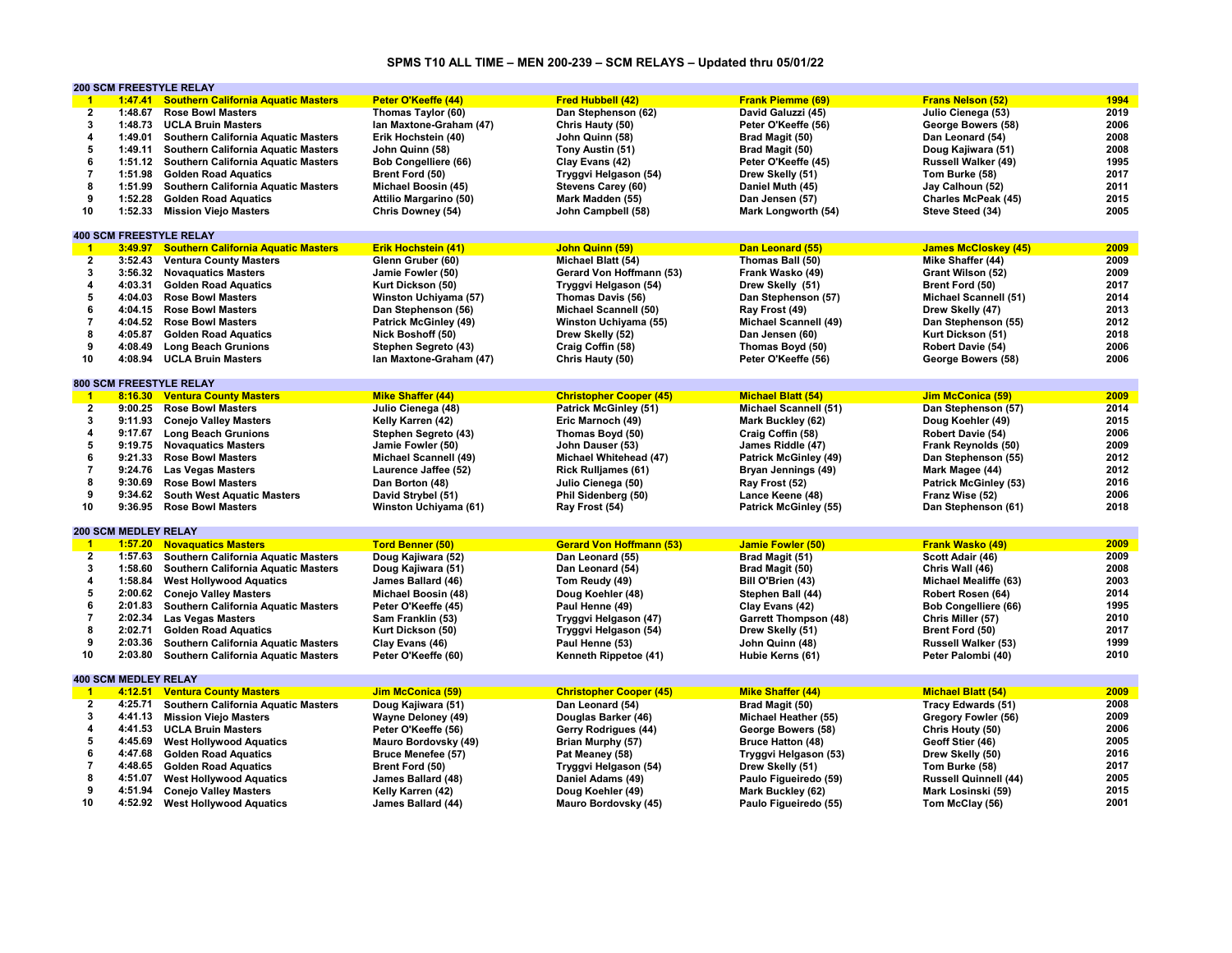# **SPMS T10 ALL TIME – MEN 200-239 – SCM RELAYS – Updated thru 05/01/22**

|                         |                             | <b>200 SCM FREESTYLE RELAY</b>             |                              |                                 |                              |                              |      |
|-------------------------|-----------------------------|--------------------------------------------|------------------------------|---------------------------------|------------------------------|------------------------------|------|
| $\overline{1}$          | 1:47.41                     | <b>Southern California Aquatic Masters</b> | Peter O'Keeffe (44)          | <b>Fred Hubbell (42)</b>        | <b>Frank Piemme (69)</b>     | <b>Frans Nelson (52)</b>     | 1994 |
| $\overline{2}$          | 1:48.67                     | <b>Rose Bowl Masters</b>                   | Thomas Taylor (60)           | Dan Stephenson (62)             | David Galuzzi (45)           | Julio Cienega (53)           | 2019 |
| 3                       | 1:48.73                     | <b>UCLA Bruin Masters</b>                  | Ian Maxtone-Graham (47)      | Chris Hauty (50)                | Peter O'Keeffe (56)          | George Bowers (58)           | 2006 |
| $\overline{\mathbf{4}}$ | 1:49.01                     | Southern California Aquatic Masters        | Erik Hochstein (40)          | John Quinn (58)                 | Brad Magit (50)              | Dan Leonard (54)             | 2008 |
| 5                       | 1:49.11                     | <b>Southern California Aquatic Masters</b> | John Quinn (58)              | Tony Austin (51)                | Brad Magit (50)              | Doug Kajiwara (51)           | 2008 |
| 6                       | 1:51.12                     | <b>Southern California Aquatic Masters</b> |                              | Clay Evans (42)                 | Peter O'Keeffe (45)          | Russell Walker (49)          | 1995 |
|                         |                             |                                            | <b>Bob Congelliere (66)</b>  |                                 |                              |                              |      |
| $\overline{7}$          | 1:51.98                     | <b>Golden Road Aquatics</b>                | Brent Ford (50)              | Tryggvi Helgason (54)           | Drew Skelly (51)             | Tom Burke (58)               | 2017 |
| 8                       | 1:51.99                     | Southern California Aquatic Masters        | Michael Boosin (45)          | Stevens Carey (60)              | Daniel Muth (45)             | Jay Calhoun (52)             | 2011 |
| 9                       | 1:52.28                     | <b>Golden Road Aquatics</b>                | Attilio Margarino (50)       | Mark Madden (55)                | Dan Jensen (57)              | Charles McPeak (45)          | 2015 |
| 10                      | 1:52.33                     | <b>Mission Viejo Masters</b>               | Chris Downey (54)            | John Campbell (58)              | Mark Longworth (54)          | Steve Steed (34)             | 2005 |
|                         |                             |                                            |                              |                                 |                              |                              |      |
|                         |                             | <b>400 SCM FREESTYLE RELAY</b>             |                              |                                 |                              |                              |      |
| $\mathbf{1}$            | 3:49.97                     | <b>Southern California Aquatic Masters</b> | <b>Erik Hochstein (41)</b>   | John Quinn (59)                 | Dan Leonard (55)             | <b>James McCloskey (45)</b>  | 2009 |
| $\overline{2}$          | 3:52.43                     | <b>Ventura County Masters</b>              | Glenn Gruber (60)            | Michael Blatt (54)              | Thomas Ball (50)             | Mike Shaffer (44)            | 2009 |
| $\mathbf{3}$            | 3:56.32                     | <b>Novaquatics Masters</b>                 | Jamie Fowler (50)            | Gerard Von Hoffmann (53)        | Frank Wasko (49)             | Grant Wilson (52)            | 2009 |
| 4                       | 4:03.31                     | <b>Golden Road Aquatics</b>                | Kurt Dickson (50)            | Tryggvi Helgason (54)           | Drew Skelly (51)             | Brent Ford (50)              | 2017 |
| 5                       | 4:04.03                     | <b>Rose Bowl Masters</b>                   | Winston Uchiyama (57)        | Thomas Davis (56)               | Dan Stephenson (57)          | Michael Scannell (51)        | 2014 |
| 6                       | 4:04.15                     | <b>Rose Bowl Masters</b>                   | Dan Stephenson (56)          | <b>Michael Scannell (50)</b>    | Ray Frost (49)               | Drew Skelly (47)             | 2013 |
| $\overline{7}$          | 4:04.52                     | <b>Rose Bowl Masters</b>                   |                              |                                 |                              |                              | 2012 |
| 8                       |                             |                                            | <b>Patrick McGinley (49)</b> | Winston Uchiyama (55)           | Michael Scannell (49)        | Dan Stephenson (55)          |      |
|                         | 4:05.87                     | <b>Golden Road Aquatics</b>                | Nick Boshoff (50)            | Drew Skelly (52)                | Dan Jensen (60)              | Kurt Dickson (51)            | 2018 |
| 9                       | 4:08.49                     | <b>Long Beach Grunions</b>                 | Stephen Segreto (43)         | Craig Coffin (58)               | Thomas Boyd (50)             | Robert Davie (54)            | 2006 |
| 10                      | 4:08.94                     | <b>UCLA Bruin Masters</b>                  | Ian Maxtone-Graham (47)      | Chris Hauty (50)                | Peter O'Keeffe (56)          | George Bowers (58)           | 2006 |
|                         |                             |                                            |                              |                                 |                              |                              |      |
|                         |                             | <b>800 SCM FREESTYLE RELAY</b>             |                              |                                 |                              |                              |      |
| $^{\circ}$ 1            | 8:16.30                     | <b>Ventura County Masters</b>              | <b>Mike Shaffer (44)</b>     | <b>Christopher Cooper (45)</b>  | <b>Michael Blatt (54)</b>    | <b>Jim McConica (59)</b>     | 2009 |
| $\overline{2}$          | 9:00.25                     | <b>Rose Bowl Masters</b>                   | Julio Cienega (48)           | <b>Patrick McGinley (51)</b>    | <b>Michael Scannell (51)</b> | Dan Stephenson (57)          | 2014 |
| 3                       | 9:11.93                     | <b>Conejo Valley Masters</b>               | Kelly Karren (42)            | Eric Marnoch (49)               | Mark Buckley (62)            | Doug Koehler (49)            | 2015 |
| 4                       | 9:17.67                     | <b>Long Beach Grunions</b>                 | Stephen Segreto (43)         | Thomas Boyd (50)                | Craig Coffin (58)            | Robert Davie (54)            | 2006 |
| 5                       | 9:19.75                     | <b>Novaguatics Masters</b>                 | Jamie Fowler (50)            | John Dauser (53)                | James Riddle (47)            | Frank Reynolds (50)          | 2009 |
| 6                       | 9:21.33                     | <b>Rose Bowl Masters</b>                   | <b>Michael Scannell (49)</b> | Michael Whitehead (47)          | <b>Patrick McGinley (49)</b> | Dan Stephenson (55)          | 2012 |
| $\overline{7}$          |                             | 9:24.76 Las Vegas Masters                  | Laurence Jaffee (52)         | <b>Rick Rulljames (61)</b>      | Bryan Jennings (49)          | Mark Magee (44)              | 2012 |
| 8                       | 9:30.69                     |                                            |                              |                                 |                              |                              | 2016 |
| 9                       |                             | <b>Rose Bowl Masters</b>                   | Dan Borton (48)              | Julio Cienega (50)              | Ray Frost (52)               | <b>Patrick McGinley (53)</b> | 2006 |
|                         | 9:34.62                     | <b>South West Aquatic Masters</b>          | David Strybel (51)           | Phil Sidenberg (50)             | Lance Keene (48)             | Franz Wise (52)              |      |
| 10                      | 9:36.95                     | <b>Rose Bowl Masters</b>                   | Winston Uchiyama (61)        | Ray Frost (54)                  | <b>Patrick McGinley (55)</b> | Dan Stephenson (61)          | 2018 |
|                         |                             |                                            |                              |                                 |                              |                              |      |
|                         | <b>200 SCM MEDLEY RELAY</b> |                                            |                              |                                 |                              |                              |      |
| $\overline{1}$          | 1:57.20                     | <b>Novaguatics Masters</b>                 | <b>Tord Benner (50)</b>      | <b>Gerard Von Hoffmann (53)</b> | <b>Jamie Fowler (50)</b>     | Frank Wasko (49)             | 2009 |
| $\mathbf{2}$            | 1:57.63                     | <b>Southern California Aquatic Masters</b> | Doug Kajiwara (52)           | Dan Leonard (55)                | Brad Magit (51)              | Scott Adair (46)             | 2009 |
| $\mathbf{3}$            | 1:58.60                     | <b>Southern California Aquatic Masters</b> | Doug Kajiwara (51)           | Dan Leonard (54)                | Brad Magit (50)              | Chris Wall (46)              | 2008 |
| 4                       | 1:58.84                     | <b>West Hollywood Aquatics</b>             | James Ballard (46)           | Tom Reudy (49)                  | Bill O'Brien (43)            | <b>Michael Mealiffe (63)</b> | 2003 |
| 5                       | 2:00.62                     | <b>Conejo Valley Masters</b>               | <b>Michael Boosin (48)</b>   | Doug Koehler (48)               | Stephen Ball (44)            | Robert Rosen (64)            | 2014 |
| 6                       | 2:01.83                     | Southern California Aquatic Masters        | Peter O'Keeffe (45)          | Paul Henne (49)                 | Clay Evans (42)              | <b>Bob Congelliere (66)</b>  | 1995 |
| $\overline{7}$          | 2:02.34                     | <b>Las Vegas Masters</b>                   | Sam Franklin (53)            | Tryggvi Helgason (47)           | <b>Garrett Thompson (48)</b> | Chris Miller (57)            | 2010 |
| 8                       | 2:02.71                     | <b>Golden Road Aquatics</b>                | Kurt Dickson (50)            | Tryggvi Helgason (54)           | Drew Skelly (51)             | Brent Ford (50)              | 2017 |
| 9                       | 2:03.36                     | Southern California Aquatic Masters        | Clay Evans (46)              | Paul Henne (53)                 | John Quinn (48)              | <b>Russell Walker (53)</b>   | 1999 |
| 10                      | 2:03.80                     | Southern California Aquatic Masters        | Peter O'Keeffe (60)          | Kenneth Rippetoe (41)           | Hubie Kerns (61)             | Peter Palombi (40)           | 2010 |
|                         |                             |                                            |                              |                                 |                              |                              |      |
|                         |                             |                                            |                              |                                 |                              |                              |      |
|                         | <b>400 SCM MEDLEY RELAY</b> |                                            |                              |                                 |                              |                              |      |
| $^{\circ}$ 1            |                             | 4:12.51 Ventura County Masters             | Jim McConica (59)            | <b>Christopher Cooper (45)</b>  | <b>Mike Shaffer (44)</b>     | <b>Michael Blatt (54)</b>    | 2009 |
| $\overline{2}$          | 4:25.71                     | <b>Southern California Aquatic Masters</b> | Doug Kajiwara (51)           | Dan Leonard (54)                | Brad Magit (50)              | Tracy Edwards (51)           | 2008 |
| 3                       | 4:41.13                     | <b>Mission Viejo Masters</b>               | Wayne Deloney (49)           | Douglas Barker (46)             | Michael Heather (55)         | Gregory Fowler (56)          | 2009 |
| 4                       | 4:41.53                     | <b>UCLA Bruin Masters</b>                  | Peter O'Keeffe (56)          | Gerry Rodrigues (44)            | George Bowers (58)           | Chris Houty (50)             | 2006 |
| 5                       | 4:45.69                     | <b>West Hollywood Aquatics</b>             | Mauro Bordovsky (49)         | Brian Murphy (57)               | <b>Bruce Hatton (48)</b>     | Geoff Stier (46)             | 2005 |
| 6                       | 4:47.68                     | <b>Golden Road Aquatics</b>                | <b>Bruce Menefee (57)</b>    | Pat Meaney (58)                 | Tryggvi Helgason (53)        | Drew Skelly (50)             | 2016 |
| $\overline{7}$          | 4:48.65                     | <b>Golden Road Aquatics</b>                | Brent Ford (50)              | Tryggvi Helgason (54)           | Drew Skelly (51)             | Tom Burke (58)               | 2017 |
| 8                       | 4:51.07                     | <b>West Hollywood Aquatics</b>             | James Ballard (48)           | Daniel Adams (49)               | Paulo Figueiredo (59)        | <b>Russell Quinnell (44)</b> | 2005 |
| 9                       | 4:51.94                     | <b>Conejo Valley Masters</b>               | Kelly Karren (42)            | Doug Koehler (49)               | Mark Buckley (62)            | Mark Losinski (59)           | 2015 |
| 10                      | 4:52.92                     | <b>West Hollywood Aquatics</b>             | James Ballard (44)           | Mauro Bordovsky (45)            | Paulo Figueiredo (55)        | Tom McClay (56)              | 2001 |
|                         |                             |                                            |                              |                                 |                              |                              |      |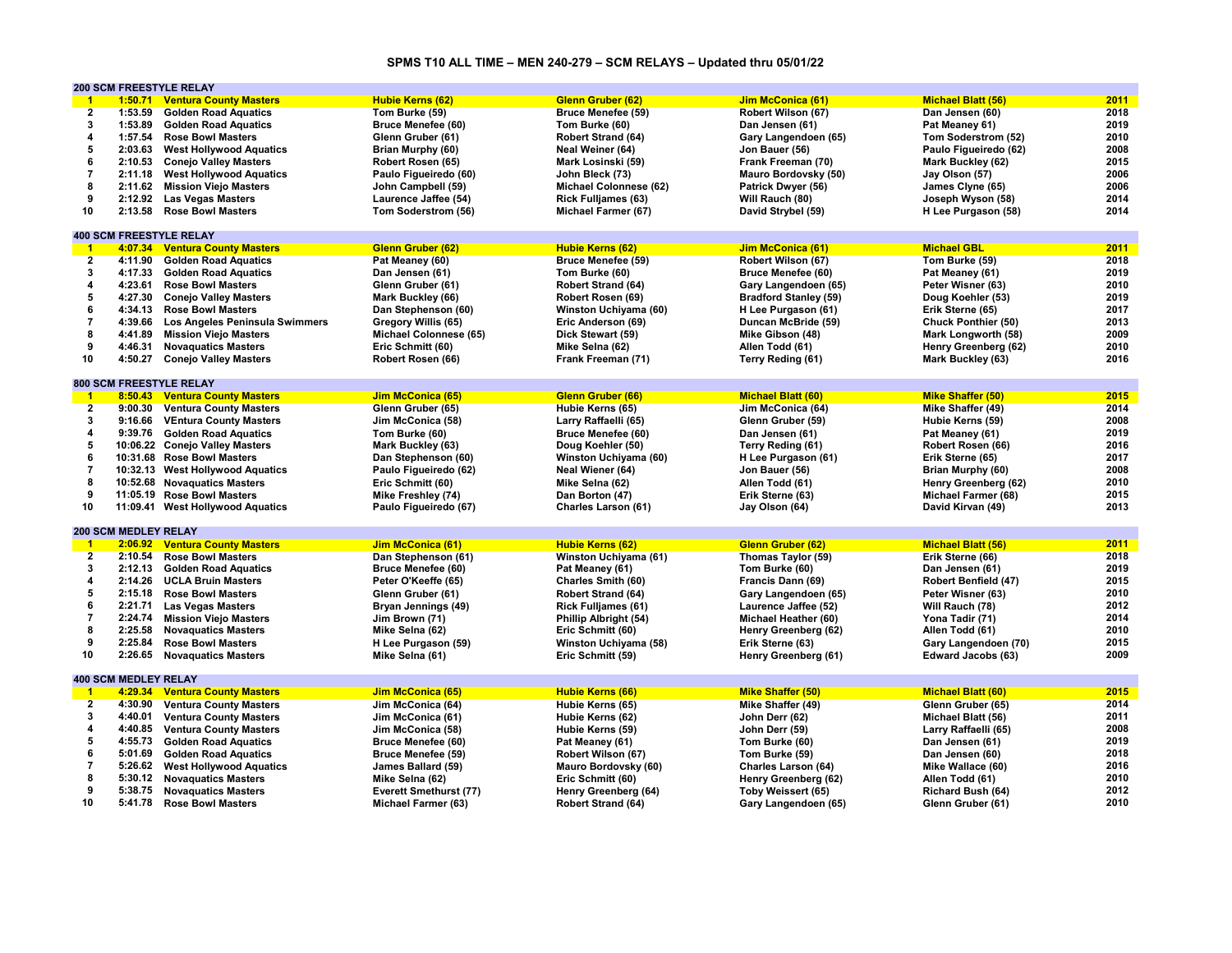# **SPMS T10 ALL TIME – MEN 240-279 – SCM RELAYS – Updated thru 05/01/22**

|                         |                             | <b>200 SCM FREESTYLE RELAY</b>   |                               |                            |                              |                            |      |
|-------------------------|-----------------------------|----------------------------------|-------------------------------|----------------------------|------------------------------|----------------------------|------|
| $\mathbf{1}$            | 1:50.71                     | <b>Ventura County Masters</b>    | <b>Hubie Kerns (62)</b>       | <b>Glenn Gruber (62)</b>   | Jim McConica (61)            | <b>Michael Blatt (56)</b>  | 2011 |
| $\overline{2}$          | 1:53.59                     | <b>Golden Road Aquatics</b>      | Tom Burke (59)                | <b>Bruce Menefee (59)</b>  | Robert Wilson (67)           | Dan Jensen (60)            | 2018 |
| 3                       | 1:53.89                     | <b>Golden Road Aquatics</b>      | <b>Bruce Menefee (60)</b>     | Tom Burke (60)             | Dan Jensen (61)              | Pat Meaney 61)             | 2019 |
| 4                       | 1:57.54                     | <b>Rose Bowl Masters</b>         | Glenn Gruber (61)             | <b>Robert Strand (64)</b>  | Gary Langendoen (65)         | Tom Soderstrom (52)        | 2010 |
| 5                       | 2:03.63                     | <b>West Hollywood Aquatics</b>   | Brian Murphy (60)             | Neal Weiner (64)           | Jon Bauer (56)               | Paulo Figueiredo (62)      | 2008 |
| 6                       | 2:10.53                     | <b>Conejo Valley Masters</b>     | Robert Rosen (65)             | Mark Losinski (59)         | Frank Freeman (70)           | Mark Buckley (62)          | 2015 |
| $\overline{7}$          |                             |                                  |                               |                            |                              |                            | 2006 |
|                         | 2:11.18                     | <b>West Hollywood Aquatics</b>   | Paulo Figueiredo (60)         | John Bleck (73)            | Mauro Bordovsky (50)         | Jay Olson (57)             |      |
| 8                       | 2:11.62                     | <b>Mission Viejo Masters</b>     | John Campbell (59)            | Michael Colonnese (62)     | Patrick Dwyer (56)           | James Clyne (65)           | 2006 |
| 9                       | 2:12.92                     | <b>Las Vegas Masters</b>         | Laurence Jaffee (54)          | <b>Rick Fulljames (63)</b> | Will Rauch (80)              | Joseph Wyson (58)          | 2014 |
| 10                      | 2:13.58                     | <b>Rose Bowl Masters</b>         | Tom Soderstrom (56)           | Michael Farmer (67)        | David Strybel (59)           | H Lee Purgason (58)        | 2014 |
|                         |                             |                                  |                               |                            |                              |                            |      |
|                         |                             | <b>400 SCM FREESTYLE RELAY</b>   |                               |                            |                              |                            |      |
| $\mathbf{1}$            | 4:07.34                     | <b>Ventura County Masters</b>    | <b>Glenn Gruber (62)</b>      | <b>Hubie Kerns (62)</b>    | <b>Jim McConica (61)</b>     | <b>Michael GBL</b>         | 2011 |
| $\overline{2}$          | 4:11.90                     | <b>Golden Road Aquatics</b>      | Pat Meaney (60)               | <b>Bruce Menefee (59)</b>  | Robert Wilson (67)           | Tom Burke (59)             | 2018 |
| 3                       | 4:17.33                     | <b>Golden Road Aquatics</b>      | Dan Jensen (61)               | Tom Burke (60)             | <b>Bruce Menefee (60)</b>    | Pat Meaney (61)            | 2019 |
| 4                       | 4:23.61                     | <b>Rose Bowl Masters</b>         | Glenn Gruber (61)             | Robert Strand (64)         | Gary Langendoen (65)         | Peter Wisner (63)          | 2010 |
| 5                       | 4:27.30                     |                                  |                               |                            |                              |                            | 2019 |
| 6                       |                             | <b>Conejo Valley Masters</b>     | Mark Buckley (66)             | Robert Rosen (69)          | <b>Bradford Stanley (59)</b> | Doug Koehler (53)          | 2017 |
|                         | 4:34.13                     | <b>Rose Bowl Masters</b>         | Dan Stephenson (60)           | Winston Uchiyama (60)      | H Lee Purgason (61)          | Erik Sterne (65)           |      |
| $\overline{7}$          | 4:39.66                     | Los Angeles Peninsula Swimmers   | Gregory Willis (65)           | Eric Anderson (69)         | Duncan McBride (59)          | <b>Chuck Ponthier (50)</b> | 2013 |
| 8                       | 4:41.89                     | <b>Mission Viejo Masters</b>     | Michael Colonnese (65)        | Dick Stewart (59)          | Mike Gibson (48)             | Mark Longworth (58)        | 2009 |
| 9                       | 4:46.31                     | <b>Novaquatics Masters</b>       | Eric Schmitt (60)             | Mike Selna (62)            | Allen Todd (61)              | Henry Greenberg (62)       | 2010 |
| 10                      | 4:50.27                     | <b>Conejo Valley Masters</b>     | Robert Rosen (66)             | Frank Freeman (71)         | Terry Reding (61)            | Mark Buckley (63)          | 2016 |
|                         |                             |                                  |                               |                            |                              |                            |      |
|                         |                             | <b>800 SCM FREESTYLE RELAY</b>   |                               |                            |                              |                            |      |
| $\blacksquare$          |                             | 8:50.43 Ventura County Masters   | Jim McConica (65)             | <b>Glenn Gruber (66)</b>   | <b>Michael Blatt (60)</b>    | <b>Mike Shaffer (50)</b>   | 2015 |
| $\overline{2}$          |                             | 9:00.30 Ventura County Masters   | Glenn Gruber (65)             | Hubie Kerns (65)           | Jim McConica (64)            | Mike Shaffer (49)          | 2014 |
| 3                       | 9:16.66                     | <b>VEntura County Masters</b>    | Jim McConica (58)             | Larry Raffaelli (65)       | Glenn Gruber (59)            | Hubie Kerns (59)           | 2008 |
| $\overline{\mathbf{4}}$ | 9:39.76                     | <b>Golden Road Aquatics</b>      | Tom Burke (60)                | <b>Bruce Menefee (60)</b>  | Dan Jensen (61)              | Pat Meaney (61)            | 2019 |
| 5                       |                             |                                  |                               |                            |                              |                            | 2016 |
|                         |                             | 10:06.22 Conejo Valley Masters   | Mark Buckley (63)             | Doug Koehler (50)          | Terry Reding (61)            | Robert Rosen (66)          |      |
| 6                       |                             | 10:31.68 Rose Bowl Masters       | Dan Stephenson (60)           | Winston Uchiyama (60)      | H Lee Purgason (61)          | Erik Sterne (65)           | 2017 |
| $\overline{7}$          |                             | 10:32.13 West Hollywood Aquatics | Paulo Figueiredo (62)         | Neal Wiener (64)           | Jon Bauer (56)               | Brian Murphy (60)          | 2008 |
| 8                       |                             | 10:52.68 Novaguatics Masters     | Eric Schmitt (60)             | Mike Selna (62)            | Allen Todd (61)              | Henry Greenberg (62)       | 2010 |
| 9                       |                             | 11:05.19 Rose Bowl Masters       | Mike Freshley (74)            | Dan Borton (47)            | Erik Sterne (63)             | <b>Michael Farmer (68)</b> | 2015 |
| 10                      |                             | 11:09.41 West Hollywood Aquatics | Paulo Figueiredo (67)         | Charles Larson (61)        | Jay Olson (64)               | David Kirvan (49)          | 2013 |
|                         |                             |                                  |                               |                            |                              |                            |      |
|                         | <b>200 SCM MEDLEY RELAY</b> |                                  |                               |                            |                              |                            |      |
| $\blacksquare$          | 2:06.92                     | <b>Ventura County Masters</b>    | <b>Jim McConica (61)</b>      | <b>Hubie Kerns (62)</b>    | <b>Glenn Gruber (62)</b>     | <b>Michael Blatt (56)</b>  | 2011 |
| $\mathbf{2}$            | 2:10.54                     | <b>Rose Bowl Masters</b>         | Dan Stephenson (61)           | Winston Uchiyama (61)      | Thomas Taylor (59)           | Erik Sterne (66)           | 2018 |
| 3                       | 2:12.13                     | <b>Golden Road Aquatics</b>      | Bruce Menefee (60)            | Pat Meaney (61)            | Tom Burke (60)               | Dan Jensen (61)            | 2019 |
| 4                       | 2:14.26                     | <b>UCLA Bruin Masters</b>        | Peter O'Keeffe (65)           | Charles Smith (60)         | Francis Dann (69)            | Robert Benfield (47)       | 2015 |
| 5                       | 2:15.18                     | <b>Rose Bowl Masters</b>         | Glenn Gruber (61)             | <b>Robert Strand (64)</b>  |                              | Peter Wisner (63)          | 2010 |
| 6                       |                             |                                  |                               |                            | Gary Langendoen (65)         |                            |      |
|                         | 2:21.71                     | <b>Las Vegas Masters</b>         | Bryan Jennings (49)           | <b>Rick Fulljames (61)</b> | Laurence Jaffee (52)         | Will Rauch (78)            | 2012 |
| $\overline{\mathbf{7}}$ | 2:24.74                     | <b>Mission Viejo Masters</b>     | Jim Brown (71)                | Phillip Albright (54)      | Michael Heather (60)         | Yona Tadir (71)            | 2014 |
| 8                       | 2:25.58                     | <b>Novaguatics Masters</b>       | Mike Selna (62)               | Eric Schmitt (60)          | Henry Greenberg (62)         | Allen Todd (61)            | 2010 |
| 9                       | 2:25.84                     | <b>Rose Bowl Masters</b>         | H Lee Purgason (59)           | Winston Uchiyama (58)      | Erik Sterne (63)             | Gary Langendoen (70)       | 2015 |
| 10                      | 2:26.65                     | <b>Novaguatics Masters</b>       | Mike Selna (61)               | Eric Schmitt (59)          | Henry Greenberg (61)         | Edward Jacobs (63)         | 2009 |
|                         |                             |                                  |                               |                            |                              |                            |      |
|                         | <b>400 SCM MEDLEY RELAY</b> |                                  |                               |                            |                              |                            |      |
| $\blacksquare$          |                             | 4:29.34 Ventura County Masters   | <b>Jim McConica (65)</b>      | <b>Hubie Kerns (66)</b>    | <b>Mike Shaffer (50)</b>     | <b>Michael Blatt (60)</b>  | 2015 |
| $\mathbf{2}$            | 4:30.90                     | <b>Ventura County Masters</b>    | Jim McConica (64)             | Hubie Kerns (65)           | Mike Shaffer (49)            | Glenn Gruber (65)          | 2014 |
| 3                       | 4:40.01                     | <b>Ventura County Masters</b>    | Jim McConica (61)             | Hubie Kerns (62)           | John Derr (62)               | Michael Blatt (56)         | 2011 |
| $\overline{\mathbf{4}}$ | 4:40.85                     | <b>Ventura County Masters</b>    | Jim McConica (58)             | Hubie Kerns (59)           | John Derr (59)               | Larry Raffaelli (65)       | 2008 |
| 5                       | 4:55.73                     | <b>Golden Road Aquatics</b>      | <b>Bruce Menefee (60)</b>     | Pat Meaney (61)            | Tom Burke (60)               | Dan Jensen (61)            | 2019 |
| 6                       |                             |                                  |                               | Robert Wilson (67)         |                              |                            | 2018 |
|                         | 5:01.69                     | <b>Golden Road Aquatics</b>      | <b>Bruce Menefee (59)</b>     |                            | Tom Burke (59)               | Dan Jensen (60)            |      |
| $\overline{7}$          | 5:26.62                     | <b>West Hollywood Aquatics</b>   | James Ballard (59)            | Mauro Bordovsky (60)       | <b>Charles Larson (64)</b>   | Mike Wallace (60)          | 2016 |
| 8                       | 5:30.12                     | <b>Novaguatics Masters</b>       | Mike Selna (62)               | Eric Schmitt (60)          | Henry Greenberg (62)         | Allen Todd (61)            | 2010 |
| 9                       | 5:38.75                     | <b>Novaguatics Masters</b>       | <b>Everett Smethurst (77)</b> | Henry Greenberg (64)       | Toby Weissert (65)           | Richard Bush (64)          | 2012 |
| 10                      | 5:41.78                     | <b>Rose Bowl Masters</b>         | Michael Farmer (63)           | <b>Robert Strand (64)</b>  | Gary Langendoen (65)         | Glenn Gruber (61)          | 2010 |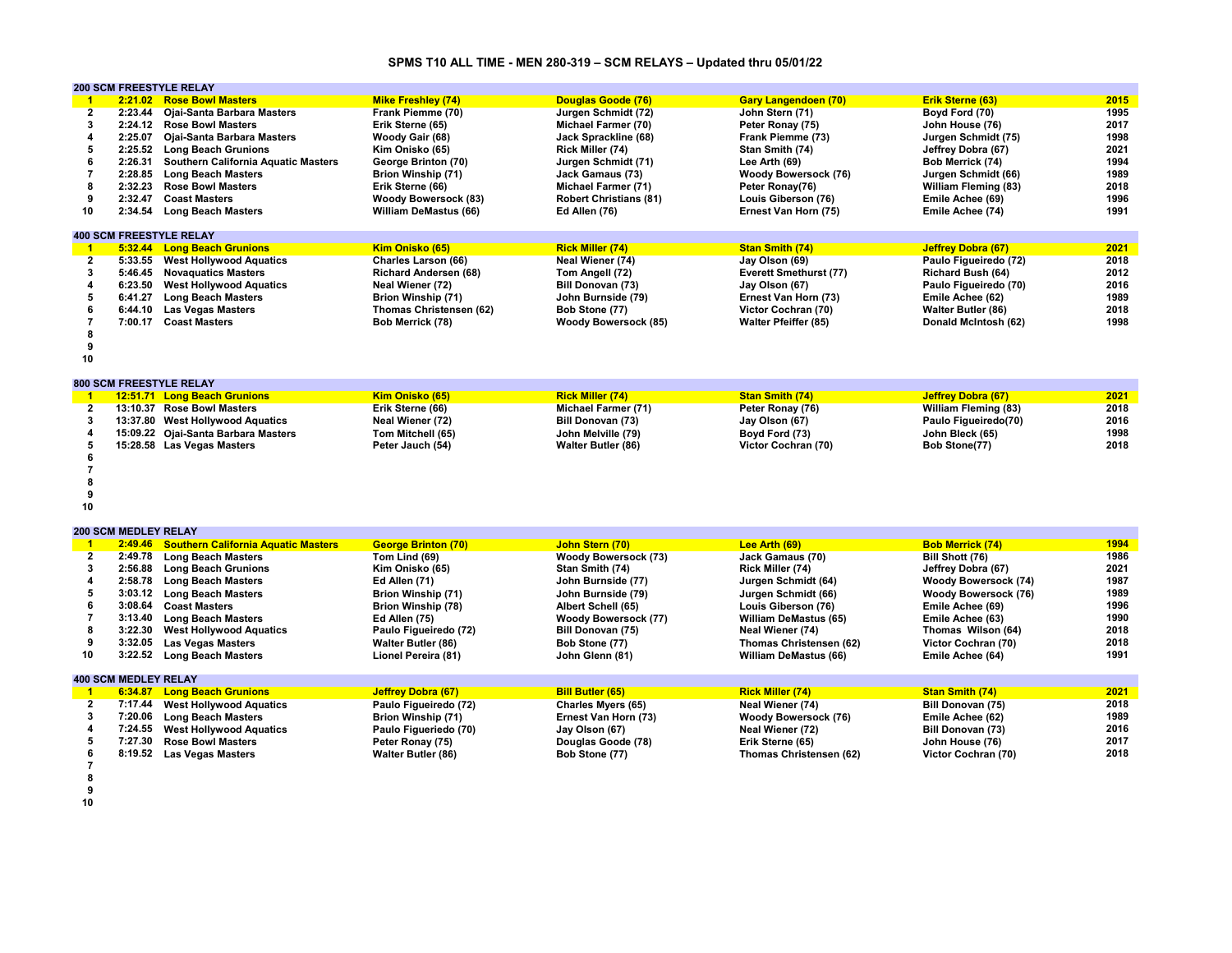# **SPMS T10 ALL TIME - MEN 280-319 – SCM RELAYS – Updated thru 05/01/22**

|                         |                             | <b>200 SCM FREESTYLE RELAY</b>             |                              |                               |                               |                             |      |
|-------------------------|-----------------------------|--------------------------------------------|------------------------------|-------------------------------|-------------------------------|-----------------------------|------|
| $\blacksquare$          |                             | 2:21.02 Rose Bowl Masters                  | <b>Mike Freshley (74)</b>    | Douglas Goode (76)            | <b>Gary Langendoen (70)</b>   | Erik Sterne (63)            | 2015 |
| $\mathbf{2}$            | 2:23.44                     | Ojai-Santa Barbara Masters                 | Frank Piemme (70)            | Jurgen Schmidt (72)           | John Stern (71)               | Boyd Ford (70)              | 1995 |
| 3                       | 2:24.12                     | <b>Rose Bowl Masters</b>                   | Erik Sterne (65)             | Michael Farmer (70)           | Peter Ronay (75)              | John House (76)             | 2017 |
| $\overline{\mathbf{4}}$ | 2:25.07                     | Ojai-Santa Barbara Masters                 | Woody Gair (68)              | Jack Sprackline (68)          | Frank Piemme (73)             | Jurgen Schmidt (75)         | 1998 |
| 5                       | 2:25.52                     | <b>Long Beach Grunions</b>                 | Kim Onisko (65)              | Rick Miller (74)              | Stan Smith (74)               | Jeffrey Dobra (67)          | 2021 |
| 6                       | 2:26.31                     | <b>Southern California Aquatic Masters</b> | George Brinton (70)          | Jurgen Schmidt (71)           | Lee Arth (69)                 | Bob Merrick (74)            | 1994 |
| $\overline{7}$          | 2:28.85                     | <b>Long Beach Masters</b>                  | <b>Brion Winship (71)</b>    | Jack Gamaus (73)              | Woody Bowersock (76)          | Jurgen Schmidt (66)         | 1989 |
| 8                       | 2:32.23                     | <b>Rose Bowl Masters</b>                   | Erik Sterne (66)             | Michael Farmer (71)           | Peter Ronay(76)               | <b>William Fleming (83)</b> | 2018 |
| 9                       | 2:32.47                     | <b>Coast Masters</b>                       | <b>Woody Bowersock (83)</b>  | <b>Robert Christians (81)</b> | Louis Giberson (76)           | Emile Achee (69)            | 1996 |
| 10                      | 2:34.54                     | <b>Long Beach Masters</b>                  | <b>William DeMastus (66)</b> | Ed Allen (76)                 | Ernest Van Horn (75)          | Emile Achee (74)            | 1991 |
|                         |                             |                                            |                              |                               |                               |                             |      |
|                         |                             | <b>400 SCM FREESTYLE RELAY</b>             |                              |                               |                               |                             |      |
| $\blacksquare$          |                             | 5:32.44 Long Beach Grunions                | Kim Onisko (65)              | <b>Rick Miller (74)</b>       | <b>Stan Smith (74)</b>        | <b>Jeffrey Dobra (67)</b>   | 2021 |
| $\overline{2}$          |                             | 5:33.55 West Hollywood Aquatics            | Charles Larson (66)          | Neal Wiener (74)              | Jay Olson (69)                | Paulo Figueiredo (72)       | 2018 |
| 3                       | 5:46.45                     | <b>Novaguatics Masters</b>                 | <b>Richard Andersen (68)</b> | Tom Angell (72)               | <b>Everett Smethurst (77)</b> | <b>Richard Bush (64)</b>    | 2012 |
| $\overline{\mathbf{4}}$ | 6:23.50                     | <b>West Hollywood Aquatics</b>             | Neal Wiener (72)             | Bill Donovan (73)             | Jay Olson (67)                | Paulo Figueiredo (70)       | 2016 |
| 5                       | 6:41.27                     | <b>Long Beach Masters</b>                  | <b>Brion Winship (71)</b>    | John Burnside (79)            | Ernest Van Horn (73)          | Emile Achee (62)            | 1989 |
| 6                       | 6:44.10                     | <b>Las Vegas Masters</b>                   | Thomas Christensen (62)      | Bob Stone (77)                | Victor Cochran (70)           | <b>Walter Butler (86)</b>   | 2018 |
| $\overline{7}$          | 7:00.17                     | <b>Coast Masters</b>                       | Bob Merrick (78)             | <b>Woody Bowersock (85)</b>   | <b>Walter Pfeiffer (85)</b>   | Donald McIntosh (62)        | 1998 |
| 8                       |                             |                                            |                              |                               |                               |                             |      |
| 9                       |                             |                                            |                              |                               |                               |                             |      |
| 10                      |                             |                                            |                              |                               |                               |                             |      |
|                         |                             |                                            |                              |                               |                               |                             |      |
|                         |                             | 800 SCM FREESTYLE RELAY                    |                              |                               |                               |                             |      |
| $\overline{1}$          |                             | 12:51.71 Long Beach Grunions               | Kim Onisko (65)              | <b>Rick Miller (74)</b>       | <b>Stan Smith (74)</b>        | <b>Jeffrey Dobra (67)</b>   | 2021 |
| $\overline{2}$          |                             | 13:10.37 Rose Bowl Masters                 | Erik Sterne (66)             | Michael Farmer (71)           | Peter Ronay (76)              | <b>William Fleming (83)</b> | 2018 |
| 3                       |                             | 13:37.80 West Hollywood Aquatics           | Neal Wiener (72)             | <b>Bill Donovan (73)</b>      | Jay Olson (67)                | Paulo Figueiredo(70)        | 2016 |
| $\overline{\mathbf{4}}$ |                             | 15:09.22 Ojai-Santa Barbara Masters        | Tom Mitchell (65)            | John Melville (79)            | Boyd Ford (73)                | John Bleck (65)             | 1998 |
| 5                       |                             |                                            |                              |                               |                               |                             | 2018 |
|                         |                             | 15:28.58 Las Vegas Masters                 | Peter Jauch (54)             | Walter Butler (86)            | Victor Cochran (70)           | Bob Stone(77)               |      |
| 6                       |                             |                                            |                              |                               |                               |                             |      |
| 7                       |                             |                                            |                              |                               |                               |                             |      |
| 8                       |                             |                                            |                              |                               |                               |                             |      |
| 9                       |                             |                                            |                              |                               |                               |                             |      |
| 10                      |                             |                                            |                              |                               |                               |                             |      |
|                         | <b>200 SCM MEDLEY RELAY</b> |                                            |                              |                               |                               |                             |      |
| $\mathbf{1}$            | 2:49.46                     | <b>Southern California Aquatic Masters</b> | <b>George Brinton (70)</b>   | John Stern (70)               | Lee Arth (69)                 | <b>Bob Merrick (74)</b>     | 1994 |
| $\overline{2}$          | 2:49.78                     | <b>Long Beach Masters</b>                  | Tom Lind (69)                | <b>Woody Bowersock (73)</b>   | Jack Gamaus (70)              | Bill Shott (76)             | 1986 |
| 3                       | 2:56.88                     | <b>Long Beach Grunions</b>                 | Kim Onisko (65)              | Stan Smith (74)               | Rick Miller (74)              | Jeffrey Dobra (67)          | 2021 |
| 4                       | 2:58.78                     | <b>Long Beach Masters</b>                  | Ed Allen (71)                | John Burnside (77)            | Jurgen Schmidt (64)           | <b>Woody Bowersock (74)</b> | 1987 |
| 5                       |                             | 3:03.12 Long Beach Masters                 | <b>Brion Winship (71)</b>    | John Burnside (79)            | Jurgen Schmidt (66)           | <b>Woody Bowersock (76)</b> | 1989 |
| 6                       | 3:08.64                     | <b>Coast Masters</b>                       |                              |                               |                               |                             | 1996 |
|                         |                             |                                            | <b>Brion Winship (78)</b>    | Albert Schell (65)            | Louis Giberson (76)           | Emile Achee (69)            |      |
| $\overline{7}$          | 3:13.40                     | <b>Long Beach Masters</b>                  | Ed Allen (75)                | <b>Woody Bowersock (77)</b>   | William DeMastus (65)         | Emile Achee (63)            | 1990 |
| 8                       | 3:22.30                     | <b>West Hollywood Aquatics</b>             | Paulo Figueiredo (72)        | Bill Donovan (75)             | Neal Wiener (74)              | Thomas Wilson (64)          | 2018 |
| 9                       | 3:32.05                     | <b>Las Vegas Masters</b>                   | Walter Butler (86)           | Bob Stone (77)                | Thomas Christensen (62)       | Victor Cochran (70)         | 2018 |
| 10                      | 3:22.52                     | <b>Long Beach Masters</b>                  | Lionel Pereira (81)          | John Glenn (81)               | William DeMastus (66)         | Emile Achee (64)            | 1991 |
|                         | <b>400 SCM MEDLEY RELAY</b> |                                            |                              |                               |                               |                             |      |
| $\overline{1}$          |                             | 6:34.87 Long Beach Grunions                | <b>Jeffrey Dobra (67)</b>    | <b>Bill Butler (65)</b>       | <b>Rick Miller (74)</b>       | <b>Stan Smith (74)</b>      | 2021 |
| $\overline{2}$          | 7:17.44                     | <b>West Hollywood Aquatics</b>             | Paulo Figueiredo (72)        | <b>Charles Myers (65)</b>     | Neal Wiener (74)              | Bill Donovan (75)           | 2018 |
|                         |                             |                                            |                              |                               |                               |                             |      |
| 3                       | 7:20.06                     | <b>Long Beach Masters</b>                  | <b>Brion Winship (71)</b>    | Ernest Van Horn (73)          | Woody Bowersock (76)          | Emile Achee (62)            | 1989 |
| 4                       | 7:24.55                     | <b>West Hollywood Aquatics</b>             | Paulo Figueriedo (70)        | Jay Olson (67)                | Neal Wiener (72)              | Bill Donovan (73)           | 2016 |
| 5                       | 7:27.30                     | <b>Rose Bowl Masters</b>                   | Peter Ronay (75)             | Douglas Goode (78)            | Erik Sterne (65)              | John House (76)             | 2017 |
| 6                       |                             | 8:19.52 Las Vegas Masters                  | Walter Butler (86)           | Bob Stone (77)                | Thomas Christensen (62)       | Victor Cochran (70)         | 2018 |
|                         |                             |                                            |                              |                               |                               |                             |      |

- **7 8 9 10**
- 
-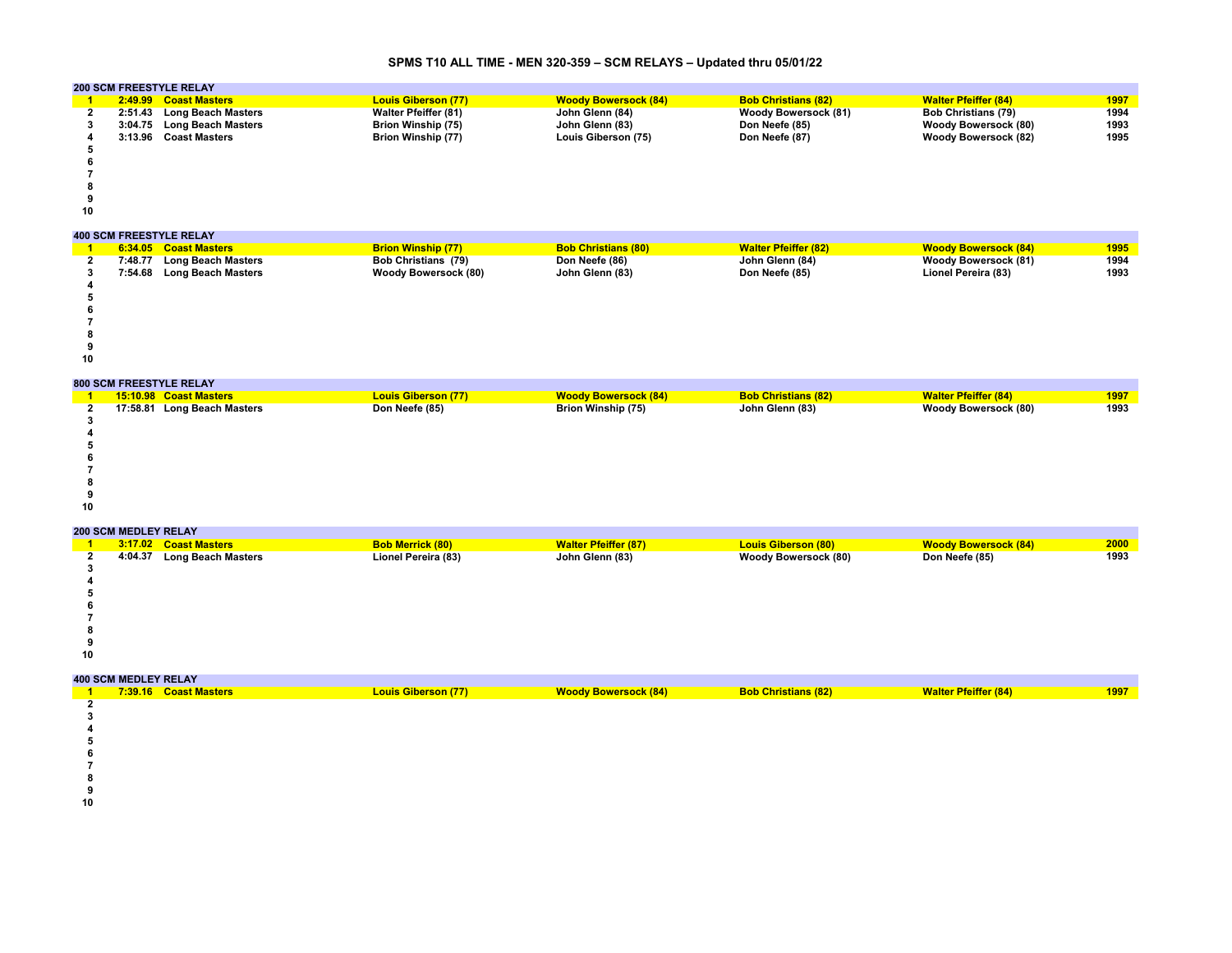### **SPMS T10 ALL TIME - MEN 320-359 – SCM RELAYS – Updated thru 05/01/22**

|    | <b>200 SCM FREESTYLE RELAY</b> |                                |                             |                             |                             |                             |      |  |  |  |
|----|--------------------------------|--------------------------------|-----------------------------|-----------------------------|-----------------------------|-----------------------------|------|--|--|--|
|    | 2:49.99                        | <b>Coast Masters</b>           | <b>Louis Giberson (77)</b>  | <b>Woody Bowersock (84)</b> | <b>Bob Christians (82)</b>  | <b>Walter Pfeiffer (84)</b> | 1997 |  |  |  |
|    | 2:51.43                        | <b>Long Beach Masters</b>      | <b>Walter Pfeiffer (81)</b> | John Glenn (84)             | <b>Woody Bowersock (81)</b> | <b>Bob Christians (79)</b>  | 1994 |  |  |  |
|    | 3:04.75                        | <b>Long Beach Masters</b>      | <b>Brion Winship (75)</b>   | John Glenn (83)             | Don Neefe (85)              | <b>Woody Bowersock (80)</b> | 1993 |  |  |  |
|    | 3:13.96                        | <b>Coast Masters</b>           | Brion Winship (77)          | Louis Giberson (75)         | Don Neefe (87)              | <b>Woody Bowersock (82)</b> | 1995 |  |  |  |
|    |                                |                                |                             |                             |                             |                             |      |  |  |  |
|    |                                |                                |                             |                             |                             |                             |      |  |  |  |
|    |                                |                                |                             |                             |                             |                             |      |  |  |  |
|    |                                |                                |                             |                             |                             |                             |      |  |  |  |
|    |                                |                                |                             |                             |                             |                             |      |  |  |  |
| 10 |                                |                                |                             |                             |                             |                             |      |  |  |  |
|    |                                | <b>400 SCM FREESTYLE RELAY</b> |                             |                             |                             |                             |      |  |  |  |
|    |                                |                                |                             |                             |                             |                             |      |  |  |  |
|    | 6:34.05                        | <b>Coast Masters</b>           | <b>Brion Winship (77)</b>   | <b>Bob Christians (80)</b>  | <b>Walter Pfeiffer (82)</b> | <b>Woody Bowersock (84)</b> | 1995 |  |  |  |
|    | 7:48.77                        | <b>Long Beach Masters</b>      | Bob Christians (79)         | Don Neefe (86)              | John Glenn (84)             | <b>Woody Bowersock (81)</b> | 1994 |  |  |  |
|    | 7:54.68                        | <b>Long Beach Masters</b>      | <b>Woody Bowersock (80)</b> | John Glenn (83)             | Don Neefe (85)              | Lionel Pereira (83)         | 1993 |  |  |  |
|    |                                |                                |                             |                             |                             |                             |      |  |  |  |
|    |                                |                                |                             |                             |                             |                             |      |  |  |  |
|    |                                |                                |                             |                             |                             |                             |      |  |  |  |
|    |                                |                                |                             |                             |                             |                             |      |  |  |  |
|    |                                |                                |                             |                             |                             |                             |      |  |  |  |
|    |                                |                                |                             |                             |                             |                             |      |  |  |  |
| 10 |                                |                                |                             |                             |                             |                             |      |  |  |  |
|    |                                | <b>800 SCM FREESTYLE RELAY</b> |                             |                             |                             |                             |      |  |  |  |
|    |                                | 15:10.98 Coast Masters         | Louie Giboreon (77)         | <b>Woody Rowareock (84)</b> | <b>Roh Chrietiane (82)</b>  | <b>Walter Dfeiffer (84)</b> | 1997 |  |  |  |

|    | 15:10.98 Coast Masters      | <b>Louis Giberson (77)</b> | <b>Woody Bowersock (84)</b> | <b>Bob Christians (82)</b> | <b>Walter Pfeiffer (84)</b> | 1997 |
|----|-----------------------------|----------------------------|-----------------------------|----------------------------|-----------------------------|------|
|    | 17:58.81 Long Beach Masters | Don Neefe (85)             | <b>Brion Winship (75)</b>   | John Glenn (83)            | <b>Woody Bowersock (80)</b> | 1993 |
|    |                             |                            |                             |                            |                             |      |
|    |                             |                            |                             |                            |                             |      |
|    |                             |                            |                             |                            |                             |      |
|    |                             |                            |                             |                            |                             |      |
|    |                             |                            |                             |                            |                             |      |
|    |                             |                            |                             |                            |                             |      |
|    |                             |                            |                             |                            |                             |      |
| 10 |                             |                            |                             |                            |                             |      |

#### **200 SCM MEDLEY RELAY**

|    | ZUU SUM MEDLET KELAT |                            |                         |                             |                             |                             |      |  |  |  |  |  |
|----|----------------------|----------------------------|-------------------------|-----------------------------|-----------------------------|-----------------------------|------|--|--|--|--|--|
|    |                      | 3:17.02 Coast Masters      | <b>Bob Merrick (80)</b> | <b>Walter Pfeiffer (87)</b> | <b>Louis Giberson (80)</b>  | <b>Woody Bowersock (84)</b> | 2000 |  |  |  |  |  |
|    |                      | 4:04.37 Long Beach Masters | Lionel Pereira (83)     | John Glenn (83)             | <b>Woody Bowersock (80)</b> | Don Neefe (85)              | 1993 |  |  |  |  |  |
|    |                      |                            |                         |                             |                             |                             |      |  |  |  |  |  |
|    |                      |                            |                         |                             |                             |                             |      |  |  |  |  |  |
|    |                      |                            |                         |                             |                             |                             |      |  |  |  |  |  |
|    |                      |                            |                         |                             |                             |                             |      |  |  |  |  |  |
|    |                      |                            |                         |                             |                             |                             |      |  |  |  |  |  |
|    |                      |                            |                         |                             |                             |                             |      |  |  |  |  |  |
|    |                      |                            |                         |                             |                             |                             |      |  |  |  |  |  |
| 10 |                      |                            |                         |                             |                             |                             |      |  |  |  |  |  |

| _____ | 7:39.16 Coast Masters | <b>Louis Giberson (77)</b> | <b>Woody Bowersock (84)</b> | <b>Bob Christians (82)</b> | <b>Walter Pfeiffer (84)</b> | 1997 |
|-------|-----------------------|----------------------------|-----------------------------|----------------------------|-----------------------------|------|
|       |                       |                            |                             |                            |                             |      |
|       |                       |                            |                             |                            |                             |      |
|       |                       |                            |                             |                            |                             |      |
|       |                       |                            |                             |                            |                             |      |
|       |                       |                            |                             |                            |                             |      |
|       |                       |                            |                             |                            |                             |      |
|       |                       |                            |                             |                            |                             |      |
|       |                       |                            |                             |                            |                             |      |
| 10    |                       |                            |                             |                            |                             |      |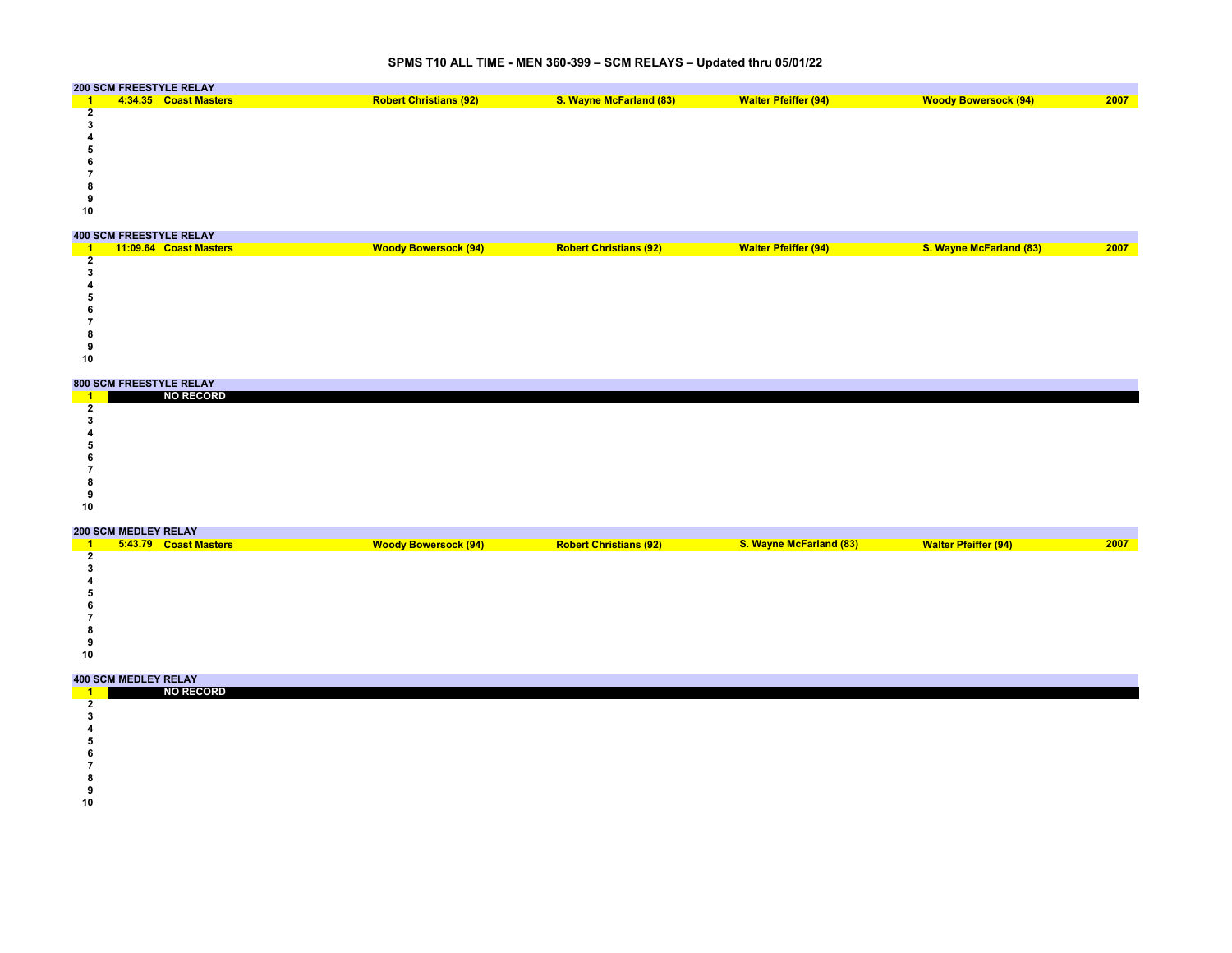### **SPMS T10 ALL TIME - MEN 360-399 – SCM RELAYS – Updated thru 05/01/22**

|     | <b>200 SCM FREESTYLE RELAY</b> |                               |                                |                             |                             |      |
|-----|--------------------------------|-------------------------------|--------------------------------|-----------------------------|-----------------------------|------|
|     | 4:34.35 Coast Masters          | <b>Robert Christians (92)</b> | <b>S. Wayne McFarland (83)</b> | <b>Walter Pfeiffer (94)</b> | <b>Woody Bowersock (94)</b> | 2007 |
|     |                                |                               |                                |                             |                             |      |
|     |                                |                               |                                |                             |                             |      |
|     |                                |                               |                                |                             |                             |      |
|     |                                |                               |                                |                             |                             |      |
|     |                                |                               |                                |                             |                             |      |
|     |                                |                               |                                |                             |                             |      |
|     |                                |                               |                                |                             |                             |      |
| -22 |                                |                               |                                |                             |                             |      |
| 10  |                                |                               |                                |                             |                             |      |
|     |                                |                               |                                |                             |                             |      |

#### **400 SCM FREESTYLE RELAY** over the the the second that is a second that the second that is a second that is a second that is a second that is a second that is a second that is a second that is a second that is a second that is a second that is a se **Coast Woody Bowersock (94)**

### **800 SCM FREESTYLE RELAY**

|    | <b>ONA AAM LIVEEALLEE IVEENT</b> |  |  |  |  |  |  |  |  |  |
|----|----------------------------------|--|--|--|--|--|--|--|--|--|
|    | <b>NO RECORD</b>                 |  |  |  |  |  |  |  |  |  |
|    |                                  |  |  |  |  |  |  |  |  |  |
|    |                                  |  |  |  |  |  |  |  |  |  |
|    |                                  |  |  |  |  |  |  |  |  |  |
|    |                                  |  |  |  |  |  |  |  |  |  |
|    |                                  |  |  |  |  |  |  |  |  |  |
|    |                                  |  |  |  |  |  |  |  |  |  |
|    |                                  |  |  |  |  |  |  |  |  |  |
|    |                                  |  |  |  |  |  |  |  |  |  |
| 10 |                                  |  |  |  |  |  |  |  |  |  |
|    |                                  |  |  |  |  |  |  |  |  |  |

#### **200 SCM MEDLEY RELAY**

|    | ZUU JUM MEDLEI RELAI |                       |                             |                               |                                |                             |      |
|----|----------------------|-----------------------|-----------------------------|-------------------------------|--------------------------------|-----------------------------|------|
|    |                      | 5:43.79 Coast Masters | <b>Woody Bowersock (94)</b> | <b>Robert Christians (92)</b> | <b>S. Wayne McFarland (83)</b> | <b>Walter Pfeiffer (94)</b> | 2007 |
|    |                      |                       |                             |                               |                                |                             |      |
|    |                      |                       |                             |                               |                                |                             |      |
|    |                      |                       |                             |                               |                                |                             |      |
|    |                      |                       |                             |                               |                                |                             |      |
|    |                      |                       |                             |                               |                                |                             |      |
|    |                      |                       |                             |                               |                                |                             |      |
|    |                      |                       |                             |                               |                                |                             |      |
|    |                      |                       |                             |                               |                                |                             |      |
| 10 |                      |                       |                             |                               |                                |                             |      |

| <b>NO RECORD</b> |  |  |  |  |  |  |  |  |
|------------------|--|--|--|--|--|--|--|--|
|                  |  |  |  |  |  |  |  |  |
|                  |  |  |  |  |  |  |  |  |
|                  |  |  |  |  |  |  |  |  |
|                  |  |  |  |  |  |  |  |  |
|                  |  |  |  |  |  |  |  |  |
|                  |  |  |  |  |  |  |  |  |

- **8**
- 
- 
-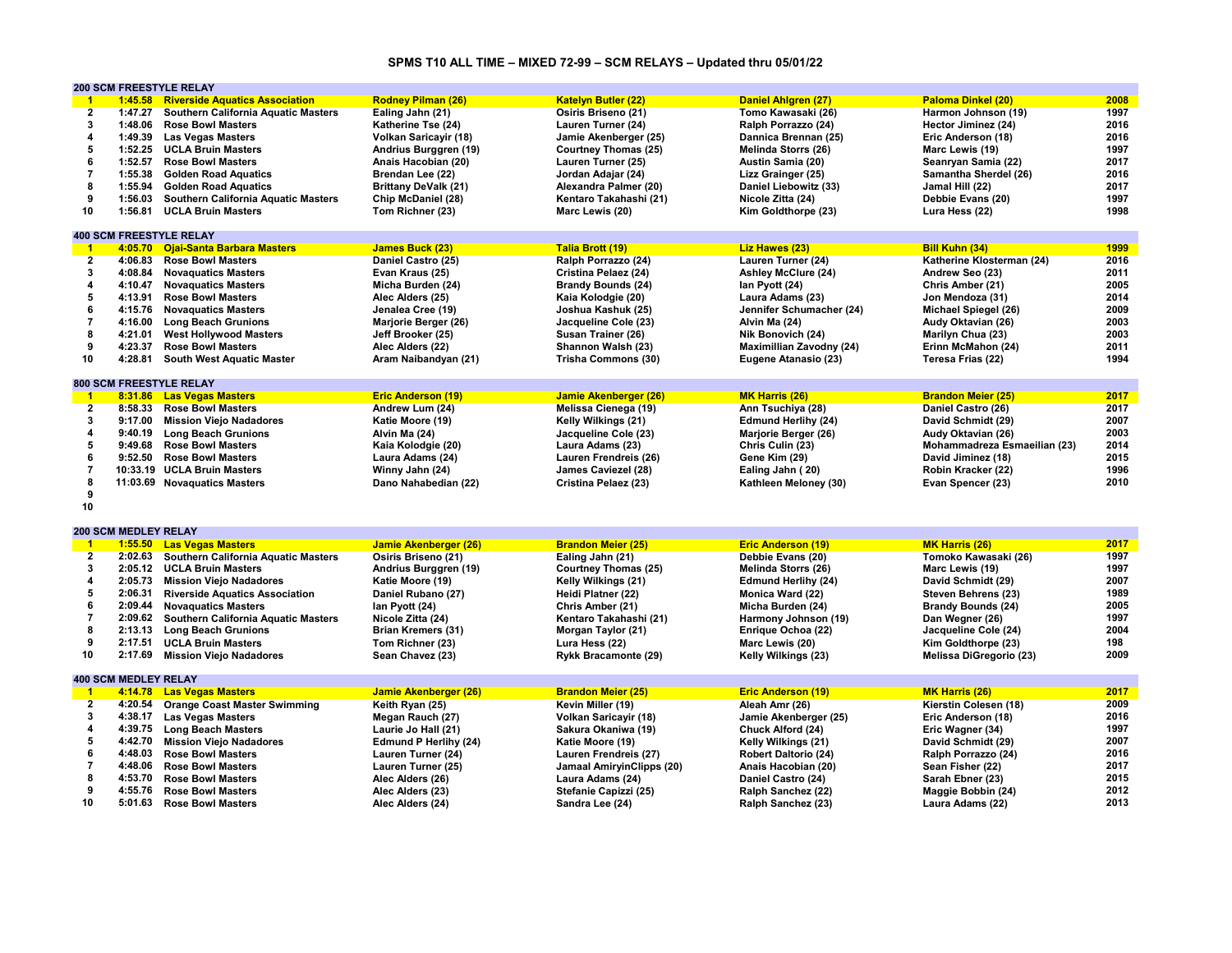# **SPMS T10 ALL TIME – MIXED 72-99 – SCM RELAYS – Updated thru 05/01/22**

|                         |                             | <b>200 SCM FREESTYLE RELAY</b>              |                              |                              |                                 |                                |      |
|-------------------------|-----------------------------|---------------------------------------------|------------------------------|------------------------------|---------------------------------|--------------------------------|------|
| $\mathbf{1}$            | 1:45.58                     | <b>Riverside Aquatics Association</b>       | <b>Rodney Pilman (26)</b>    | <b>Katelyn Butler (22)</b>   | Daniel Ahlgren (27)             | <b>Paloma Dinkel (20)</b>      | 2008 |
| $\overline{2}$          | 1:47.27                     | Southern California Aquatic Masters         | Ealing Jahn (21)             | Osiris Briseno (21)          | Tomo Kawasaki (26)              | Harmon Johnson (19)            | 1997 |
| $\mathbf{3}$            | 1:48.06                     | <b>Rose Bowl Masters</b>                    | Katherine Tse (24)           | Lauren Turner (24)           | Ralph Porrazzo (24)             | Hector Jiminez (24)            | 2016 |
| $\overline{\mathbf{4}}$ | 1:49.39                     | <b>Las Vegas Masters</b>                    | Volkan Saricayir (18)        | Jamie Akenberger (25)        | Dannica Brennan (25)            | Eric Anderson (18)             | 2016 |
| 5                       |                             | 1:52.25 UCLA Bruin Masters                  | Andrius Burggren (19)        | <b>Courtney Thomas (25)</b>  | Melinda Storrs (26)             | Marc Lewis (19)                | 1997 |
| 6                       | 1:52.57                     | <b>Rose Bowl Masters</b>                    | Anais Hacobian (20)          | Lauren Turner (25)           | Austin Samia (20)               | Seanryan Samia (22)            | 2017 |
| $\overline{7}$          | 1:55.38                     | <b>Golden Road Aquatics</b>                 | Brendan Lee (22)             | Jordan Adajar (24)           | Lizz Grainger (25)              | Samantha Sherdel (26)          | 2016 |
| 8                       | 1:55.94                     | <b>Golden Road Aquatics</b>                 | <b>Brittany DeValk (21)</b>  | Alexandra Palmer (20)        | Daniel Liebowitz (33)           | Jamal Hill (22)                | 2017 |
| 9                       | 1:56.03                     | Southern California Aquatic Masters         | Chip McDaniel (28)           | Kentaro Takahashi (21)       | Nicole Zitta (24)               | Debbie Evans (20)              | 1997 |
| 10                      | 1:56.81                     |                                             |                              |                              |                                 |                                | 1998 |
|                         |                             | <b>UCLA Bruin Masters</b>                   | Tom Richner (23)             | Marc Lewis (20)              | Kim Goldthorpe (23)             | Lura Hess (22)                 |      |
|                         |                             |                                             |                              |                              |                                 |                                |      |
|                         |                             | <b>400 SCM FREESTYLE RELAY</b>              |                              |                              |                                 |                                |      |
| $\blacktriangleleft$    | 4:05.70                     | <b>Ojai-Santa Barbara Masters</b>           | <b>James Buck (23)</b>       | <b>Talia Brott (19)</b>      | Liz Hawes (23)                  | <b>Bill Kuhn (34)</b>          | 1999 |
| $\overline{2}$          | 4:06.83                     | <b>Rose Bowl Masters</b>                    | Daniel Castro (25)           | Ralph Porrazzo (24)          | Lauren Turner (24)              | Katherine Klosterman (24)      | 2016 |
| 3                       | 4:08.84                     | <b>Novaquatics Masters</b>                  | Evan Kraus (25)              | Cristina Pelaez (24)         | <b>Ashley McClure (24)</b>      | Andrew Seo (23)                | 2011 |
| $\overline{4}$          | 4:10.47                     | <b>Novaquatics Masters</b>                  | Micha Burden (24)            | <b>Brandy Bounds (24)</b>    | lan Pyott (24)                  | Chris Amber (21)               | 2005 |
| 5                       | 4:13.91                     | <b>Rose Bowl Masters</b>                    | Alec Alders (25)             | Kaia Kolodgie (20)           | Laura Adams (23)                | Jon Mendoza (31)               | 2014 |
| 6                       | 4:15.76                     | <b>Novaguatics Masters</b>                  | Jenalea Cree (19)            | Joshua Kashuk (25)           | Jennifer Schumacher (24)        | Michael Spiegel (26)           | 2009 |
| $\overline{7}$          | 4:16.00                     | <b>Long Beach Grunions</b>                  | Marjorie Berger (26)         | Jacqueline Cole (23)         | Alvin Ma (24)                   | Audy Oktavian (26)             | 2003 |
| 8                       | 4:21.01                     | <b>West Hollywood Masters</b>               | Jeff Brooker (25)            | Susan Trainer (26)           | Nik Bonovich (24)               | Marilyn Chua (23)              | 2003 |
| 9                       | 4:23.37                     | <b>Rose Bowl Masters</b>                    | Alec Alders (22)             | Shannon Walsh (23)           | <b>Maximillian Zavodny (24)</b> | Erinn McMahon (24)             | 2011 |
| 10                      | 4:28.81                     | <b>South West Aquatic Master</b>            | Aram Naibandyan (21)         | Trisha Commons (30)          | Eugene Atanasio (23)            | Teresa Frias (22)              | 1994 |
|                         |                             |                                             |                              |                              |                                 |                                |      |
|                         |                             | 800 SCM FREESTYLE RELAY                     |                              |                              |                                 |                                |      |
| $\mathbf{1}$            |                             | 8:31.86 Las Vegas Masters                   | <b>Eric Anderson (19)</b>    | Jamie Akenberger (26)        | <b>MK Harris (26)</b>           | <b>Brandon Meier (25)</b>      | 2017 |
| $\overline{2}$          | 8:58.33                     | <b>Rose Bowl Masters</b>                    | Andrew Lum (24)              | Melissa Cienega (19)         | Ann Tsuchiya (28)               | Daniel Castro (26)             | 2017 |
| 3                       |                             |                                             |                              |                              |                                 |                                | 2007 |
|                         | 9:17.00                     | <b>Mission Viejo Nadadores</b>              | Katie Moore (19)             | Kelly Wilkings (21)          | <b>Edmund Herlihy (24)</b>      | David Schmidt (29)             |      |
| $\overline{\mathbf{4}}$ | 9:40.19                     | <b>Long Beach Grunions</b>                  | Alvin Ma (24)                | Jacqueline Cole (23)         | Marjorie Berger (26)            | Audy Oktavian (26)             | 2003 |
| 5                       | 9:49.68                     | <b>Rose Bowl Masters</b>                    | Kaia Kolodgie (20)           | Laura Adams (23)             | Chris Culin (23)                | Mohammadreza Esmaeilian (23)   | 2014 |
| 6                       | 9:52.50                     | <b>Rose Bowl Masters</b>                    | Laura Adams (24)             | Lauren Frendreis (26)        | Gene Kim (29)                   | David Jiminez (18)             | 2015 |
| $\overline{7}$          |                             | 10:33.19 UCLA Bruin Masters                 | Winny Jahn (24)              | James Caviezel (28)          | Ealing Jahn (20)                | Robin Kracker (22)             | 1996 |
| 8                       |                             | 11:03.69 Novaquatics Masters                | Dano Nahabedian (22)         | Cristina Pelaez (23)         | Kathleen Meloney (30)           | Evan Spencer (23)              | 2010 |
| 9                       |                             |                                             |                              |                              |                                 |                                |      |
| 10                      |                             |                                             |                              |                              |                                 |                                |      |
|                         |                             |                                             |                              |                              |                                 |                                |      |
|                         | <b>200 SCM MEDLEY RELAY</b> |                                             |                              |                              |                                 |                                |      |
| $\mathbf{1}$            |                             | 1:55.50 Las Vegas Masters                   | Jamie Akenberger (26)        | <b>Brandon Meier (25)</b>    | <b>Eric Anderson (19)</b>       | <b>MK Harris (26)</b>          | 2017 |
| $\overline{2}$          |                             | 2:02.63 Southern California Aquatic Masters | Osiris Briseno (21)          | Ealing Jahn (21)             | Debbie Evans (20)               | Tomoko Kawasaki (26)           | 1997 |
| 3                       |                             | 2:05.12 UCLA Bruin Masters                  | Andrius Burggren (19)        | <b>Courtney Thomas (25)</b>  | Melinda Storrs (26)             | Marc Lewis (19)                | 1997 |
| $\overline{4}$          | 2:05.73                     | <b>Mission Viejo Nadadores</b>              | Katie Moore (19)             | Kelly Wilkings (21)          | <b>Edmund Herlihy (24)</b>      | David Schmidt (29)             | 2007 |
| 5                       | 2:06.31                     | <b>Riverside Aquatics Association</b>       | Daniel Rubano (27)           | Heidi Platner (22)           | Monica Ward (22)                | Steven Behrens (23)            | 1989 |
| 6                       | 2:09.44                     | <b>Novaguatics Masters</b>                  |                              |                              |                                 |                                | 2005 |
|                         |                             |                                             | lan Pyott (24)               | Chris Amber (21)             | Micha Burden (24)               | <b>Brandy Bounds (24)</b>      |      |
| $\overline{7}$          | 2:09.62                     | Southern California Aquatic Masters         | Nicole Zitta (24)            | Kentaro Takahashi (21)       | Harmony Johnson (19)            | Dan Wegner (26)                | 1997 |
| 8                       | 2:13.13                     | <b>Long Beach Grunions</b>                  | <b>Brian Kremers (31)</b>    | Morgan Taylor (21)           | Enrique Ochoa (22)              | Jacqueline Cole (24)           | 2004 |
| 9                       | 2:17.51                     | <b>UCLA Bruin Masters</b>                   | Tom Richner (23)             | Lura Hess (22)               | Marc Lewis (20)                 | Kim Goldthorpe (23)            | 198  |
| 10                      | 2:17.69                     | <b>Mission Viejo Nadadores</b>              | Sean Chavez (23)             | <b>Rykk Bracamonte (29)</b>  | Kelly Wilkings (23)             | <b>Melissa DiGregorio (23)</b> | 2009 |
|                         |                             |                                             |                              |                              |                                 |                                |      |
|                         | <b>400 SCM MEDLEY RELAY</b> |                                             |                              |                              |                                 |                                |      |
| $\blacktriangleleft$    | 4:14.78                     | <b>Las Vegas Masters</b>                    | <b>Jamie Akenberger (26)</b> | <b>Brandon Meier (25)</b>    | <b>Eric Anderson (19)</b>       | MK Harris (26)                 | 2017 |
| $\overline{2}$          | 4:20.54                     | <b>Orange Coast Master Swimming</b>         | Keith Ryan (25)              | Kevin Miller (19)            | Aleah Amr (26)                  | Kierstin Colesen (18)          | 2009 |
| $\mathbf{3}$            | 4:38.17                     | <b>Las Vegas Masters</b>                    | Megan Rauch (27)             | <b>Volkan Saricayir (18)</b> | Jamie Akenberger (25)           | Eric Anderson (18)             | 2016 |
| $\overline{\mathbf{4}}$ |                             | 4:39.75 Long Beach Masters                  | Laurie Jo Hall (21)          | Sakura Okaniwa (19)          | Chuck Alford (24)               | Eric Wagner (34)               | 1997 |
| 5                       | 4:42.70                     | <b>Mission Viejo Nadadores</b>              | <b>Edmund P Herlihy (24)</b> | Katie Moore (19)             | Kelly Wilkings (21)             | David Schmidt (29)             | 2007 |
| 6                       | 4:48.03                     | <b>Rose Bowl Masters</b>                    | Lauren Turner (24)           | Lauren Frendreis (27)        | <b>Robert Daltorio (24)</b>     | Ralph Porrazzo (24)            | 2016 |
| $\overline{7}$          | 4:48.06                     | <b>Rose Bowl Masters</b>                    | Lauren Turner (25)           | Jamaal AmiryinClipps (20)    | Anais Hacobian (20)             | Sean Fisher (22)               | 2017 |
| 8                       | 4:53.70                     |                                             |                              |                              |                                 |                                | 2015 |
| 9                       |                             | <b>Rose Bowl Masters</b>                    | Alec Alders (26)             | Laura Adams (24)             | Daniel Castro (24)              | Sarah Ebner (23)               |      |
|                         | 4:55.76                     | <b>Rose Bowl Masters</b>                    | Alec Alders (23)             | Stefanie Capizzi (25)        | Ralph Sanchez (22)              | Maggie Bobbin (24)             | 2012 |
| 10                      | 5:01.63                     | <b>Rose Bowl Masters</b>                    | Alec Alders (24)             | Sandra Lee (24)              | Ralph Sanchez (23)              | Laura Adams (22)               | 2013 |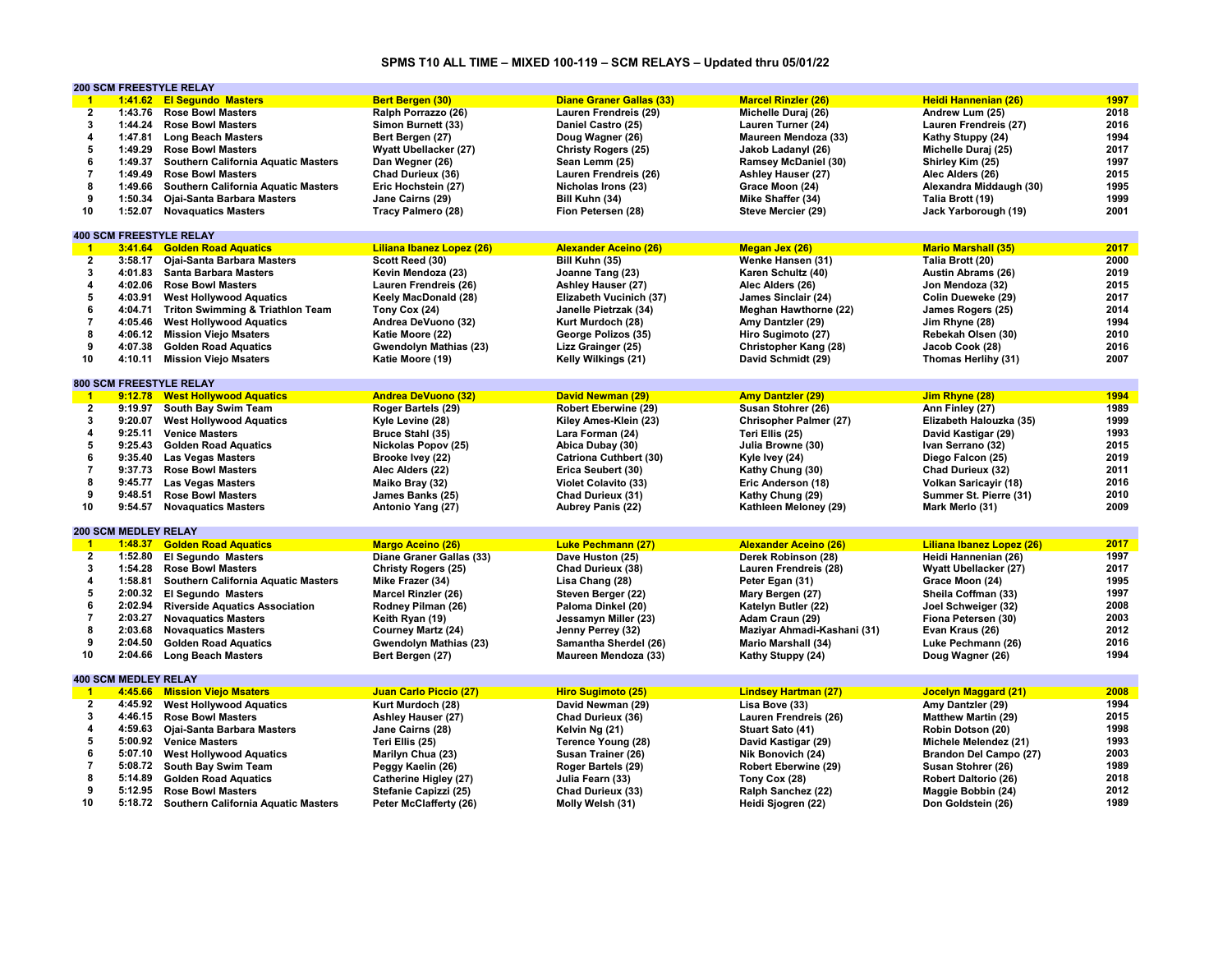## **SPMS T10 ALL TIME – MIXED 100-119 – SCM RELAYS – Updated thru 05/01/22**

|                         | <b>200 SCM FREESTYLE RELAY</b> |                                             |                            |                                 |                              |                              |      |
|-------------------------|--------------------------------|---------------------------------------------|----------------------------|---------------------------------|------------------------------|------------------------------|------|
| $^{\circ}$ 1            |                                | 1:41.62 El Segundo Masters                  | Bert Bergen (30)           | <b>Diane Graner Gallas (33)</b> | <b>Marcel Rinzler (26)</b>   | Heidi Hannenian (26)         | 1997 |
| $\overline{2}$          | 1:43.76                        | <b>Rose Bowl Masters</b>                    | Ralph Porrazzo (26)        | Lauren Frendreis (29)           | Michelle Duraj (26)          | Andrew Lum (25)              | 2018 |
| 3                       | 1:44.24                        | <b>Rose Bowl Masters</b>                    | Simon Burnett (33)         | Daniel Castro (25)              | Lauren Turner (24)           | Lauren Frendreis (27)        | 2016 |
| 4                       | 1:47.81                        | <b>Long Beach Masters</b>                   | Bert Bergen (27)           | Doug Wagner (26)                | Maureen Mendoza (33)         | Kathy Stuppy (24)            | 1994 |
| 5                       | 1:49.29                        | <b>Rose Bowl Masters</b>                    | Wyatt Ubellacker (27)      | Christy Rogers (25)             | Jakob Ladanyl (26)           | Michelle Duraj (25)          | 2017 |
| 6                       | 1:49.37                        | <b>Southern California Aquatic Masters</b>  | Dan Wegner (26)            | Sean Lemm (25)                  | <b>Ramsey McDaniel (30)</b>  | Shirley Kim (25)             | 1997 |
| $\overline{7}$          | 1:49.49                        | <b>Rose Bowl Masters</b>                    | Chad Durieux (36)          | Lauren Frendreis (26)           | Ashley Hauser (27)           | Alec Alders (26)             | 2015 |
|                         |                                |                                             |                            |                                 |                              |                              |      |
| 8                       | 1:49.66                        | Southern California Aquatic Masters         | Eric Hochstein (27)        | Nicholas Irons (23)             | Grace Moon (24)              | Alexandra Middaugh (30)      | 1995 |
| 9                       | 1:50.34                        | Ojai-Santa Barbara Masters                  | Jane Cairns (29)           | Bill Kuhn (34)                  | Mike Shaffer (34)            | Talia Brott (19)             | 1999 |
| 10                      | 1:52.07                        | <b>Novaquatics Masters</b>                  | Tracy Palmero (28)         | Fion Petersen (28)              | Steve Mercier (29)           | Jack Yarborough (19)         | 2001 |
|                         |                                |                                             |                            |                                 |                              |                              |      |
|                         | <b>400 SCM FREESTYLE RELAY</b> |                                             |                            |                                 |                              |                              |      |
| $\mathbf{1}$            | 3:41.64                        | <b>Golden Road Aquatics</b>                 | Liliana Ibanez Lopez (26)  | <b>Alexander Aceino (26)</b>    | Megan Jex (26)               | <b>Mario Marshall (35)</b>   | 2017 |
| $\overline{2}$          | 3:58.17                        | Ojai-Santa Barbara Masters                  | Scott Reed (30)            | Bill Kuhn (35)                  | Wenke Hansen (31)            | Talia Brott (20)             | 2000 |
| 3                       | 4:01.83                        | <b>Santa Barbara Masters</b>                | Kevin Mendoza (23)         | Joanne Tang (23)                | Karen Schultz (40)           | Austin Abrams (26)           | 2019 |
| 4                       |                                | 4:02.06 Rose Bowl Masters                   | Lauren Frendreis (26)      | Ashley Hauser (27)              | Alec Alders (26)             | Jon Mendoza (32)             | 2015 |
| 5                       | 4:03.91                        | <b>West Hollywood Aquatics</b>              | Keely MacDonald (28)       | Elizabeth Vucinich (37)         | James Sinclair (24)          | Colin Dueweke (29)           | 2017 |
| 6                       | 4:04.71                        | <b>Triton Swimming &amp; Triathlon Team</b> | Tony Cox (24)              | Janelle Pietrzak (34)           | Meghan Hawthorne (22)        | James Rogers (25)            | 2014 |
| $\overline{7}$          | 4:05.46                        | <b>West Hollywood Aquatics</b>              | Andrea DeVuono (32)        | Kurt Murdoch (28)               | Amy Dantzler (29)            | Jim Rhyne (28)               | 1994 |
| 8                       | 4:06.12                        | <b>Mission Viejo Msaters</b>                | Katie Moore (22)           | George Polizos (35)             | Hiro Sugimoto (27)           | Rebekah Olsen (30)           | 2010 |
| 9                       | 4:07.38                        | <b>Golden Road Aquatics</b>                 | Gwendolyn Mathias (23)     | Lizz Grainger (25)              | <b>Christopher Kang (28)</b> | Jacob Cook (28)              | 2016 |
| 10                      |                                |                                             |                            |                                 |                              |                              | 2007 |
|                         | 4:10.11                        | <b>Mission Viejo Msaters</b>                | Katie Moore (19)           | Kelly Wilkings (21)             | David Schmidt (29)           | Thomas Herlihy (31)          |      |
|                         |                                |                                             |                            |                                 |                              |                              |      |
|                         |                                | <b>800 SCM FREESTYLE RELAY</b>              |                            |                                 |                              |                              |      |
| $^{\circ}$ 1            |                                | 9:12.78 West Hollywood Aquatics             | <b>Andrea DeVuono (32)</b> | David Newman (29)               | <b>Amy Dantzler (29)</b>     | Jim Rhyne (28)               | 1994 |
| $\overline{2}$          |                                | 9:19.97 South Bay Swim Team                 | Roger Bartels (29)         | <b>Robert Eberwine (29)</b>     | Susan Stohrer (26)           | Ann Finley (27)              | 1989 |
| 3                       | 9:20.07                        | <b>West Hollywood Aquatics</b>              | Kyle Levine (28)           | Kiley Ames-Klein (23)           | Chrisopher Palmer (27)       | Elizabeth Halouzka (35)      | 1999 |
| 4                       | 9:25.11                        | <b>Venice Masters</b>                       | Bruce Stahl (35)           | Lara Forman (24)                | Teri Ellis (25)              | David Kastigar (29)          | 1993 |
| 5                       | 9:25.43                        | <b>Golden Road Aquatics</b>                 | Nickolas Popov (25)        | Abica Dubay (30)                | Julia Browne (30)            | Ivan Serrano (32)            | 2015 |
| 6                       |                                | 9:35.40 Las Vegas Masters                   | Brooke Ivey (22)           | <b>Catriona Cuthbert (30)</b>   | Kyle Ivey (24)               | Diego Falcon (25)            | 2019 |
| $\overline{7}$          | 9:37.73                        | <b>Rose Bowl Masters</b>                    | Alec Alders (22)           | Erica Seubert (30)              | Kathy Chung (30)             | Chad Durieux (32)            | 2011 |
| 8                       | 9:45.77                        | <b>Las Vegas Masters</b>                    | Maiko Bray (32)            | <b>Violet Colavito (33)</b>     | Eric Anderson (18)           | <b>Volkan Saricayir (18)</b> | 2016 |
| 9                       | 9:48.51                        | <b>Rose Bowl Masters</b>                    | James Banks (25)           | Chad Durieux (31)               | Kathy Chung (29)             | Summer St. Pierre (31)       | 2010 |
| 10                      | 9:54.57                        | <b>Novaquatics Masters</b>                  | Antonio Yang (27)          | Aubrey Panis (22)               | Kathleen Meloney (29)        | Mark Merlo (31)              | 2009 |
|                         |                                |                                             |                            |                                 |                              |                              |      |
|                         | <b>200 SCM MEDLEY RELAY</b>    |                                             |                            |                                 |                              |                              |      |
|                         |                                |                                             |                            |                                 |                              |                              |      |
| $\blacktriangleleft$    | 1:48.37                        | <b>Golden Road Aquatics</b>                 | <b>Margo Aceino (26)</b>   | <b>Luke Pechmann (27)</b>       | <b>Alexander Aceino (26)</b> | Liliana Ibanez Lopez (26)    | 2017 |
| $\overline{2}$          |                                | 1:52.80 El Segundo Masters                  | Diane Graner Gallas (33)   | Dave Huston (25)                | Derek Robinson (28)          | Heidi Hannenian (26)         | 1997 |
| 3                       | 1:54.28                        | <b>Rose Bowl Masters</b>                    | <b>Christy Rogers (25)</b> | Chad Durieux (38)               | Lauren Frendreis (28)        | Wyatt Ubellacker (27)        | 2017 |
| 4                       | 1:58.81                        | <b>Southern California Aquatic Masters</b>  | Mike Frazer (34)           | Lisa Chang (28)                 | Peter Egan (31)              | Grace Moon (24)              | 1995 |
| 5                       | 2:00.32                        | <b>El Segundo Masters</b>                   | Marcel Rinzler (26)        | Steven Berger (22)              | Mary Bergen (27)             | Sheila Coffman (33)          | 1997 |
| 6                       | 2:02.94                        | <b>Riverside Aquatics Association</b>       | Rodney Pilman (26)         | Paloma Dinkel (20)              | Katelyn Butler (22)          | Joel Schweiger (32)          | 2008 |
| $\overline{7}$          | 2:03.27                        | <b>Novaquatics Masters</b>                  | Keith Ryan (19)            | Jessamyn Miller (23)            | Adam Craun (29)              | Fiona Petersen (30)          | 2003 |
| 8                       | 2:03.68                        | <b>Novaquatics Masters</b>                  | Courney Martz (24)         | Jenny Perrey (32)               | Maziyar Ahmadi-Kashani (31)  | Evan Kraus (26)              | 2012 |
| 9                       | 2:04.50                        | <b>Golden Road Aquatics</b>                 | Gwendolyn Mathias (23)     | Samantha Sherdel (26)           | <b>Mario Marshall (34)</b>   | Luke Pechmann (26)           | 2016 |
| 10                      | 2:04.66                        | <b>Long Beach Masters</b>                   | Bert Bergen (27)           | Maureen Mendoza (33)            | Kathy Stuppy (24)            | Doug Wagner (26)             | 1994 |
|                         |                                |                                             |                            |                                 |                              |                              |      |
|                         | <b>400 SCM MEDLEY RELAY</b>    |                                             |                            |                                 |                              |                              |      |
| $\blacksquare$ 1        |                                | 4:45.66 Mission Viejo Msaters               | Juan Carlo Piccio (27)     | <b>Hiro Sugimoto (25)</b>       | <b>Lindsey Hartman (27)</b>  | <b>Jocelyn Maggard (21)</b>  | 2008 |
| $\overline{2}$          | 4:45.92                        |                                             |                            |                                 |                              |                              | 1994 |
|                         |                                | <b>West Hollywood Aquatics</b>              | Kurt Murdoch (28)          | David Newman (29)               | Lisa Bove (33)               | Amy Dantzler (29)            |      |
| 3                       | 4:46.15                        | <b>Rose Bowl Masters</b>                    | Ashley Hauser (27)         | Chad Durieux (36)               | Lauren Frendreis (26)        | <b>Matthew Martin (29)</b>   | 2015 |
| $\overline{\mathbf{4}}$ | 4:59.63                        | <b>Ojai-Santa Barbara Masters</b>           | Jane Cairns (28)           | Kelvin Ng (21)                  | Stuart Sato (41)             | Robin Dotson (20)            | 1998 |
| 5                       |                                | 5:00.92 Venice Masters                      | Teri Ellis (25)            | Terence Young (28)              | David Kastigar (29)          | Michele Melendez (21)        | 1993 |
| 6                       | 5:07.10                        | <b>West Hollywood Aquatics</b>              | Marilyn Chua (23)          | Susan Trainer (26)              | Nik Bonovich (24)            | Brandon Del Campo (27)       | 2003 |
| $\overline{7}$          | 5:08.72                        | South Bay Swim Team                         | Peggy Kaelin (26)          | Roger Bartels (29)              | Robert Eberwine (29)         | Susan Stohrer (26)           | 1989 |
| 8                       | 5:14.89                        | <b>Golden Road Aquatics</b>                 | Catherine Higley (27)      | Julia Fearn (33)                | Tony Cox (28)                | Robert Daltorio (26)         | 2018 |
| 9                       |                                | 5:12.95 Rose Bowl Masters                   | Stefanie Capizzi (25)      | Chad Durieux (33)               | Ralph Sanchez (22)           | Maggie Bobbin (24)           | 2012 |
| 10                      |                                | 5:18.72 Southern California Aquatic Masters | Peter McClafferty (26)     | Molly Welsh (31)                | Heidi Sjogren (22)           | Don Goldstein (26)           | 1989 |
|                         |                                |                                             |                            |                                 |                              |                              |      |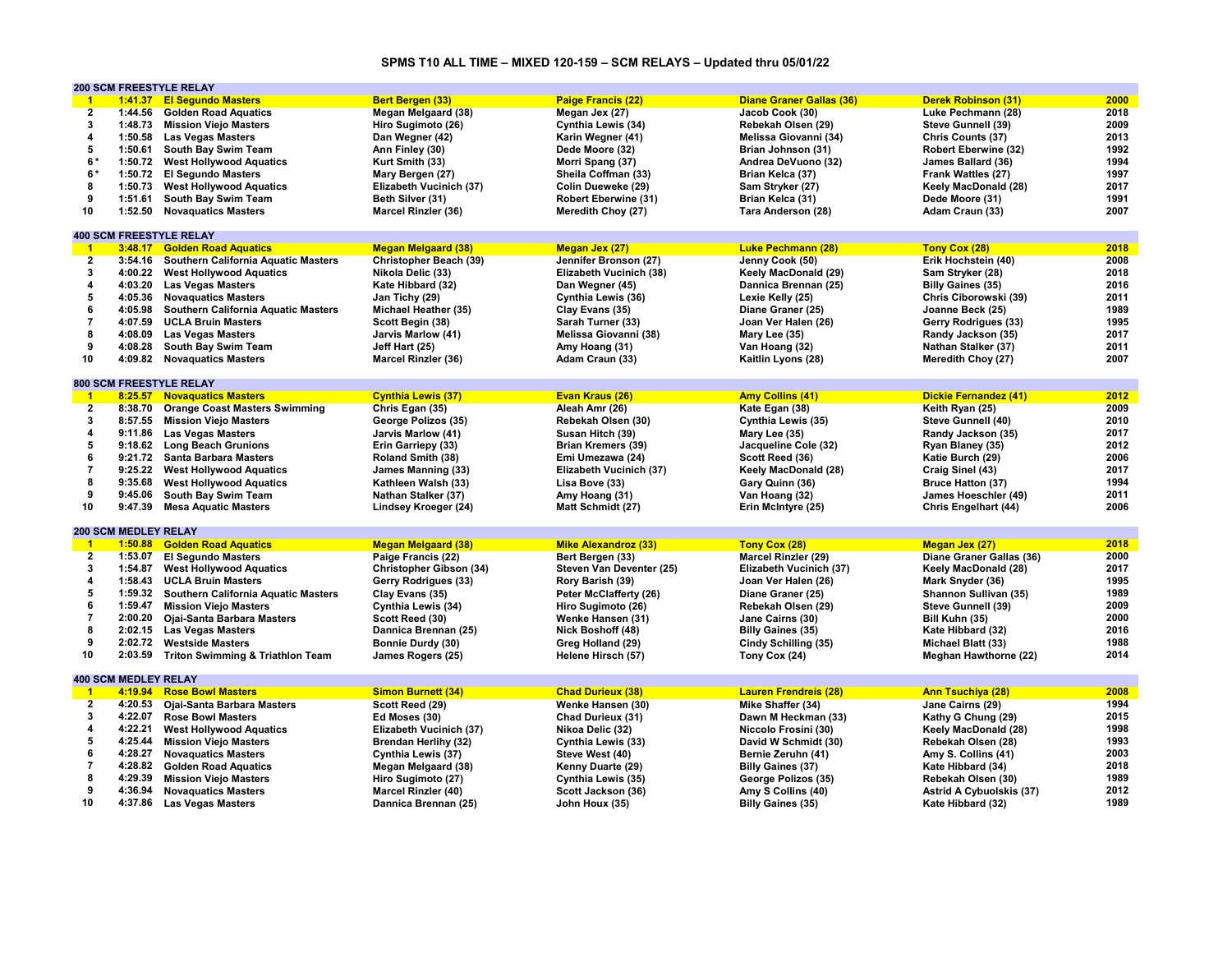# **SPMS T10 ALL TIME – MIXED 120-159 – SCM RELAYS – Updated thru 05/01/22**

|                         |                             | <b>200 SCM FREESTYLE RELAY</b>              |                             |                             |                                 |                                 |      |
|-------------------------|-----------------------------|---------------------------------------------|-----------------------------|-----------------------------|---------------------------------|---------------------------------|------|
| $\blacksquare$          | 1:41.37                     | <b>El Segundo Masters</b>                   | <b>Bert Bergen (33)</b>     | <b>Paige Francis (22)</b>   | <b>Diane Graner Gallas (36)</b> | <b>Derek Robinson (31)</b>      | 2000 |
| $\overline{2}$          | 1:44.56                     | <b>Golden Road Aquatics</b>                 | <b>Megan Melgaard (38)</b>  | Megan Jex (27)              | Jacob Cook (30)                 | Luke Pechmann (28)              | 2018 |
| 3                       | 1:48.73                     | <b>Mission Viejo Masters</b>                | Hiro Sugimoto (26)          | Cynthia Lewis (34)          | Rebekah Olsen (29)              | Steve Gunnell (39)              | 2009 |
| 4                       |                             | 1:50.58 Las Vegas Masters                   | Dan Wegner (42)             | Karin Wegner (41)           | Melissa Giovanni (34)           | Chris Counts (37)               | 2013 |
| 5                       |                             | 1:50.61 South Bay Swim Team                 | Ann Finley (30)             | Dede Moore (32)             | Brian Johnson (31)              | Robert Eberwine (32)            | 1992 |
| 6*                      | 1:50.72                     | <b>West Hollywood Aquatics</b>              | Kurt Smith (33)             | Morri Spang (37)            | Andrea DeVuono (32)             | James Ballard (36)              | 1994 |
| 6*                      | 1:50.72                     | <b>El Segundo Masters</b>                   | Mary Bergen (27)            | Sheila Coffman (33)         | Brian Kelca (37)                | Frank Wattles (27)              | 1997 |
| 8                       |                             |                                             |                             |                             |                                 |                                 | 2017 |
|                         | 1:50.73                     | <b>West Hollywood Aquatics</b>              | Elizabeth Vucinich (37)     | Colin Dueweke (29)          | Sam Stryker (27)                | Keely MacDonald (28)            |      |
| 9                       | 1:51.61                     | South Bay Swim Team                         | Beth Silver (31)            | Robert Eberwine (31)        | Brian Kelca (31)                | Dede Moore (31)                 | 1991 |
| 10                      | 1:52.50                     | <b>Novaquatics Masters</b>                  | Marcel Rinzler (36)         | Meredith Choy (27)          | Tara Anderson (28)              | Adam Craun (33)                 | 2007 |
|                         |                             |                                             |                             |                             |                                 |                                 |      |
|                         |                             | <b>400 SCM FREESTYLE RELAY</b>              |                             |                             |                                 |                                 |      |
| $\mathbf{1}$            | 3:48.17                     | <b>Golden Road Aquatics</b>                 | <b>Megan Melgaard (38)</b>  | Megan Jex (27)              | <b>Luke Pechmann (28)</b>       | Tony Cox (28)                   | 2018 |
| $\overline{2}$          | 3:54.16                     | <b>Southern California Aquatic Masters</b>  | Christopher Beach (39)      | Jennifer Bronson (27)       | Jenny Cook (50)                 | Erik Hochstein (40)             | 2008 |
| 3                       | 4:00.22                     | <b>West Hollywood Aquatics</b>              | Nikola Delic (33)           | Elizabeth Vucinich (38)     | Keely MacDonald (29)            | Sam Stryker (28)                | 2018 |
| $\overline{\mathbf{4}}$ | 4:03.20                     | <b>Las Vegas Masters</b>                    | Kate Hibbard (32)           | Dan Wegner (45)             | Dannica Brennan (25)            | <b>Billy Gaines (35)</b>        | 2016 |
| 5                       | 4:05.36                     | <b>Novaquatics Masters</b>                  | Jan Tichy (29)              | Cynthia Lewis (36)          | Lexie Kelly (25)                | Chris Ciborowski (39)           | 2011 |
| 6                       | 4:05.98                     | <b>Southern California Aquatic Masters</b>  | Michael Heather (35)        | Clay Evans (35)             | Diane Graner (25)               | Joanne Beck (25)                | 1989 |
| $\overline{\mathbf{7}}$ | 4:07.59                     | <b>UCLA Bruin Masters</b>                   | Scott Begin (38)            | Sarah Turner (33)           | Joan Ver Halen (26)             | Gerry Rodrigues (33)            | 1995 |
| 8                       | 4:08.09                     | <b>Las Vegas Masters</b>                    | Jarvis Marlow (41)          | Melissa Giovanni (38)       | Mary Lee (35)                   | Randy Jackson (35)              | 2017 |
| 9                       |                             |                                             |                             |                             |                                 |                                 | 2011 |
|                         | 4:08.28                     | South Bay Swim Team                         | Jeff Hart (25)              | Amy Hoang (31)              | Van Hoang (32)                  | Nathan Stalker (37)             | 2007 |
| 10                      | 4:09.82                     | <b>Novaguatics Masters</b>                  | Marcel Rinzler (36)         | Adam Craun (33)             | Kaitlin Lyons (28)              | Meredith Choy (27)              |      |
|                         |                             |                                             |                             |                             |                                 |                                 |      |
|                         |                             | <b>800 SCM FREESTYLE RELAY</b>              |                             |                             |                                 |                                 |      |
| $-1$                    |                             | 8:25.57 Novaguatics Masters                 | <b>Cynthia Lewis (37)</b>   | Evan Kraus (26)             | <b>Amy Collins (41)</b>         | Dickie Fernandez (41)           | 2012 |
| $\overline{2}$          | 8:38.70                     | <b>Orange Coast Masters Swimming</b>        | Chris Egan (35)             | Aleah Amr (26)              | Kate Egan (38)                  | Keith Ryan (25)                 | 2009 |
| 3                       | 8:57.55                     | <b>Mission Viejo Masters</b>                | George Polizos (35)         | Rebekah Olsen (30)          | Cynthia Lewis (35)              | Steve Gunnell (40)              | 2010 |
| 4                       | 9:11.86                     | <b>Las Vegas Masters</b>                    | Jarvis Marlow (41)          | Susan Hitch (39)            | Mary Lee (35)                   | Randy Jackson (35)              | 2017 |
| 5                       |                             | 9:18.62 Long Beach Grunions                 | Erin Garriepy (33)          | <b>Brian Kremers (39)</b>   | Jacqueline Cole (32)            | Ryan Blaney (35)                | 2012 |
| 6                       | 9:21.72                     | <b>Santa Barbara Masters</b>                | Roland Smith (38)           | Emi Umezawa (24)            | Scott Reed (36)                 | Katie Burch (29)                | 2006 |
| $\overline{7}$          | 9:25.22                     | <b>West Hollywood Aquatics</b>              | James Manning (33)          | Elizabeth Vucinich (37)     | Keely MacDonald (28)            | Craig Sinel (43)                | 2017 |
| 8                       | 9:35.68                     | <b>West Hollywood Aquatics</b>              | Kathleen Walsh (33)         | Lisa Bove (33)              | Gary Quinn (36)                 | <b>Bruce Hatton (37)</b>        | 1994 |
| 9                       | 9:45.06                     | South Bay Swim Team                         | Nathan Stalker (37)         | Amy Hoang (31)              | Van Hoang (32)                  | James Hoeschler (49)            | 2011 |
| 10                      | 9:47.39                     | <b>Mesa Aquatic Masters</b>                 | Lindsey Kroeger (24)        | Matt Schmidt (27)           | Erin McIntyre (25)              | Chris Engelhart (44)            | 2006 |
|                         |                             |                                             |                             |                             |                                 |                                 |      |
|                         | <b>200 SCM MEDLEY RELAY</b> |                                             |                             |                             |                                 |                                 |      |
|                         |                             |                                             |                             |                             |                                 |                                 |      |
| $\overline{1}$          | 1:50.88                     | <b>Golden Road Aquatics</b>                 | <b>Megan Melgaard (38)</b>  | <b>Mike Alexandroz (33)</b> | Tony Cox (28)                   | Megan Jex (27)                  | 2018 |
| $\overline{2}$          |                             | 1:53.07 El Segundo Masters                  | Paige Francis (22)          | Bert Bergen (33)            | <b>Marcel Rinzler (29)</b>      | Diane Graner Gallas (36)        | 2000 |
| 3                       | 1:54.87                     | <b>West Hollywood Aquatics</b>              | Christopher Gibson (34)     | Steven Van Deventer (25)    | Elizabeth Vucinich (37)         | Keely MacDonald (28)            | 2017 |
| 4                       | 1:58.43                     | <b>UCLA Bruin Masters</b>                   | Gerry Rodrigues (33)        | Rory Barish (39)            | Joan Ver Halen (26)             | Mark Snyder (36)                | 1995 |
| 5                       | 1:59.32                     | <b>Southern California Aquatic Masters</b>  | Clay Evans (35)             | Peter McClafferty (26)      | Diane Graner (25)               | Shannon Sullivan (35)           | 1989 |
| 6                       | 1:59.47                     | <b>Mission Viejo Masters</b>                | Cynthia Lewis (34)          | Hiro Sugimoto (26)          | Rebekah Olsen (29)              | Steve Gunnell (39)              | 2009 |
| $\overline{7}$          | 2:00.20                     | <b>Ojai-Santa Barbara Masters</b>           | Scott Reed (30)             | Wenke Hansen (31)           | Jane Cairns (30)                | Bill Kuhn (35)                  | 2000 |
| 8                       | 2:02.15                     | <b>Las Vegas Masters</b>                    | Dannica Brennan (25)        | Nick Boshoff (48)           | <b>Billy Gaines (35)</b>        | Kate Hibbard (32)               | 2016 |
| 9                       | 2:02.72                     | <b>Westside Masters</b>                     | Bonnie Durdy (30)           | Greg Holland (29)           | Cindy Schilling (35)            | Michael Blatt (33)              | 1988 |
| 10                      | 2:03.59                     | <b>Triton Swimming &amp; Triathlon Team</b> | James Rogers (25)           | Helene Hirsch (57)          | Tony Cox (24)                   | <b>Meghan Hawthorne (22)</b>    | 2014 |
|                         |                             |                                             |                             |                             |                                 |                                 |      |
|                         | <b>400 SCM MEDLEY RELAY</b> |                                             |                             |                             |                                 |                                 |      |
| $\mathbf{1}$            | 4:19.94                     | <b>Rose Bowl Masters</b>                    | <b>Simon Burnett (34)</b>   | <b>Chad Durieux (38)</b>    | <b>Lauren Frendreis (28)</b>    | <b>Ann Tsuchiya (28)</b>        | 2008 |
| $\overline{2}$          | 4:20.53                     | <b>Ojai-Santa Barbara Masters</b>           | Scott Reed (29)             | Wenke Hansen (30)           | Mike Shaffer (34)               | Jane Cairns (29)                | 1994 |
|                         |                             |                                             |                             |                             |                                 |                                 |      |
| $\mathbf 3$             | 4:22.07                     | <b>Rose Bowl Masters</b>                    | Ed Moses (30)               | Chad Durieux (31)           | Dawn M Heckman (33)             | Kathy G Chung (29)              | 2015 |
| 4                       | 4:22.21                     | <b>West Hollywood Aquatics</b>              | Elizabeth Vucinich (37)     | Nikoa Delic (32)            | Niccolo Frosini (30)            | Keely MacDonald (28)            | 1998 |
| 5                       | 4:25.44                     | <b>Mission Viejo Masters</b>                | <b>Brendan Herlihy (32)</b> | Cynthia Lewis (33)          | David W Schmidt (30)            | Rebekah Olsen (28)              | 1993 |
| 6                       | 4:28.27                     | <b>Novaquatics Masters</b>                  | Cynthia Lewis (37)          | Steve West (40)             | Bernie Zeruhn (41)              | Amy S. Collins (41)             | 2003 |
| $\overline{7}$          | 4:28.82                     | <b>Golden Road Aquatics</b>                 | Megan Melgaard (38)         | Kenny Duarte (29)           | <b>Billy Gaines (37)</b>        | Kate Hibbard (34)               | 2018 |
| 8                       | 4:29.39                     | <b>Mission Viejo Masters</b>                | Hiro Sugimoto (27)          | Cynthia Lewis (35)          | George Polizos (35)             | Rebekah Olsen (30)              | 1989 |
| 9                       | 4:36.94                     | <b>Novaquatics Masters</b>                  | <b>Marcel Rinzler (40)</b>  | Scott Jackson (36)          | Amy S Collins (40)              | <b>Astrid A Cybuolskis (37)</b> | 2012 |
| 10                      | 4:37.86                     | <b>Las Vegas Masters</b>                    | Dannica Brennan (25)        | John Houx (35)              | <b>Billy Gaines (35)</b>        | Kate Hibbard (32)               | 1989 |
|                         |                             |                                             |                             |                             |                                 |                                 |      |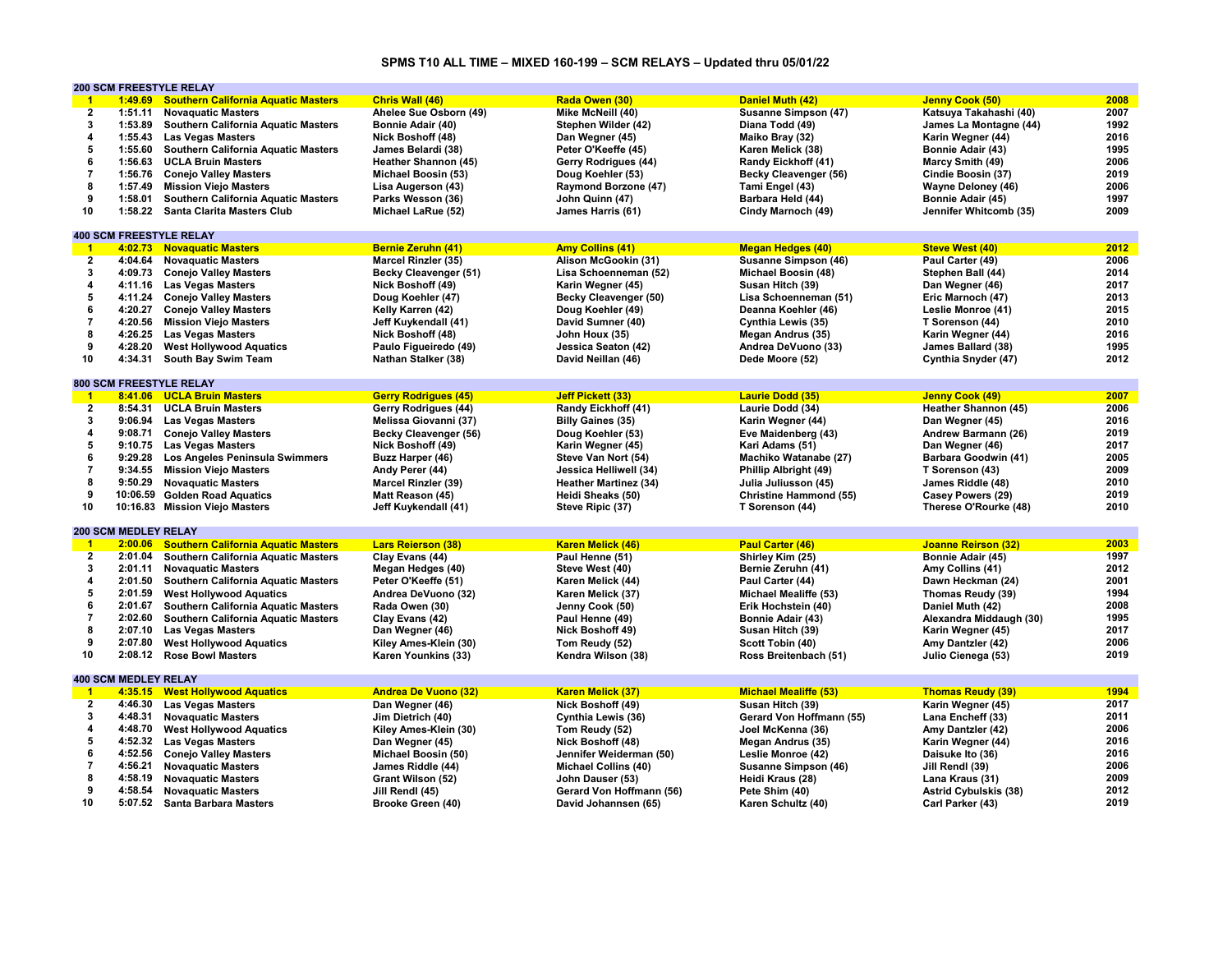# **SPMS T10 ALL TIME – MIXED 160-199 – SCM RELAYS – Updated thru 05/01/22**

|                         |                             | <b>200 SCM FREESTYLE RELAY</b>             |                             |                              |                               |                              |      |
|-------------------------|-----------------------------|--------------------------------------------|-----------------------------|------------------------------|-------------------------------|------------------------------|------|
| $^{\circ}$ 1            | 1:49.69                     | <b>Southern California Aquatic Masters</b> | Chris Wall (46)             | Rada Owen (30)               | <b>Daniel Muth (42)</b>       | Jenny Cook (50)              | 2008 |
| $\overline{2}$          | 1:51.11                     | <b>Novaquatic Masters</b>                  | Ahelee Sue Osborn (49)      | Mike McNeill (40)            | <b>Susanne Simpson (47)</b>   | Katsuya Takahashi (40)       | 2007 |
| $\mathbf{3}$            | 1:53.89                     | Southern California Aquatic Masters        | Bonnie Adair (40)           | Stephen Wilder (42)          | Diana Todd (49)               | James La Montagne (44)       | 1992 |
| 4                       | 1:55.43                     | <b>Las Vegas Masters</b>                   | Nick Boshoff (48)           | Dan Wegner (45)              | Maiko Bray (32)               | Karin Wegner (44)            | 2016 |
| 5                       | 1:55.60                     | Southern California Aquatic Masters        | James Belardi (38)          | Peter O'Keeffe (45)          | Karen Melick (38)             | Bonnie Adair (43)            | 1995 |
| 6                       | 1:56.63                     | <b>UCLA Bruin Masters</b>                  | Heather Shannon (45)        | Gerry Rodrigues (44)         | Randy Eickhoff (41)           | Marcy Smith (49)             | 2006 |
| $\overline{7}$          | 1:56.76                     | <b>Conejo Valley Masters</b>               | Michael Boosin (53)         | Doug Koehler (53)            | Becky Cleavenger (56)         | Cindie Boosin (37)           | 2019 |
| 8                       |                             |                                            |                             |                              |                               | <b>Wayne Deloney (46)</b>    | 2006 |
|                         | 1:57.49                     | <b>Mission Viejo Masters</b>               | Lisa Augerson (43)          | Raymond Borzone (47)         | Tami Engel (43)               |                              |      |
| 9                       | 1:58.01                     | <b>Southern California Aquatic Masters</b> | Parks Wesson (36)           | John Quinn (47)              | Barbara Held (44)             | Bonnie Adair (45)            | 1997 |
| 10                      | 1:58.22                     | <b>Santa Clarita Masters Club</b>          | Michael LaRue (52)          | James Harris (61)            | Cindy Marnoch (49)            | Jennifer Whitcomb (35)       | 2009 |
|                         |                             |                                            |                             |                              |                               |                              |      |
|                         |                             | <b>400 SCM FREESTYLE RELAY</b>             |                             |                              |                               |                              |      |
| $\blacksquare$          |                             | 4:02.73 Novaquatic Masters                 | <b>Bernie Zeruhn (41)</b>   | <b>Amy Collins (41)</b>      | <b>Megan Hedges (40)</b>      | <b>Steve West (40)</b>       | 2012 |
| $\overline{2}$          | 4:04.64                     | <b>Novaguatic Masters</b>                  | <b>Marcel Rinzler (35)</b>  | Alison McGookin (31)         | Susanne Simpson (46)          | Paul Carter (49)             | 2006 |
| 3                       | 4:09.73                     | <b>Conejo Valley Masters</b>               | Becky Cleavenger (51)       | Lisa Schoenneman (52)        | Michael Boosin (48)           | Stephen Ball (44)            | 2014 |
| $\overline{\mathbf{4}}$ |                             | 4:11.16 Las Vegas Masters                  | Nick Boshoff (49)           | Karin Wegner (45)            | Susan Hitch (39)              | Dan Wegner (46)              | 2017 |
| 5                       |                             | 4:11.24 Conejo Valley Masters              | Doug Koehler (47)           | Becky Cleavenger (50)        | Lisa Schoenneman (51)         | Eric Marnoch (47)            | 2013 |
| 6                       | 4:20.27                     | <b>Conejo Valley Masters</b>               | Kelly Karren (42)           | Doug Koehler (49)            | Deanna Koehler (46)           | Leslie Monroe (41)           | 2015 |
| $\overline{7}$          |                             | 4:20.56 Mission Viejo Masters              | Jeff Kuykendall (41)        | David Sumner (40)            | Cynthia Lewis (35)            | T Sorenson (44)              | 2010 |
| 8                       |                             | 4:26.25 Las Vegas Masters                  | Nick Boshoff (48)           | John Houx (35)               | Megan Andrus (35)             | Karin Wegner (44)            | 2016 |
| 9                       | 4:28.20                     | <b>West Hollywood Aquatics</b>             | Paulo Figueiredo (49)       | Jessica Seaton (42)          | Andrea DeVuono (33)           | James Ballard (38)           | 1995 |
| 10                      | 4:34.31                     | South Bay Swim Team                        | Nathan Stalker (38)         | David Neillan (46)           | Dede Moore (52)               | Cynthia Snyder (47)          | 2012 |
|                         |                             |                                            |                             |                              |                               |                              |      |
|                         |                             | <b>800 SCM FREESTYLE RELAY</b>             |                             |                              |                               |                              |      |
| $\blacksquare$          |                             | 8:41.06 UCLA Bruin Masters                 | <b>Gerry Rodrigues (45)</b> | Jeff Pickett (33)            | <b>Laurie Dodd (35)</b>       | Jenny Cook (49)              | 2007 |
| $\overline{2}$          |                             | 8:54.31 UCLA Bruin Masters                 | Gerry Rodrigues (44)        | Randy Eickhoff (41)          | Laurie Dodd (34)              | Heather Shannon (45)         | 2006 |
| 3                       |                             |                                            |                             |                              |                               |                              | 2016 |
|                         |                             | 9:06.94 Las Vegas Masters                  | Melissa Giovanni (37)       | <b>Billy Gaines (35)</b>     | Karin Wegner (44)             | Dan Wegner (45)              |      |
| 4                       | 9:08.71                     | <b>Conejo Valley Masters</b>               | Becky Cleavenger (56)       | Doug Koehler (53)            | Eve Maidenberg (43)           | Andrew Barmann (26)          | 2019 |
| 5                       |                             | 9:10.75 Las Vegas Masters                  | Nick Boshoff (49)           | Karin Wegner (45)            | Kari Adams (51)               | Dan Wegner (46)              | 2017 |
| 6                       | 9:29.28                     | Los Angeles Peninsula Swimmers             | Buzz Harper (46)            | Steve Van Nort (54)          | Machiko Watanabe (27)         | Barbara Goodwin (41)         | 2005 |
| $\overline{7}$          |                             | 9:34.55 Mission Viejo Masters              | Andy Perer (44)             | Jessica Helliwell (34)       | <b>Phillip Albright (49)</b>  | T Sorenson (43)              | 2009 |
| 8                       | 9:50.29                     | <b>Novaquatic Masters</b>                  | <b>Marcel Rinzler (39)</b>  | <b>Heather Martinez (34)</b> | Julia Juliusson (45)          | James Riddle (48)            | 2010 |
| 9                       |                             | 10:06.59 Golden Road Aquatics              | Matt Reason (45)            | Heidi Sheaks (50)            | <b>Christine Hammond (55)</b> | Casey Powers (29)            | 2019 |
| 10                      |                             | 10:16.83 Mission Viejo Masters             | Jeff Kuykendall (41)        | Steve Ripic (37)             | T Sorenson (44)               | Therese O'Rourke (48)        | 2010 |
|                         |                             |                                            |                             |                              |                               |                              |      |
|                         | <b>200 SCM MEDLEY RELAY</b> |                                            |                             |                              |                               |                              |      |
| $\mathbf{1}$            | 2:00.06                     | <b>Southern California Aquatic Masters</b> | <b>Lars Reierson (38)</b>   | <b>Karen Melick (46)</b>     | <b>Paul Carter (46)</b>       | <b>Joanne Reirson (32)</b>   | 2003 |
| $\overline{2}$          | 2:01.04                     | <b>Southern California Aquatic Masters</b> | Clay Evans (44)             | Paul Henne (51)              | Shirley Kim (25)              | Bonnie Adair (45)            | 1997 |
| 3                       |                             | 2:01.11 Novaguatic Masters                 | Megan Hedges (40)           | Steve West (40)              | Bernie Zeruhn (41)            | Amy Collins (41)             | 2012 |
| $\overline{\mathbf{4}}$ | 2:01.50                     | Southern California Aquatic Masters        | Peter O'Keeffe (51)         | Karen Melick (44)            | Paul Carter (44)              | Dawn Heckman (24)            | 2001 |
| 5                       | 2:01.59                     | <b>West Hollywood Aquatics</b>             | Andrea DeVuono (32)         | Karen Melick (37)            | <b>Michael Mealiffe (53)</b>  | Thomas Reudy (39)            | 1994 |
| 6                       | 2:01.67                     | Southern California Aquatic Masters        | Rada Owen (30)              | Jenny Cook (50)              | Erik Hochstein (40)           | Daniel Muth (42)             | 2008 |
| $\overline{7}$          | 2:02.60                     | Southern California Aquatic Masters        | Clay Evans (42)             | Paul Henne (49)              | <b>Bonnie Adair (43)</b>      | Alexandra Middaugh (30)      | 1995 |
| 8                       | 2:07.10                     | <b>Las Vegas Masters</b>                   | Dan Wegner (46)             | Nick Boshoff 49)             | Susan Hitch (39)              | Karin Wegner (45)            | 2017 |
| 9                       | 2:07.80                     | <b>West Hollywood Aquatics</b>             | Kiley Ames-Klein (30)       | Tom Reudy (52)               | Scott Tobin (40)              | Amy Dantzler (42)            | 2006 |
|                         |                             |                                            |                             |                              |                               |                              |      |
| 10                      |                             | 2:08.12 Rose Bowl Masters                  | Karen Younkins (33)         | Kendra Wilson (38)           | Ross Breitenbach (51)         | Julio Cienega (53)           | 2019 |
|                         |                             |                                            |                             |                              |                               |                              |      |
|                         | <b>400 SCM MEDLEY RELAY</b> |                                            |                             |                              |                               |                              |      |
| $\blacktriangleleft$    |                             | 4:35.15 West Hollywood Aquatics            | <b>Andrea De Vuono (32)</b> | <b>Karen Melick (37)</b>     | <b>Michael Mealiffe (53)</b>  | <b>Thomas Reudy (39)</b>     | 1994 |
| $\overline{2}$          |                             | 4:46.30 Las Vegas Masters                  | Dan Wegner (46)             | Nick Boshoff (49)            | Susan Hitch (39)              | Karin Wegner (45)            | 2017 |
| 3                       | 4:48.31                     | <b>Novaquatic Masters</b>                  | Jim Dietrich (40)           | Cynthia Lewis (36)           | Gerard Von Hoffmann (55)      | Lana Encheff (33)            | 2011 |
| 4                       | 4:48.70                     | <b>West Hollywood Aquatics</b>             | Kiley Ames-Klein (30)       | Tom Reudy (52)               | Joel McKenna (36)             | Amy Dantzler (42)            | 2006 |
| 5                       | 4:52.32                     | <b>Las Vegas Masters</b>                   | Dan Wegner (45)             | Nick Boshoff (48)            | Megan Andrus (35)             | Karin Wegner (44)            | 2016 |
| 6                       |                             | 4:52.56 Conejo Valley Masters              | Michael Boosin (50)         | Jennifer Weiderman (50)      | Leslie Monroe (42)            | Daisuke Ito (36)             | 2016 |
| $\overline{7}$          | 4:56.21                     | <b>Novaquatic Masters</b>                  | James Riddle (44)           | <b>Michael Collins (40)</b>  | Susanne Simpson (46)          | Jill Rendl (39)              | 2006 |
| 8                       | 4:58.19                     | <b>Novaguatic Masters</b>                  | Grant Wilson (52)           | John Dauser (53)             | Heidi Kraus (28)              | Lana Kraus (31)              | 2009 |
| 9                       | 4:58.54                     | <b>Novaquatic Masters</b>                  | Jill Rendl (45)             | Gerard Von Hoffmann (56)     | Pete Shim (40)                | <b>Astrid Cybulskis (38)</b> | 2012 |
| 10                      |                             | 5:07.52 Santa Barbara Masters              | Brooke Green (40)           | David Johannsen (65)         | Karen Schultz (40)            | Carl Parker (43)             | 2019 |
|                         |                             |                                            |                             |                              |                               |                              |      |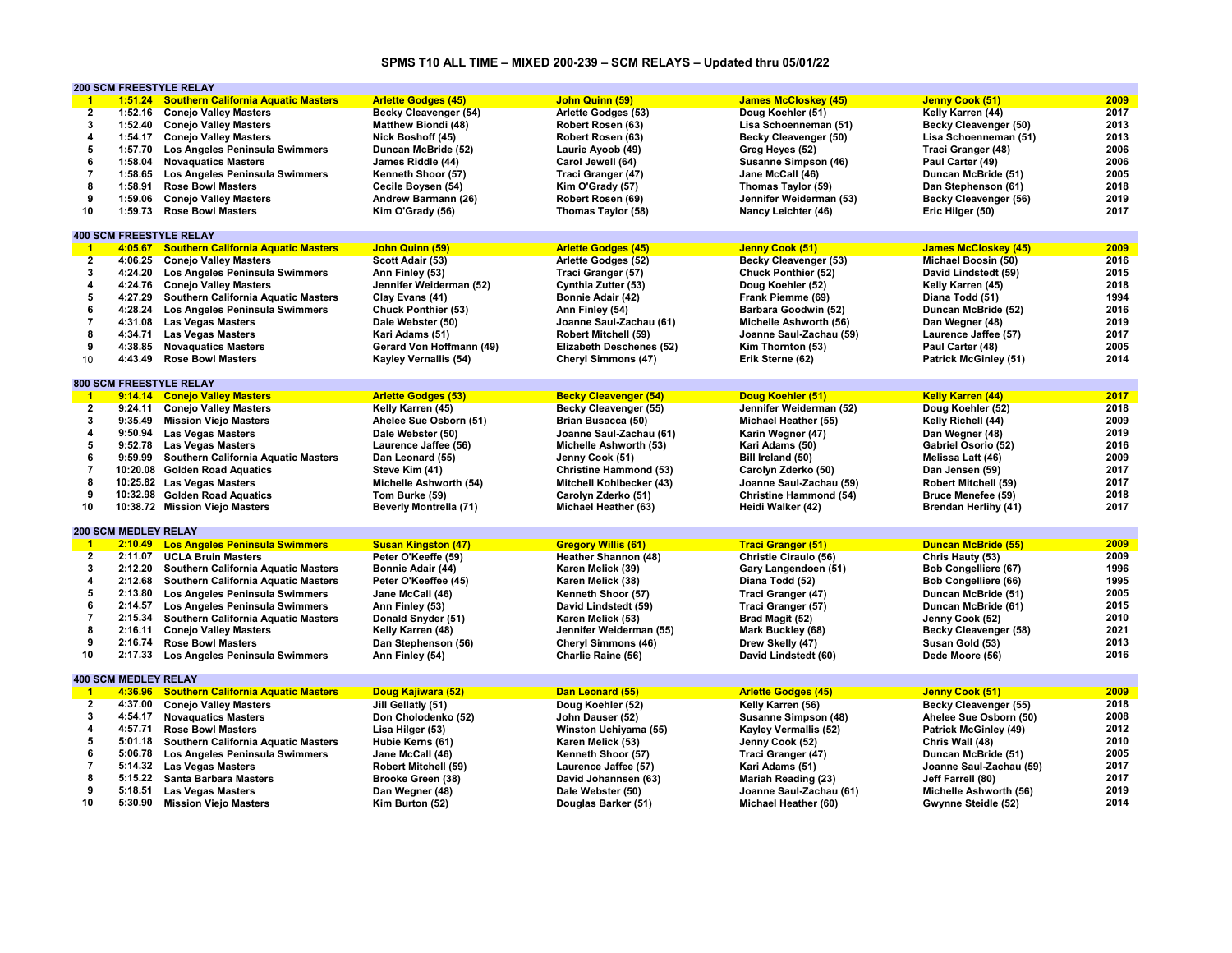# **SPMS T10 ALL TIME – MIXED 200-239 – SCM RELAYS – Updated thru 05/01/22**

|                         |                             | <b>200 SCM FREESTYLE RELAY</b>                         |                               |                               |                               |                              |      |
|-------------------------|-----------------------------|--------------------------------------------------------|-------------------------------|-------------------------------|-------------------------------|------------------------------|------|
| $\overline{1}$          |                             | 1:51.24 Southern California Aquatic Masters            | <b>Arlette Godges (45)</b>    | John Quinn (59)               | <b>James McCloskey (45)</b>   | Jenny Cook (51)              | 2009 |
| $\overline{2}$          | 1:52.16                     | <b>Conejo Valley Masters</b>                           | <b>Becky Cleavenger (54)</b>  | Arlette Godges (53)           | Doug Koehler (51)             | Kelly Karren (44)            | 2017 |
| $\mathbf{3}$            | 1:52.40                     | <b>Conejo Valley Masters</b>                           | <b>Matthew Biondi (48)</b>    | Robert Rosen (63)             | Lisa Schoenneman (51)         | Becky Cleavenger (50)        | 2013 |
| 4                       | 1:54.17                     | <b>Conejo Valley Masters</b>                           | Nick Boshoff (45)             | Robert Rosen (63)             | Becky Cleavenger (50)         | Lisa Schoenneman (51)        | 2013 |
| 5                       | 1:57.70                     | Los Angeles Peninsula Swimmers                         | Duncan McBride (52)           | Laurie Ayoob (49)             | Greg Heyes (52)               | Traci Granger (48)           | 2006 |
| 6                       | 1:58.04                     | <b>Novaquatics Masters</b>                             | James Riddle (44)             | Carol Jewell (64)             | Susanne Simpson (46)          | Paul Carter (49)             | 2006 |
| $\overline{7}$          | 1:58.65                     | Los Angeles Peninsula Swimmers                         | Kenneth Shoor (57)            | Traci Granger (47)            | Jane McCall (46)              | Duncan McBride (51)          | 2005 |
| 8                       |                             |                                                        |                               |                               |                               |                              |      |
|                         | 1:58.91                     | <b>Rose Bowl Masters</b>                               | Cecile Boysen (54)            | Kim O'Grady (57)              | Thomas Taylor (59)            | Dan Stephenson (61)          | 2018 |
| 9                       | 1:59.06                     | <b>Conejo Valley Masters</b>                           | Andrew Barmann (26)           | Robert Rosen (69)             | Jennifer Weiderman (53)       | <b>Becky Cleavenger (56)</b> | 2019 |
| 10                      | 1:59.73                     | <b>Rose Bowl Masters</b>                               | Kim O'Grady (56)              | Thomas Taylor (58)            | Nancy Leichter (46)           | Eric Hilger (50)             | 2017 |
|                         |                             |                                                        |                               |                               |                               |                              |      |
|                         |                             | <b>400 SCM FREESTYLE RELAY</b>                         |                               |                               |                               |                              |      |
| $\blacktriangleleft$    | 4:05.67                     | <b>Southern California Aquatic Masters</b>             | John Quinn (59)               | <b>Arlette Godges (45)</b>    | Jenny Cook (51)               | <b>James McCloskey (45)</b>  | 2009 |
| $\mathbf{2}$            |                             | 4:06.25 Conejo Valley Masters                          | Scott Adair (53)              | Arlette Godges (52)           | Becky Cleavenger (53)         | Michael Boosin (50)          | 2016 |
| 3                       | 4:24.20                     | Los Angeles Peninsula Swimmers                         | Ann Finley (53)               | Traci Granger (57)            | <b>Chuck Ponthier (52)</b>    | David Lindstedt (59)         | 2015 |
| $\overline{4}$          | 4:24.76                     | <b>Conejo Valley Masters</b>                           | Jennifer Weiderman (52)       | Cynthia Zutter (53)           | Doug Koehler (52)             | Kelly Karren (45)            | 2018 |
| 5                       | 4:27.29                     | Southern California Aquatic Masters                    | Clay Evans (41)               | Bonnie Adair (42)             | Frank Piemme (69)             | Diana Todd (51)              | 1994 |
| 6                       | 4:28.24                     | Los Angeles Peninsula Swimmers                         | Chuck Ponthier (53)           | Ann Finley (54)               | Barbara Goodwin (52)          | Duncan McBride (52)          | 2016 |
| $\overline{7}$          | 4:31.08                     | <b>Las Vegas Masters</b>                               | Dale Webster (50)             | Joanne Saul-Zachau (61)       | Michelle Ashworth (56)        | Dan Wegner (48)              | 2019 |
| 8                       | 4:34.71                     | <b>Las Vegas Masters</b>                               | Kari Adams (51)               | Robert Mitchell (59)          | Joanne Saul-Zachau (59)       | Laurence Jaffee (57)         | 2017 |
| 9                       | 4:38.85                     |                                                        |                               |                               |                               |                              | 2005 |
|                         |                             | <b>Novaquatics Masters</b><br><b>Rose Bowl Masters</b> | Gerard Von Hoffmann (49)      | Elizabeth Deschenes (52)      | Kim Thornton (53)             | Paul Carter (48)             | 2014 |
| 10                      | 4:43.49                     |                                                        | <b>Kayley Vernallis (54)</b>  | <b>Cheryl Simmons (47)</b>    | Erik Sterne (62)              | <b>Patrick McGinley (51)</b> |      |
|                         |                             |                                                        |                               |                               |                               |                              |      |
|                         |                             | <b>800 SCM FREESTYLE RELAY</b>                         |                               |                               |                               |                              |      |
| $-1$                    |                             | 9:14.14 Conejo Valley Masters                          | <b>Arlette Godges (53)</b>    | <b>Becky Cleavenger (54)</b>  | Doug Koehler (51)             | <b>Kelly Karren (44)</b>     | 2017 |
| $\overline{2}$          | 9:24.11                     | <b>Conejo Valley Masters</b>                           | Kelly Karren (45)             | Becky Cleavenger (55)         | Jennifer Weiderman (52)       | Doug Koehler (52)            | 2018 |
| 3                       | 9:35.49                     | <b>Mission Viejo Masters</b>                           | Ahelee Sue Osborn (51)        | Brian Busacca (50)            | Michael Heather (55)          | Kelly Richell (44)           | 2009 |
| 4                       | 9:50.94                     | <b>Las Vegas Masters</b>                               | Dale Webster (50)             | Joanne Saul-Zachau (61)       | Karin Wegner (47)             | Dan Wegner (48)              | 2019 |
| 5                       | 9:52.78                     | <b>Las Vegas Masters</b>                               | Laurence Jaffee (56)          | Michelle Ashworth (53)        | Kari Adams (50)               | Gabriel Osorio (52)          | 2016 |
| 6                       | 9:59.99                     | <b>Southern California Aquatic Masters</b>             | Dan Leonard (55)              | Jenny Cook (51)               | Bill Ireland (50)             | Melissa Latt (46)            | 2009 |
| $\overline{7}$          |                             | 10:20.08 Golden Road Aquatics                          | Steve Kim (41)                | <b>Christine Hammond (53)</b> | Carolyn Zderko (50)           | Dan Jensen (59)              | 2017 |
| 8                       |                             | 10:25.82 Las Vegas Masters                             | Michelle Ashworth (54)        | Mitchell Kohlbecker (43)      | Joanne Saul-Zachau (59)       | Robert Mitchell (59)         | 2017 |
| 9                       |                             | 10:32.98 Golden Road Aquatics                          | Tom Burke (59)                | Carolyn Zderko (51)           | <b>Christine Hammond (54)</b> | <b>Bruce Menefee (59)</b>    | 2018 |
| 10                      |                             | 10:38.72 Mission Viejo Masters                         | <b>Beverly Montrella (71)</b> | Michael Heather (63)          | Heidi Walker (42)             | <b>Brendan Herlihy (41)</b>  | 2017 |
|                         |                             |                                                        |                               |                               |                               |                              |      |
|                         |                             |                                                        |                               |                               |                               |                              |      |
|                         | <b>200 SCM MEDLEY RELAY</b> |                                                        |                               |                               |                               |                              |      |
| $\blacksquare$          |                             | 2:10.49 Los Angeles Peninsula Swimmers                 | <b>Susan Kingston (47)</b>    | <b>Gregory Willis (61)</b>    | <b>Traci Granger (51)</b>     | <b>Duncan McBride (55)</b>   | 2009 |
| $\overline{2}$          | 2:11.07                     | <b>UCLA Bruin Masters</b>                              | Peter O'Keeffe (59)           | Heather Shannon (48)          | Christie Ciraulo (56)         | Chris Hauty (53)             | 2009 |
| 3                       | 2:12.20                     | Southern California Aquatic Masters                    | Bonnie Adair (44)             | Karen Melick (39)             | Gary Langendoen (51)          | <b>Bob Congelliere (67)</b>  | 1996 |
| $\overline{\mathbf{4}}$ | 2:12.68                     | Southern California Aquatic Masters                    | Peter O'Keeffee (45)          | Karen Melick (38)             | Diana Todd (52)               | <b>Bob Congelliere (66)</b>  | 1995 |
| 5                       | 2:13.80                     | Los Angeles Peninsula Swimmers                         | Jane McCall (46)              | Kenneth Shoor (57)            | Traci Granger (47)            | Duncan McBride (51)          | 2005 |
| 6                       | 2:14.57                     | Los Angeles Peninsula Swimmers                         | Ann Finley (53)               | David Lindstedt (59)          | Traci Granger (57)            | Duncan McBride (61)          | 2015 |
| $\overline{7}$          | 2:15.34                     | Southern California Aquatic Masters                    | Donald Snyder (51)            | Karen Melick (53)             | Brad Magit (52)               | Jenny Cook (52)              | 2010 |
| 8                       | 2:16.11                     | <b>Conejo Valley Masters</b>                           | Kelly Karren (48)             | Jennifer Weiderman (55)       | Mark Buckley (68)             | <b>Becky Cleavenger (58)</b> | 2021 |
| 9                       | 2:16.74                     | <b>Rose Bowl Masters</b>                               | Dan Stephenson (56)           | <b>Cheryl Simmons (46)</b>    | Drew Skelly (47)              | Susan Gold (53)              | 2013 |
| 10                      | 2:17.33                     | Los Angeles Peninsula Swimmers                         | Ann Finley (54)               | <b>Charlie Raine (56)</b>     | David Lindstedt (60)          | Dede Moore (56)              | 2016 |
|                         |                             |                                                        |                               |                               |                               |                              |      |
|                         | <b>400 SCM MEDLEY RELAY</b> |                                                        |                               |                               |                               |                              |      |
| $\blacktriangleleft$    | 4:36.96                     |                                                        |                               |                               |                               |                              | 2009 |
|                         |                             | <b>Southern California Aquatic Masters</b>             | Doug Kajiwara (52)            | Dan Leonard (55)              | <b>Arlette Godges (45)</b>    | Jenny Cook (51)              | 2018 |
| $\mathbf{2}$            | 4:37.00                     | <b>Conejo Valley Masters</b>                           | Jill Gellatly (51)            | Doug Koehler (52)             | Kelly Karren (56)             | Becky Cleavenger (55)        |      |
| 3                       | 4:54.17                     | <b>Novaguatics Masters</b>                             | Don Cholodenko (52)           | John Dauser (52)              | Susanne Simpson (48)          | Ahelee Sue Osborn (50)       | 2008 |
| 4                       | 4:57.71                     | <b>Rose Bowl Masters</b>                               | Lisa Hilger (53)              | Winston Uchiyama (55)         | Kayley Vermallis (52)         | <b>Patrick McGinley (49)</b> | 2012 |
| 5                       | 5:01.18                     | Southern California Aquatic Masters                    | Hubie Kerns (61)              | Karen Melick (53)             | Jenny Cook (52)               | Chris Wall (48)              | 2010 |
| 6                       | 5:06.78                     | Los Angeles Peninsula Swimmers                         | Jane McCall (46)              | Kenneth Shoor (57)            | Traci Granger (47)            | Duncan McBride (51)          | 2005 |
| $\overline{7}$          |                             | 5:14.32 Las Vegas Masters                              | Robert Mitchell (59)          | Laurence Jaffee (57)          | Kari Adams (51)               | Joanne Saul-Zachau (59)      | 2017 |
| 8                       | 5:15.22                     | <b>Santa Barbara Masters</b>                           | Brooke Green (38)             | David Johannsen (63)          | <b>Mariah Reading (23)</b>    | Jeff Farrell (80)            | 2017 |
| 9                       | 5:18.51                     | <b>Las Vegas Masters</b>                               | Dan Wegner (48)               | Dale Webster (50)             | Joanne Saul-Zachau (61)       | Michelle Ashworth (56)       | 2019 |
| 10                      | 5:30.90                     | <b>Mission Viejo Masters</b>                           | Kim Burton (52)               | Douglas Barker (51)           | Michael Heather (60)          | Gwynne Steidle (52)          | 2014 |
|                         |                             |                                                        |                               |                               |                               |                              |      |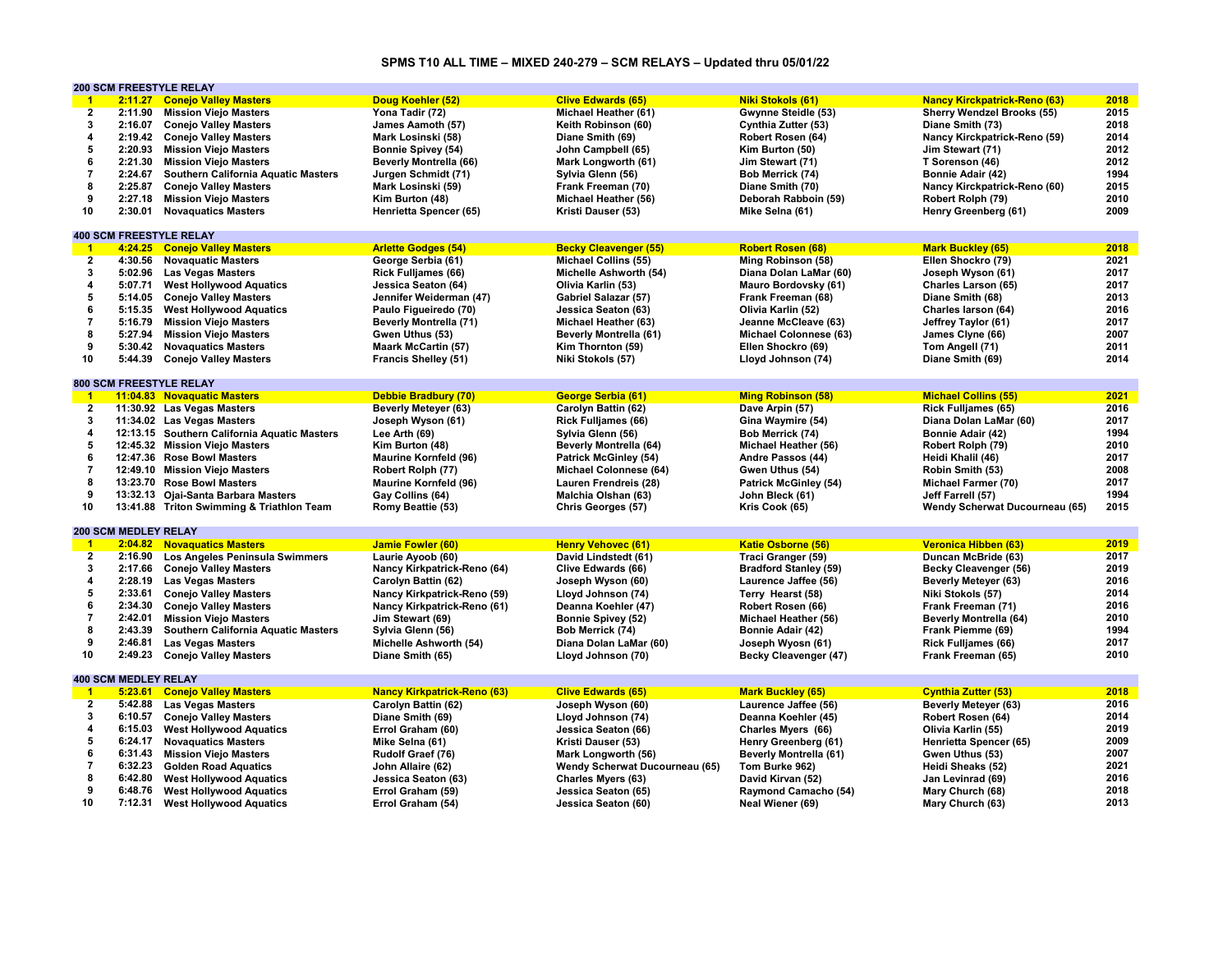## **SPMS T10 ALL TIME – MIXED 240-279 – SCM RELAYS – Updated thru 05/01/22**

|                         | <b>200 SCM FREESTYLE RELAY</b> |                                              |                                    |                                |                               |                                     |      |
|-------------------------|--------------------------------|----------------------------------------------|------------------------------------|--------------------------------|-------------------------------|-------------------------------------|------|
| $-1$                    | 2:11.27                        | <b>Conejo Valley Masters</b>                 | Doug Koehler (52)                  | <b>Clive Edwards (65)</b>      | <b>Niki Stokols (61)</b>      | <b>Nancy Kirckpatrick-Reno (63)</b> | 2018 |
| $\overline{2}$          | 2:11.90                        | <b>Mission Viejo Masters</b>                 | Yona Tadir (72)                    | Michael Heather (61)           | Gwynne Steidle (53)           | <b>Sherry Wendzel Brooks (55)</b>   | 2015 |
| 3                       | 2:16.07                        | <b>Conejo Valley Masters</b>                 | James Aamoth (57)                  | Keith Robinson (60)            | Cynthia Zutter (53)           | Diane Smith (73)                    | 2018 |
| $\overline{\mathbf{4}}$ |                                | 2:19.42 Conejo Valley Masters                | Mark Losinski (58)                 | Diane Smith (69)               | Robert Rosen (64)             | Nancy Kirckpatrick-Reno (59)        | 2014 |
| 5                       |                                | 2:20.93 Mission Viejo Masters                | <b>Bonnie Spivey (54)</b>          | John Campbell (65)             | Kim Burton (50)               | Jim Stewart (71)                    | 2012 |
| 6                       | 2:21.30                        | <b>Mission Viejo Masters</b>                 | <b>Beverly Montrella (66)</b>      | Mark Longworth (61)            | Jim Stewart (71)              | T Sorenson (46)                     | 2012 |
| $\overline{7}$          | 2:24.67                        | Southern California Aquatic Masters          | Jurgen Schmidt (71)                | Sylvia Glenn (56)              | Bob Merrick (74)              | Bonnie Adair (42)                   | 1994 |
| 8                       | 2:25.87                        | <b>Conejo Valley Masters</b>                 | Mark Losinski (59)                 | Frank Freeman (70)             | Diane Smith (70)              | Nancy Kirckpatrick-Reno (60)        | 2015 |
| 9                       |                                |                                              |                                    |                                |                               |                                     |      |
|                         | 2:27.18                        | <b>Mission Viejo Masters</b>                 | Kim Burton (48)                    | Michael Heather (56)           | Deborah Rabboin (59)          | Robert Rolph (79)                   | 2010 |
| 10                      | 2:30.01                        | <b>Novaquatics Masters</b>                   | Henrietta Spencer (65)             | Kristi Dauser (53)             | Mike Selna (61)               | Henry Greenberg (61)                | 2009 |
|                         |                                |                                              |                                    |                                |                               |                                     |      |
|                         |                                | <b>400 SCM FREESTYLE RELAY</b>               |                                    |                                |                               |                                     |      |
| $\overline{1}$          |                                | 4:24.25 Conejo Valley Masters                | <b>Arlette Godges (54)</b>         | <b>Becky Cleavenger (55)</b>   | <b>Robert Rosen (68)</b>      | <b>Mark Buckley (65)</b>            | 2018 |
| $\mathbf{2}$            | 4:30.56                        | <b>Novaguatic Masters</b>                    | George Serbia (61)                 | <b>Michael Collins (55)</b>    | Ming Robinson (58)            | Ellen Shockro (79)                  | 2021 |
| 3                       | 5:02.96                        | <b>Las Vegas Masters</b>                     | <b>Rick Fulljames (66)</b>         | Michelle Ashworth (54)         | Diana Dolan LaMar (60)        | Joseph Wyson (61)                   | 2017 |
| $\overline{\mathbf{4}}$ | 5:07.71                        | <b>West Hollywood Aquatics</b>               | Jessica Seaton (64)                | Olivia Karlin (53)             | Mauro Bordovsky (61)          | Charles Larson (65)                 | 2017 |
| 5                       | 5:14.05                        | <b>Conejo Valley Masters</b>                 | Jennifer Weiderman (47)            | Gabriel Salazar (57)           | Frank Freeman (68)            | Diane Smith (68)                    | 2013 |
| 6                       | 5:15.35                        | <b>West Hollywood Aquatics</b>               | Paulo Figueiredo (70)              | Jessica Seaton (63)            | Olivia Karlin (52)            | Charles larson (64)                 | 2016 |
| $\overline{7}$          | 5:16.79                        | <b>Mission Viejo Masters</b>                 | <b>Beverly Montrella (71)</b>      | Michael Heather (63)           | Jeanne McCleave (63)          | Jeffrey Taylor (61)                 | 2017 |
| 8                       | 5:27.94                        | <b>Mission Viejo Masters</b>                 | Gwen Uthus (53)                    | <b>Beverly Montrella (61)</b>  | <b>Michael Colonnese (63)</b> | James Clyne (66)                    | 2007 |
| 9                       | 5:30.42                        | <b>Novaguatics Masters</b>                   | <b>Maark McCartin (57)</b>         | Kim Thornton (59)              | Ellen Shockro (69)            | Tom Angell (71)                     | 2011 |
| 10                      | 5:44.39                        | <b>Conejo Valley Masters</b>                 | <b>Francis Shelley (51)</b>        | Niki Stokols (57)              | Lloyd Johnson (74)            | Diane Smith (69)                    | 2014 |
|                         |                                |                                              |                                    |                                |                               |                                     |      |
|                         |                                | <b>800 SCM FREESTYLE RELAY</b>               |                                    |                                |                               |                                     |      |
| $\overline{1}$          |                                | 11:04.83 Novaguatic Masters                  | <b>Debbie Bradbury (70)</b>        | George Serbia (61)             | <b>Ming Robinson (58)</b>     | <b>Michael Collins (55)</b>         | 2021 |
| $\overline{2}$          |                                | 11:30.92 Las Vegas Masters                   | <b>Beverly Meteyer (63)</b>        | Carolyn Battin (62)            | Dave Arpin (57)               | Rick Fulljames (65)                 | 2016 |
| 3                       |                                |                                              |                                    |                                |                               |                                     | 2017 |
|                         |                                | 11:34.02 Las Vegas Masters                   | Joseph Wyson (61)                  | <b>Rick Fulljames (66)</b>     | Gina Waymire (54)             | Diana Dolan LaMar (60)              |      |
| 4                       |                                | 12:13.15 Southern California Aquatic Masters | Lee Arth (69)                      | Sylvia Glenn (56)              | Bob Merrick (74)              | Bonnie Adair (42)                   | 1994 |
| 5                       |                                | 12:45.32 Mission Viejo Masters               | Kim Burton (48)                    | <b>Beverly Montrella (64)</b>  | Michael Heather (56)          | Robert Rolph (79)                   | 2010 |
| 6                       |                                | 12:47.36 Rose Bowl Masters                   | <b>Maurine Kornfeld (96)</b>       | <b>Patrick McGinley (54)</b>   | Andre Passos (44)             | Heidi Khalil (46)                   | 2017 |
| $\overline{7}$          |                                | 12:49.10 Mission Viejo Masters               | Robert Rolph (77)                  | Michael Colonnese (64)         | Gwen Uthus (54)               | Robin Smith (53)                    | 2008 |
| 8                       |                                | 13:23.70 Rose Bowl Masters                   | <b>Maurine Kornfeld (96)</b>       | Lauren Frendreis (28)          | <b>Patrick McGinley (54)</b>  | <b>Michael Farmer (70)</b>          | 2017 |
| 9                       |                                | 13:32.13 Ojai-Santa Barbara Masters          | Gay Collins (64)                   | Malchia Olshan (63)            | John Bleck (61)               | Jeff Farrell (57)                   | 1994 |
| 10                      |                                | 13:41.88 Triton Swimming & Triathlon Team    | Romy Beattie (53)                  | Chris Georges (57)             | Kris Cook (65)                | Wendy Scherwat Ducourneau (65)      | 2015 |
|                         |                                |                                              |                                    |                                |                               |                                     |      |
|                         | <b>200 SCM MEDLEY RELAY</b>    |                                              |                                    |                                |                               |                                     |      |
| $-1$                    |                                |                                              |                                    |                                |                               |                                     |      |
| $\overline{2}$          |                                | 2:04.82 Novaguatics Masters                  | <b>Jamie Fowler (60)</b>           | <b>Henry Vehovec (61)</b>      | <b>Katie Osborne (56)</b>     | <b>Veronica Hibben (63)</b>         | 2019 |
|                         |                                |                                              |                                    |                                |                               |                                     |      |
|                         |                                | 2:16.90 Los Angeles Peninsula Swimmers       | Laurie Ayoob (60)                  | David Lindstedt (61)           | <b>Traci Granger (59)</b>     | Duncan McBride (63)                 | 2017 |
| 3                       | 2:17.66                        | <b>Conejo Valley Masters</b>                 | Nancy Kirkpatrick-Reno (64)        | Clive Edwards (66)             | <b>Bradford Stanley (59)</b>  | Becky Cleavenger (56)               | 2019 |
| 4                       | 2:28.19                        | <b>Las Vegas Masters</b>                     | Carolyn Battin (62)                | Joseph Wyson (60)              | Laurence Jaffee (56)          | <b>Beverly Meteyer (63)</b>         | 2016 |
| 5                       | 2:33.61                        | <b>Conejo Valley Masters</b>                 | Nancy Kirkpatrick-Reno (59)        | Lloyd Johnson (74)             | Terry Hearst (58)             | Niki Stokols (57)                   | 2014 |
| 6                       | 2:34.30                        | <b>Conejo Valley Masters</b>                 | Nancy Kirkpatrick-Reno (61)        | Deanna Koehler (47)            | Robert Rosen (66)             | Frank Freeman (71)                  | 2016 |
| $\overline{7}$          | 2:42.01                        | <b>Mission Viejo Masters</b>                 | Jim Stewart (69)                   | <b>Bonnie Spivey (52)</b>      | Michael Heather (56)          | Beverly Montrella (64)              | 2010 |
| 8                       | 2:43.39                        | Southern California Aquatic Masters          | Sylvia Glenn (56)                  | Bob Merrick (74)               | Bonnie Adair (42)             | Frank Piemme (69)                   | 1994 |
| 9                       | 2:46.81                        | <b>Las Vegas Masters</b>                     | Michelle Ashworth (54)             | Diana Dolan LaMar (60)         | Joseph Wyosn (61)             | <b>Rick Fulljames (66)</b>          | 2017 |
| 10                      | 2:49.23                        | <b>Conejo Valley Masters</b>                 | Diane Smith (65)                   | Lloyd Johnson (70)             | Becky Cleavenger (47)         | Frank Freeman (65)                  | 2010 |
|                         |                                |                                              |                                    |                                |                               |                                     |      |
|                         | <b>400 SCM MEDLEY RELAY</b>    |                                              |                                    |                                |                               |                                     |      |
| $\overline{1}$          | 5:23.61                        | <b>Conejo Valley Masters</b>                 | <b>Nancy Kirkpatrick-Reno (63)</b> | <b>Clive Edwards (65)</b>      | <b>Mark Buckley (65)</b>      | <b>Cynthia Zutter (53)</b>          | 2018 |
| $\overline{2}$          |                                | 5:42.88 Las Vegas Masters                    | Carolyn Battin (62)                | Joseph Wyson (60)              | Laurence Jaffee (56)          | <b>Beverly Meteyer (63)</b>         | 2016 |
| 3                       | 6:10.57                        | <b>Conejo Valley Masters</b>                 | Diane Smith (69)                   | Lloyd Johnson (74)             | Deanna Koehler (45)           | Robert Rosen (64)                   | 2014 |
| 4                       | 6:15.03                        | <b>West Hollywood Aquatics</b>               | Errol Graham (60)                  | Jessica Seaton (66)            | Charles Myers (66)            | Olivia Karlin (55)                  | 2019 |
| 5                       | 6:24.17                        | <b>Novaguatics Masters</b>                   | Mike Selna (61)                    | Kristi Dauser (53)             | Henry Greenberg (61)          | Henrietta Spencer (65)              | 2009 |
| 6                       | 6:31.43                        | <b>Mission Viejo Masters</b>                 | Rudolf Graef (76)                  | Mark Longworth (56)            | <b>Beverly Montrella (61)</b> | Gwen Uthus (53)                     | 2007 |
| $\overline{7}$          | 6:32.23                        | <b>Golden Road Aquatics</b>                  | John Allaire (62)                  | Wendy Scherwat Ducourneau (65) | Tom Burke 962)                | Heidi Sheaks (52)                   | 2021 |
| 8                       | 6:42.80                        | <b>West Hollywood Aquatics</b>               | Jessica Seaton (63)                | <b>Charles Myers (63)</b>      | David Kirvan (52)             | Jan Levinrad (69)                   | 2016 |
| 9                       | 6:48.76                        | <b>West Hollywood Aquatics</b>               | Errol Graham (59)                  | Jessica Seaton (65)            | Raymond Camacho (54)          | Mary Church (68)                    | 2018 |
| 10                      | 7:12.31                        | <b>West Hollywood Aquatics</b>               | Errol Graham (54)                  | Jessica Seaton (60)            | Neal Wiener (69)              | Mary Church (63)                    | 2013 |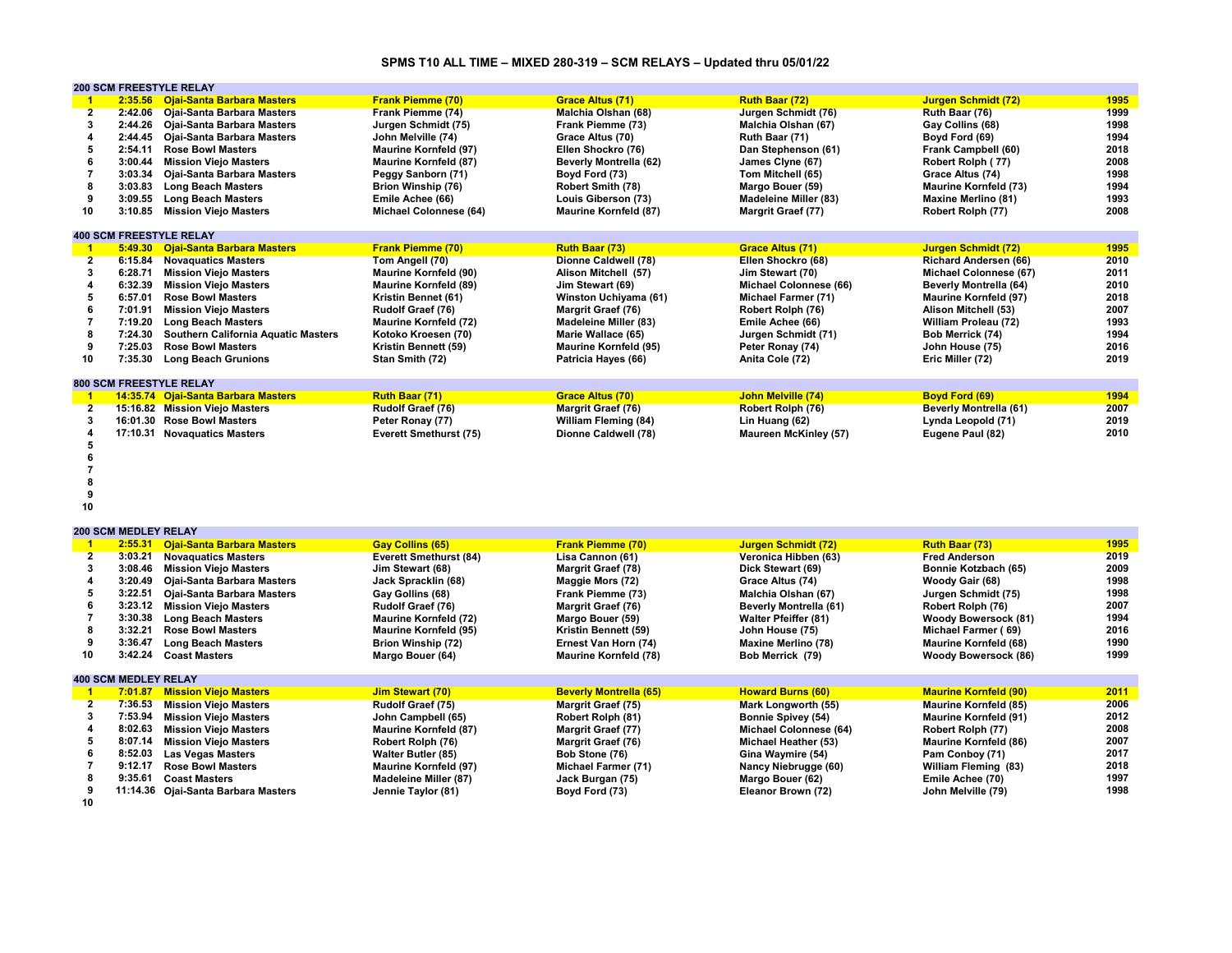## **SPMS T10 ALL TIME – MIXED 280-319 – SCM RELAYS – Updated thru 05/01/22**

|    |         | <b>200 SCM FREESTYLE RELAY</b>      |                              |                              |                              |                               |      |
|----|---------|-------------------------------------|------------------------------|------------------------------|------------------------------|-------------------------------|------|
|    | 2:35.56 | <b>Ojai-Santa Barbara Masters</b>   | <b>Frank Piemme (70)</b>     | <b>Grace Altus (71)</b>      | Ruth Baar (72)               | <b>Jurgen Schmidt (72)</b>    | 1995 |
|    | 2:42.06 | Oiai-Santa Barbara Masters          | Frank Piemme (74)            | Malchia Olshan (68)          | Jurgen Schmidt (76)          | Ruth Baar (76)                | 1999 |
|    | 2:44.26 | Ojai-Santa Barbara Masters          | Jurgen Schmidt (75)          | Frank Piemme (73)            | Malchia Olshan (67)          | Gay Collins (68)              | 1998 |
|    | 2:44.45 | Ojai-Santa Barbara Masters          | John Melville (74)           | Grace Altus (70)             | Ruth Baar (71)               | Boyd Ford (69)                | 1994 |
|    | 2:54.11 | <b>Rose Bowl Masters</b>            | <b>Maurine Kornfeld (97)</b> | Ellen Shockro (76)           | Dan Stephenson (61)          | Frank Campbell (60)           | 2018 |
|    | 3:00.44 | <b>Mission Viejo Masters</b>        | <b>Maurine Kornfeld (87)</b> | Beverly Montrella (62)       | James Clyne (67)             | Robert Rolph (77)             | 2008 |
|    | 3:03.34 | Ojai-Santa Barbara Masters          | Peggy Sanborn (71)           | Boyd Ford (73)               | Tom Mitchell (65)            | Grace Altus (74)              | 1998 |
|    | 3:03.83 | <b>Long Beach Masters</b>           | Brion Winship (76)           | <b>Robert Smith (78)</b>     | Margo Bouer (59)             | <b>Maurine Kornfeld (73)</b>  | 1994 |
|    | 3:09.55 | <b>Long Beach Masters</b>           | Emile Achee (66)             | Louis Giberson (73)          | <b>Madeleine Miller (83)</b> | <b>Maxine Merlino (81)</b>    | 1993 |
| 10 | 3:10.85 | <b>Mission Viejo Masters</b>        | Michael Colonnese (64)       | <b>Maurine Kornfeld (87)</b> | <b>Margrit Graef (77)</b>    | Robert Rolph (77)             | 2008 |
|    |         |                                     |                              |                              |                              |                               |      |
|    |         | <b>400 SCM FREESTYLE RELAY</b>      |                              |                              |                              |                               |      |
|    | 5:49.30 | <b>Ojai-Santa Barbara Masters</b>   | <b>Frank Piemme (70)</b>     | Ruth Baar (73)               | <b>Grace Altus (71)</b>      | <b>Jurgen Schmidt (72)</b>    | 1995 |
|    | 6:15.84 | <b>Novaguatics Masters</b>          | Tom Angell (70)              | Dionne Caldwell (78)         | Ellen Shockro (68)           | <b>Richard Andersen (66)</b>  | 2010 |
|    | 6:28.71 | <b>Mission Viejo Masters</b>        | <b>Maurine Kornfeld (90)</b> | Alison Mitchell (57)         | Jim Stewart (70)             | Michael Colonnese (67)        | 2011 |
|    | 6:32.39 | <b>Mission Viejo Masters</b>        | <b>Maurine Kornfeld (89)</b> | Jim Stewart (69)             | Michael Colonnese (66)       | Beverly Montrella (64)        | 2010 |
|    | 6:57.01 | <b>Rose Bowl Masters</b>            | Kristin Bennet (61)          | Winston Uchiyama (61)        | <b>Michael Farmer (71)</b>   | <b>Maurine Kornfeld (97)</b>  | 2018 |
|    | 7:01.91 | <b>Mission Viejo Masters</b>        | Rudolf Graef (76)            | <b>Margrit Graef (76)</b>    | Robert Rolph (76)            | Alison Mitchell (53)          | 2007 |
|    | 7:19.20 | <b>Long Beach Masters</b>           | <b>Maurine Kornfeld (72)</b> | <b>Madeleine Miller (83)</b> | Emile Achee (66)             | William Proleau (72)          | 1993 |
|    | 7:24.30 | Southern California Aquatic Masters | Kotoko Kroesen (70)          | Marie Wallace (65)           | Jurgen Schmidt (71)          | Bob Merrick (74)              | 1994 |
|    | 7:25.03 | <b>Rose Bowl Masters</b>            | Kristin Bennett (59)         | <b>Maurine Kornfeld (95)</b> | Peter Ronay (74)             | John House (75)               | 2016 |
| 10 | 7:35.30 | <b>Long Beach Grunions</b>          | Stan Smith (72)              | Patricia Hayes (66)          | Anita Cole (72)              | Eric Miller (72)              | 2019 |
|    |         |                                     |                              |                              |                              |                               |      |
|    |         | <b>800 SCM FREESTYLE RELAY</b>      |                              |                              |                              |                               |      |
|    |         | 14:35.74 Ojai-Santa Barbara Masters | Ruth Baar (71)               | <b>Grace Altus (70)</b>      | <b>John Melville (74)</b>    | <b>Boyd Ford (69)</b>         | 1994 |
|    |         | 15:16.82 Mission Viejo Masters      | Rudolf Graef (76)            | <b>Margrit Graef (76)</b>    | Robert Rolph (76)            | <b>Beverly Montrella (61)</b> | 2007 |
|    |         | 16:01.30 Rose Bowl Masters          | Peter Ronay (77)             | William Fleming (84)         | Lin Huang (62)               | Lynda Leopold (71)            | 2019 |
|    |         | 17:10.31 Novaquatics Masters        | Everett Smethurst (75)       | Dionne Caldwell (78)         | <b>Maureen McKinley (57)</b> | Eugene Paul (82)              | 2010 |
|    |         |                                     |                              |                              |                              |                               |      |

**5 6**

**7**

**8 9**

**10**

|    | 2:55.31                     | <b>Ojai-Santa Barbara Masters</b>   | <b>Gay Collins (65)</b>       | <b>Frank Piemme (70)</b>      | Jurgen Schmidt (72)           | <b>Ruth Baar (73)</b>        | 1995 |
|----|-----------------------------|-------------------------------------|-------------------------------|-------------------------------|-------------------------------|------------------------------|------|
|    | 3:03.21                     | <b>Novaguatics Masters</b>          | <b>Everett Smethurst (84)</b> | Lisa Cannon (61)              | Veronica Hibben (63)          | <b>Fred Anderson</b>         | 2019 |
|    | 3:08.46                     | <b>Mission Viejo Masters</b>        | Jim Stewart (68)              | <b>Margrit Graef (78)</b>     | Dick Stewart (69)             | Bonnie Kotzbach (65)         | 2009 |
|    | 3:20.49                     | Ojai-Santa Barbara Masters          | Jack Spracklin (68)           | Maggie Mors (72)              | Grace Altus (74)              | Woody Gair (68)              | 1998 |
|    | 3:22.51                     | Ojai-Santa Barbara Masters          | Gay Gollins (68)              | Frank Piemme (73)             | Malchia Olshan (67)           | Jurgen Schmidt (75)          | 1998 |
|    | 3:23.12                     | <b>Mission Viejo Masters</b>        | Rudolf Graef (76)             | Margrit Graef (76)            | <b>Beverly Montrella (61)</b> | Robert Rolph (76)            | 2007 |
|    | 3:30.38                     | <b>Long Beach Masters</b>           | <b>Maurine Kornfeld (72)</b>  | Margo Bouer (59)              | <b>Walter Pfeiffer (81)</b>   | <b>Woody Bowersock (81)</b>  | 1994 |
|    | 3:32.21                     | <b>Rose Bowl Masters</b>            | <b>Maurine Kornfeld (95)</b>  | Kristin Bennett (59)          | John House (75)               | Michael Farmer (69)          | 2016 |
|    | 3:36.47                     | <b>Long Beach Masters</b>           | Brion Winship (72)            | Ernest Van Horn (74)          | <b>Maxine Merlino (78)</b>    | <b>Maurine Kornfeld (68)</b> | 1990 |
| 10 | 3:42.24                     | <b>Coast Masters</b>                | Margo Bouer (64)              | <b>Maurine Kornfeld (78)</b>  | Bob Merrick (79)              | <b>Woody Bowersock (86)</b>  | 1999 |
|    |                             |                                     |                               |                               |                               |                              |      |
|    | <b>400 SCM MEDLEY RELAY</b> |                                     |                               |                               |                               |                              |      |
|    | 7:01.87                     | <b>Mission Viejo Masters</b>        | <b>Jim Stewart (70)</b>       | <b>Beverly Montrella (65)</b> | <b>Howard Burns (60)</b>      | <b>Maurine Kornfeld (90)</b> | 2011 |
|    | 7:36.53                     | <b>Mission Viejo Masters</b>        | Rudolf Graef (75)             | <b>Margrit Graef (75)</b>     | Mark Longworth (55)           | <b>Maurine Kornfeld (85)</b> | 2006 |
|    | 7:53.94                     | <b>Mission Viejo Masters</b>        | John Campbell (65)            | Robert Rolph (81)             | <b>Bonnie Spivey (54)</b>     | <b>Maurine Kornfeld (91)</b> | 2012 |
|    | 8:02.63                     | <b>Mission Viejo Masters</b>        | <b>Maurine Kornfeld (87)</b>  | Margrit Graef (77)            | Michael Colonnese (64)        | Robert Rolph (77)            | 2008 |
|    | 8:07.14                     | <b>Mission Viejo Masters</b>        | Robert Rolph (76)             | Margrit Graef (76)            | Michael Heather (53)          | <b>Maurine Kornfeld (86)</b> | 2007 |
|    | 8:52.03                     | <b>Las Vegas Masters</b>            | <b>Walter Butler (85)</b>     | Bob Stone (76)                | Gina Waymire (54)             | Pam Conboy (71)              | 2017 |
|    | 9:12.17                     | <b>Rose Bowl Masters</b>            | <b>Maurine Kornfeld (97)</b>  | <b>Michael Farmer (71)</b>    | Nancy Niebrugge (60)          | William Fleming (83)         | 2018 |
|    | 9:35.61                     | <b>Coast Masters</b>                | <b>Madeleine Miller (87)</b>  | Jack Burgan (75)              | Margo Bouer (62)              | Emile Achee (70)             | 1997 |
|    |                             | 11:14.36 Ojai-Santa Barbara Masters | Jennie Taylor (81)            | Boyd Ford (73)                | Eleanor Brown (72)            | John Melville (79)           | 1998 |
| 10 |                             |                                     |                               |                               |                               |                              |      |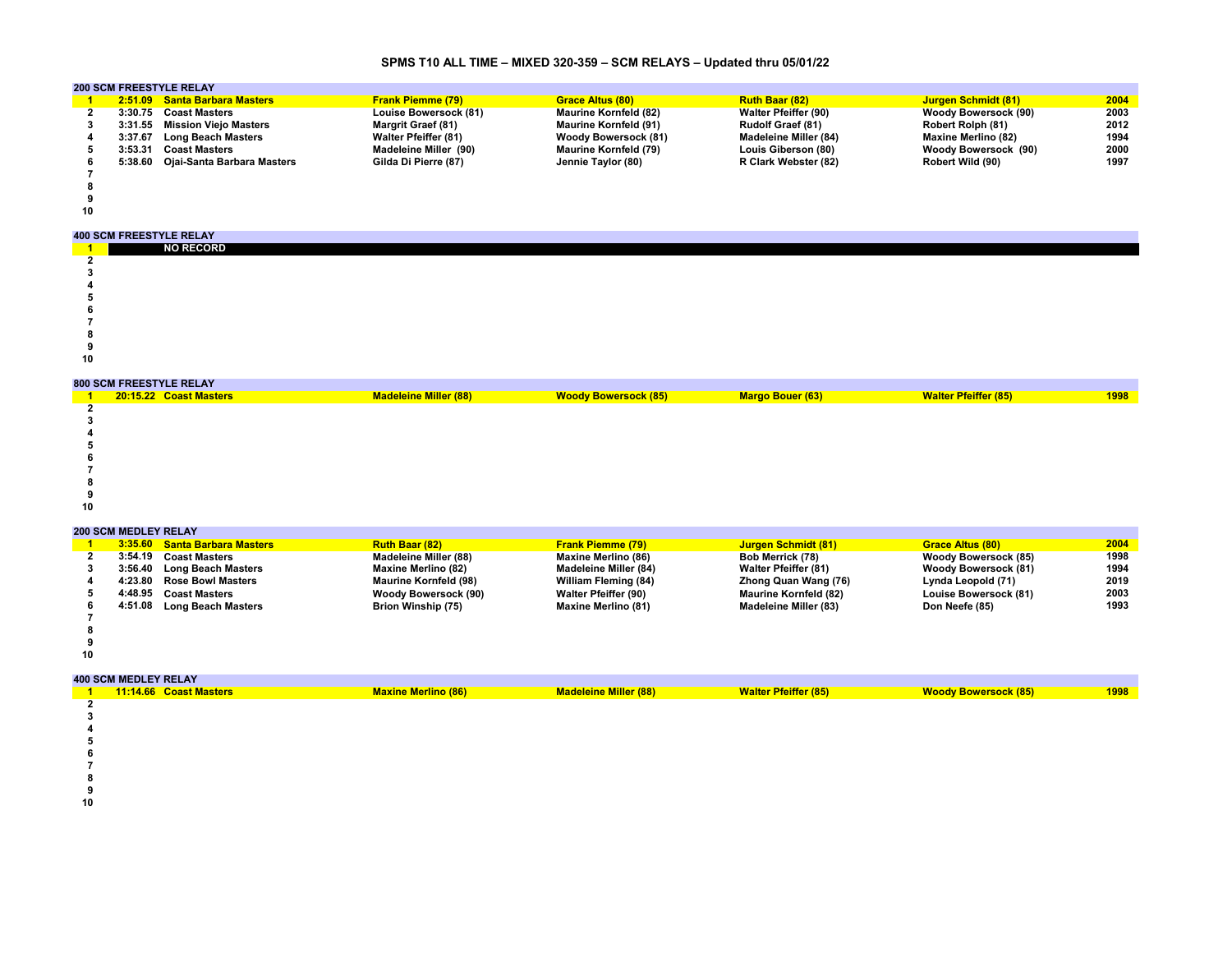# **SPMS T10 ALL TIME – MIXED 320-359 – SCM RELAYS – Updated thru 05/01/22**

|    | <b>200 SCM FREESTYLE RELAY</b> |                                    |                             |                              |                             |                            |      |  |  |
|----|--------------------------------|------------------------------------|-----------------------------|------------------------------|-----------------------------|----------------------------|------|--|--|
|    |                                | 2:51.09 Santa Barbara Masters      | <b>Frank Piemme (79)</b>    | <b>Grace Altus (80)</b>      | <b>Ruth Baar (82)</b>       | <b>Jurgen Schmidt (81)</b> | 2004 |  |  |
|    |                                | 3:30.75 Coast Masters              | Louise Bowersock (81)       | <b>Maurine Kornfeld (82)</b> | <b>Walter Pfeiffer (90)</b> | Woody Bowersock (90)       | 2003 |  |  |
|    |                                | 3:31.55 Mission Viejo Masters      | <b>Margrit Graef (81)</b>   | <b>Maurine Kornfeld (91)</b> | <b>Rudolf Graef (81)</b>    | Robert Rolph (81)          | 2012 |  |  |
|    | 3:37.67                        | <b>Long Beach Masters</b>          | <b>Walter Pfeiffer (81)</b> | <b>Woody Bowersock (81)</b>  | Madeleine Miller (84)       | <b>Maxine Merlino (82)</b> | 1994 |  |  |
|    | 3:53.31                        | <b>Coast Masters</b>               | Madeleine Miller (90)       | <b>Maurine Kornfeld (79)</b> | Louis Giberson (80)         | Woody Bowersock (90)       | 2000 |  |  |
|    |                                | 5:38.60 Ojai-Santa Barbara Masters | Gilda Di Pierre (87)        | Jennie Taylor (80)           | R Clark Webster (82)        | Robert Wild (90)           | 1997 |  |  |
|    |                                |                                    |                             |                              |                             |                            |      |  |  |
|    |                                |                                    |                             |                              |                             |                            |      |  |  |
|    |                                |                                    |                             |                              |                             |                            |      |  |  |
| 10 |                                |                                    |                             |                              |                             |                            |      |  |  |

### **400 SCM FREESTYLE RELAY**

|    | 400 SUM FREESTTLE RELAT |  |  |  |  |  |  |  |  |
|----|-------------------------|--|--|--|--|--|--|--|--|
|    | <b>NO RECORD</b>        |  |  |  |  |  |  |  |  |
|    |                         |  |  |  |  |  |  |  |  |
|    |                         |  |  |  |  |  |  |  |  |
|    |                         |  |  |  |  |  |  |  |  |
|    |                         |  |  |  |  |  |  |  |  |
|    |                         |  |  |  |  |  |  |  |  |
|    |                         |  |  |  |  |  |  |  |  |
|    |                         |  |  |  |  |  |  |  |  |
|    |                         |  |  |  |  |  |  |  |  |
| 10 |                         |  |  |  |  |  |  |  |  |

| <b>800 SCM FREESTYLE RELAY</b> |                        |                              |                             |                         |                             |      |  |  |  |
|--------------------------------|------------------------|------------------------------|-----------------------------|-------------------------|-----------------------------|------|--|--|--|
|                                | 20:15.22 Coast Masters | <b>Madeleine Miller (88)</b> | <b>Woody Bowersock (85)</b> | <b>Margo Bouer (63)</b> | <b>Walter Pfeiffer (85)</b> | 1998 |  |  |  |
|                                |                        |                              |                             |                         |                             |      |  |  |  |
|                                |                        |                              |                             |                         |                             |      |  |  |  |
|                                |                        |                              |                             |                         |                             |      |  |  |  |
|                                |                        |                              |                             |                         |                             |      |  |  |  |
|                                |                        |                              |                             |                         |                             |      |  |  |  |
|                                |                        |                              |                             |                         |                             |      |  |  |  |
|                                |                        |                              |                             |                         |                             |      |  |  |  |
|                                |                        |                              |                             |                         |                             |      |  |  |  |

#### **200 SCM MEDLEY RELAY**

|  | 3:35.60 Santa Barbara Masters | <b>Ruth Baar (82)</b>        | <b>Frank Piemme (79)</b>     | Jurgen Schmidt (81)          | <b>Grace Altus (80)</b>     | 2004 |
|--|-------------------------------|------------------------------|------------------------------|------------------------------|-----------------------------|------|
|  | 3:54.19 Coast Masters         | <b>Madeleine Miller (88)</b> | <b>Maxine Merlino (86)</b>   | <b>Bob Merrick (78)</b>      | Woody Bowersock (85)        | 1998 |
|  | 3:56.40 Long Beach Masters    | <b>Maxine Merlino (82)</b>   | <b>Madeleine Miller (84)</b> | <b>Walter Pfeiffer (81)</b>  | <b>Woody Bowersock (81)</b> | 1994 |
|  | 4:23.80 Rose Bowl Masters     | <b>Maurine Kornfeld (98)</b> | <b>William Fleming (84)</b>  | Zhong Quan Wang (76)         | Lynda Leopold (71)          | 2019 |
|  | 4:48.95 Coast Masters         | Woody Bowersock (90)         | <b>Walter Pfeiffer (90)</b>  | <b>Maurine Kornfeld (82)</b> | Louise Bowersock (81)       | 2003 |
|  | 4:51.08 Long Beach Masters    | <b>Brion Winship (75)</b>    | <b>Maxine Merlino (81)</b>   | <b>Madeleine Miller (83)</b> | Don Neefe (85)              | 1993 |
|  |                               |                              |                              |                              |                             |      |
|  |                               |                              |                              |                              |                             |      |
|  |                               |                              |                              |                              |                             |      |

| 11:14.66 Coast Masters | <b>Maxine Merlino (86)</b> | <b>Madeleine Miller (88)</b> | <b>Walter Pfeiffer (85)</b> | <b>Woody Bowersock (85)</b> | 200 C |
|------------------------|----------------------------|------------------------------|-----------------------------|-----------------------------|-------|
|                        |                            |                              |                             |                             |       |
|                        |                            |                              |                             |                             |       |

- **5**
- 
- 
- 
-